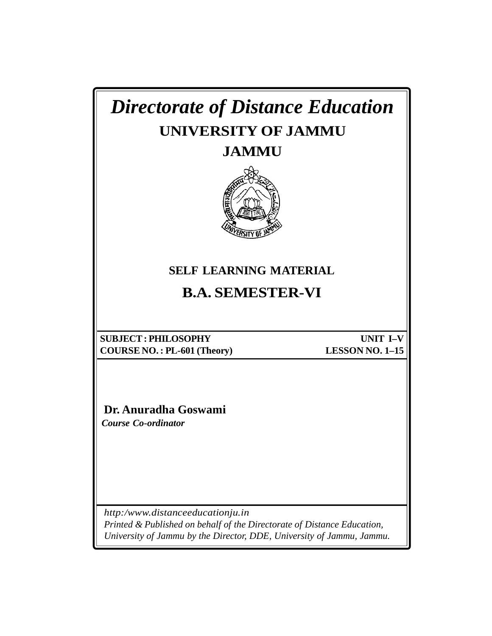| <b>Directorate of Distance Education</b><br>UNIVERSITY OF JAMMU<br><b>JAMMU</b><br><b>SELF LEARNING MATERIAL</b>                                                                     |                                    |
|--------------------------------------------------------------------------------------------------------------------------------------------------------------------------------------|------------------------------------|
| <b>B.A. SEMESTER-VI</b>                                                                                                                                                              |                                    |
| <b>SUBJECT: PHILOSOPHY</b><br><b>COURSE NO.: PL-601 (Theory)</b><br>Dr. Anuradha Goswami<br><b>Course Co-ordinator</b>                                                               | UNIT I-V<br><b>LESSON NO. 1-15</b> |
| http:/www.distanceeducationju.in<br>Printed & Published on behalf of the Directorate of Distance Education,<br>University of Jammu by the Director, DDE, University of Jammu, Jammu. |                                    |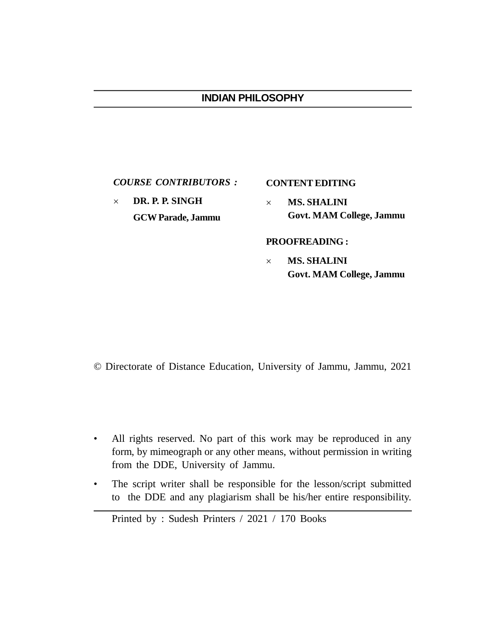## **INDIAN PHILOSOPHY**

*COURSE CONTRIBUTORS :*

 **DR. P. P. SINGH GCW Parade, Jammu**

## **CONTENT EDITING**

 **MS. SHALINI Govt. MAM College, Jammu**

**PROOFREADING :**

 **MS. SHALINI Govt. MAM College, Jammu**

© Directorate of Distance Education, University of Jammu, Jammu, 2021

- All rights reserved. No part of this work may be reproduced in any form, by mimeograph or any other means, without permission in writing from the DDE, University of Jammu.
- The script writer shall be responsible for the lesson/script submitted to the DDE and any plagiarism shall be his/her entire responsibility.

Printed by : Sudesh Printers / 2021 / 170 Books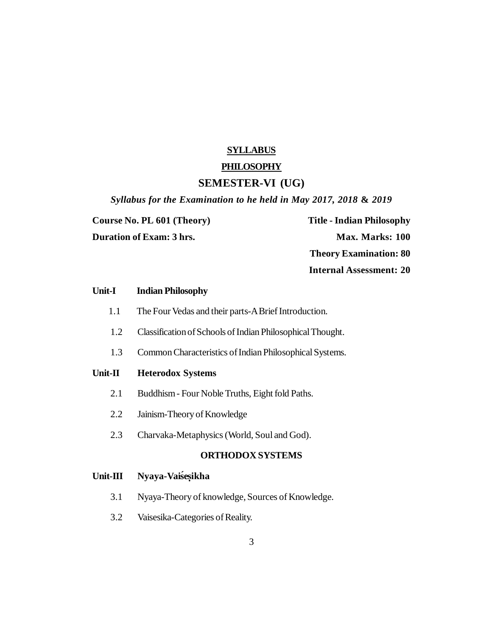#### **SYLLABUS**

## **PHILOSOPHY**

#### **SEMESTER-VI (UG)**

*Syllabus for the Examination to he held in May 2017, 2018* **&** *2019*

**Course No. PL 601 (Theory) Title - Indian Philosophy Duration of Exam: 3 hrs. Max. Marks: 100 Theory Examination: 80 Internal Assessment: 20**

# **Unit-I Indian Philosophy** 1.1 The Four Vedas and their parts-A Brief Introduction. 1.2 Classification of Schools of Indian Philosophical Thought. 1.3 Common Characteristics of Indian Philosophical Systems. **Unit-II Heterodox Systems** 2.1 Buddhism - Four Noble Truths, Eight fold Paths. 2.2 Jainism-Theory of Knowledge 2.3 Charvaka-Metaphysics (World, Soul and God). **ORTHODOX SYSTEMS Unit-III Nyaya-Vaiśeşikha** 3.1 Nyaya-Theory of knowledge, Sources of Knowledge.

3.2 Vaisesika-Categories of Reality.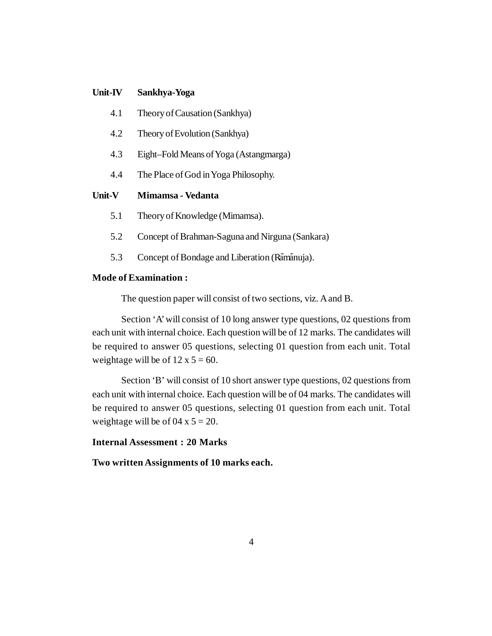#### **Unit-IV Sankhya-Yoga**

- 4.1 Theory of Causation (Sankhya)
- 4.2 Theory of Evolution (Sankhya)
- 4.3 Eight–Fold Means of Yoga (Astangmarga)
- 4.4 The Place of God in Yoga Philosophy.

### **Unit-V Mimamsa - Vedanta**

- 5.1 Theory of Knowledge (Mimamsa).
- 5.2 Concept of Brahman-Saguna and Nirguna (Sankara)
- 5.3 Concept of Bondage and Liberation (Ramanuja).

## **Mode of Examination :**

The question paper will consist of two sections, viz. A and B.

Section 'A' will consist of 10 long answer type questions, 02 questions from each unit with internal choice. Each question will be of 12 marks. The candidates will be required to answer 05 questions, selecting 01 question from each unit. Total weightage will be of  $12 \times 5 = 60$ .

Section 'B' will consist of 10 short answer type questions, 02 questions from each unit with internal choice. Each question will be of 04 marks. The candidates will be required to answer 05 questions, selecting 01 question from each unit. Total weightage will be of  $04 \times 5 = 20$ .

## **Internal Assessment : 20 Marks**

**Two written Assignments of 10 marks each.**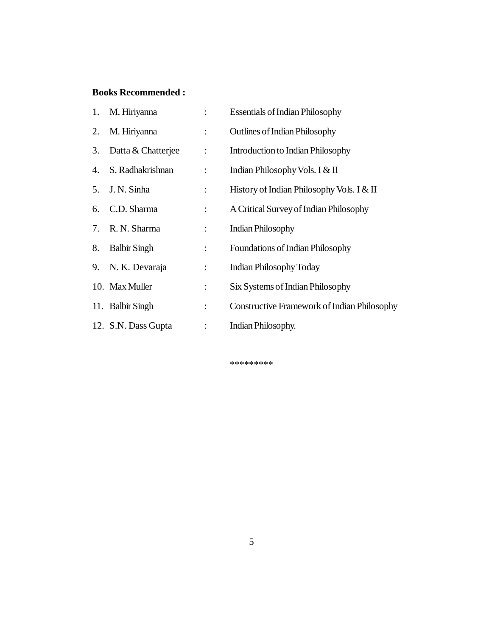## **Books Recommended :**

|    | 1. M. Hiriyanna     | $\mathbb{R}^{\mathbb{Z}}$ | <b>Essentials of Indian Philosophy</b>      |
|----|---------------------|---------------------------|---------------------------------------------|
|    | 2. M. Hiriyanna     | $\ddot{\phantom{a}}$      | <b>Outlines of Indian Philosophy</b>        |
| 3. | Datta & Chatterjee  | $\div$                    | <b>Introduction to Indian Philosophy</b>    |
| 4. | S. Radhakrishnan    | $\ddot{\phantom{a}}$      | Indian Philosophy Vols. I & II              |
|    | 5. J. N. Sinha      | $\ddot{\phantom{a}}$      | History of Indian Philosophy Vols. I & II   |
| 6. | C.D. Sharma         | $\ddot{\phantom{a}}$      | A Critical Survey of Indian Philosophy      |
|    | 7. R. N. Sharma     | $\ddot{\phantom{a}}$      | <b>Indian Philosophy</b>                    |
| 8. | <b>Balbir Singh</b> | $\ddot{\cdot}$            | <b>Foundations of Indian Philosophy</b>     |
|    | 9. N. K. Devaraja   | $\ddot{\cdot}$            | <b>Indian Philosophy Today</b>              |
|    | 10. Max Muller      | $\ddot{\phantom{a}}$      | Six Systems of Indian Philosophy            |
|    | 11. Balbir Singh    | $\ddot{\cdot}$            | Constructive Framework of Indian Philosophy |
|    | 12. S.N. Dass Gupta | $\ddot{\cdot}$            | Indian Philosophy.                          |

\*\*\*\*\*\*\*\*\*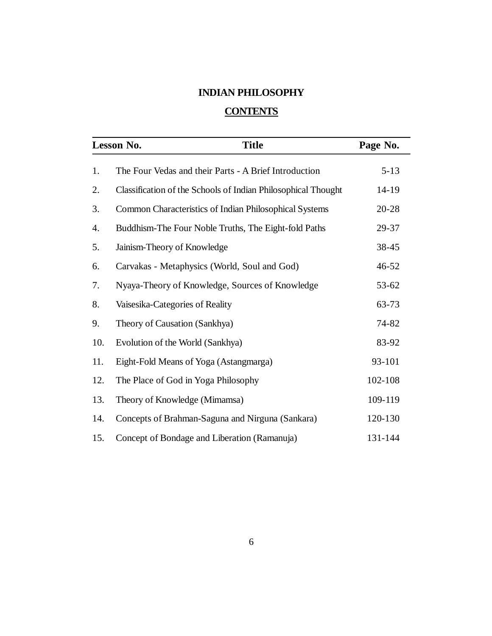## **INDIAN PHILOSOPHY**

## **CONTENTS**

|     | <b>Title</b><br>Lesson No.                                    | Page No.  |  |
|-----|---------------------------------------------------------------|-----------|--|
| 1.  | The Four Vedas and their Parts - A Brief Introduction         | $5 - 13$  |  |
| 2.  | Classification of the Schools of Indian Philosophical Thought | 14-19     |  |
| 3.  | Common Characteristics of Indian Philosophical Systems        | $20 - 28$ |  |
| 4.  | Buddhism-The Four Noble Truths, The Eight-fold Paths          | 29-37     |  |
| 5.  | Jainism-Theory of Knowledge                                   | 38-45     |  |
| 6.  | Carvakas - Metaphysics (World, Soul and God)                  | 46-52     |  |
| 7.  | Nyaya-Theory of Knowledge, Sources of Knowledge               | 53-62     |  |
| 8.  | Vaisesika-Categories of Reality                               | 63-73     |  |
| 9.  | Theory of Causation (Sankhya)                                 | 74-82     |  |
| 10. | Evolution of the World (Sankhya)                              | 83-92     |  |
| 11. | Eight-Fold Means of Yoga (Astangmarga)                        | 93-101    |  |
| 12. | The Place of God in Yoga Philosophy                           | 102-108   |  |
| 13. | Theory of Knowledge (Mimamsa)                                 | 109-119   |  |
| 14. | Concepts of Brahman-Saguna and Nirguna (Sankara)              | 120-130   |  |
| 15. | Concept of Bondage and Liberation (Ramanuja)                  | 131-144   |  |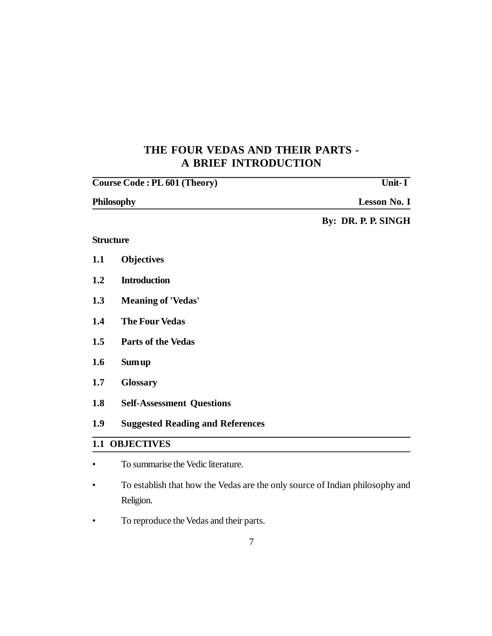## **THE FOUR VEDAS AND THEIR PARTS - A BRIEF INTRODUCTION**

|     | <b>Course Code: PL 601 (Theory)</b>     | $\overline{\text{Unit-}\mathbf{I}}$ |
|-----|-----------------------------------------|-------------------------------------|
|     | <b>Philosophy</b>                       | <b>Lesson No. I</b>                 |
|     |                                         | By: DR. P. P. SINGH                 |
|     | <b>Structure</b>                        |                                     |
| 1.1 | <b>Objectives</b>                       |                                     |
| 1.2 | <b>Introduction</b>                     |                                     |
| 1.3 | <b>Meaning of 'Vedas'</b>               |                                     |
| 1.4 | <b>The Four Vedas</b>                   |                                     |
| 1.5 | <b>Parts of the Vedas</b>               |                                     |
| 1.6 | Sum up                                  |                                     |
| 1.7 | <b>Glossary</b>                         |                                     |
| 1.8 | <b>Self-Assessment Questions</b>        |                                     |
| 1.9 | <b>Suggested Reading and References</b> |                                     |
|     | <b>1.1 OBJECTIVES</b>                   |                                     |
|     | To summarise the Vedic literature.      |                                     |

- To establish that how the Vedas are the only source of Indian philosophy and Religion.
- To reproduce the Vedas and their parts.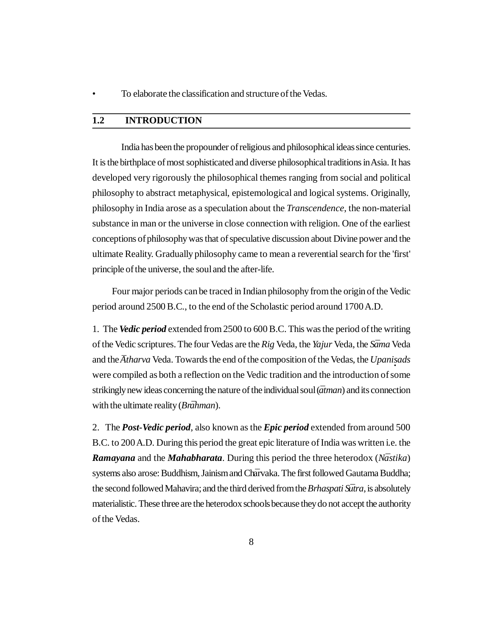• To elaborate the classification and structure of the Vedas.

### **1.2 INTRODUCTION**

India has been the propounder of religious and philosophical ideas since centuries. It is the birthplace of most sophisticated and diverse philosophical traditions in Asia. It has developed very rigorously the philosophical themes ranging from social and political philosophy to abstract metaphysical, epistemological and logical systems. Originally, philosophy in India arose as a speculation about the *Transcendence*, the non-material substance in man or the universe in close connection with religion. One of the earliest conceptions of philosophy was that of speculative discussion about Divine power and the ultimate Reality. Gradually philosophy came to mean a reverential search for the 'first' principle of the universe, the soul and the after-life.

 Four major periods can be traced in Indian philosophy from the origin of the Vedic period around 2500 B.C., to the end of the Scholastic period around 1700 A.D.

1. The *Vedic period* extended from 2500 to 600 B.C. This was the period of the writing of the Vedic scriptures. The four Vedas are the *Rig* Veda, the *Yajur* Veda, the *Sama ¯* Veda and the *Atharva* Veda. Towards the end of the composition of the Vedas, the *Upanisads* were compiled as both a reflection on the Vedic tradition and the introduction of some strikingly new ideas concerning the nature of the individual soul ( $\bar{a}$ *tman*) and its connection with the ultimate reality (*Brahman*).

2. The *Post-Vedic period*, also known as the *Epic period* extended from around 500 B.C. to 200 A.D. During this period the great epic literature of India was written i.e. the *Ramayana* and the *Mahabharata*. During this period the three heterodox (*Nastika*) systems also arose: Buddhism, Jainism and Charvaka. The first followed Gautama Buddha; the second followed Mahavira; and the third derived from the *Brhaspati Sutra*, is absolutely materialistic. These three are the heterodox schools because they do not accept the authority of the Vedas.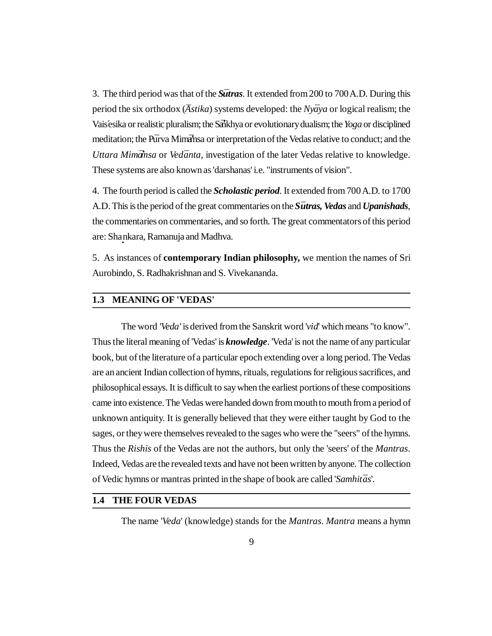3. The third period was that of the *Sutras*. It extended from 200 to 700 A.D. During this period the six orthodox (*Astika*) systems developed: the *Nyaya* or logical realism; the Vaisésika or realistic pluralism; the Sankhya or evolutionary dualism; the *Yoga* or disciplined meditation; the Purva Mimaring or interpretation of the Vedas relative to conduct; and the *Uttara Mimāmsa* or *Vedānta*, investigation of the later Vedas relative to knowledge. These systems are also known as 'darshanas' i.e. "instruments of vision".

4. The fourth period is called the *Scholastic period*. It extended from 700 A.D. to 1700 A.D. This is the period of the great commentaries on the *S¯utras, Vedas* and *Upanishads*, the commentaries on commentaries, and so forth. The great commentators of this period are: Sha **·** nkara, Ramanuja and Madhva.

5. As instances of **contemporary Indian philosophy,** we mention the names of Sri Aurobindo, S. Radhakrishnan and S. Vivekananda.

#### **1.3 MEANING OF 'VEDAS'**

The word *'Veda'* is derived from the Sanskrit word '*vid*' which means "to know". Thus the literal meaning of 'Vedas' is *knowledge*. 'Veda' is not the name of any particular book, but of the literature of a particular epoch extending over a long period. The Vedas are an ancient Indian collection of hymns, rituals, regulations for religious sacrifices, and philosophical essays. It is difficult to say when the earliest portions of these compositions came into existence. The Vedas were handed down from mouth to mouth from a period of unknown antiquity. It is generally believed that they were either taught by God to the sages, or they were themselves revealed to the sages who were the "seers" of the hymns. Thus the *Rishis* of the Vedas are not the authors, but only the 'seers' of the *Mantras*. Indeed, Vedas are the revealed texts and have not been written by anyone. The collection of Vedic hymns or mantras printed in the shape of book are called '*Samhit¯as*'.

## **1.4 THE FOUR VEDAS**

The name '*Veda*' (knowledge) stands for the *Mantras*. *Mantra* means a hymn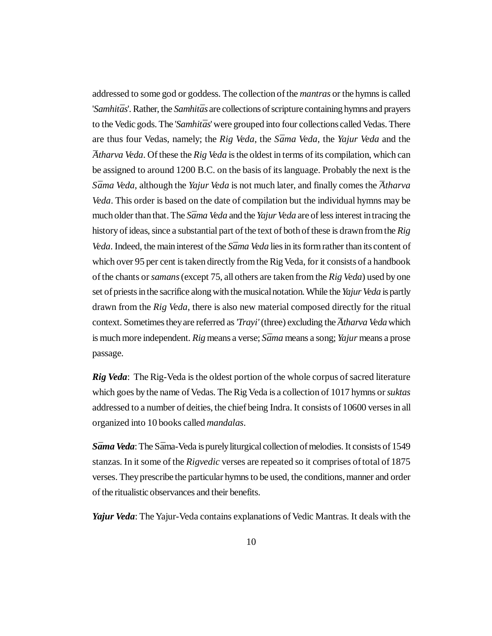addressed to some god or goddess. The collection of the *mantras* or the hymns is called '*Samhit¯as*'. Rather, the *Samhit¯as* are collections of scripture containing hymns and prayers to the Vedic gods. The '*Samhitās*' were grouped into four collections called Vedas. There are thus four Vedas, namely; the *Rig Veda*, the *S¯ama Veda*, the *Yajur Veda* and the *¯Atharva Veda*. Of these the *Rig Veda* is the oldest in terms of its compilation, which can be assigned to around 1200 B.C. on the basis of its language. Probably the next is the *Sāma Veda*, although the *Yajur Veda* is not much later, and finally comes the *Atharva Veda*. This order is based on the date of compilation but the individual hymns may be much older than that. The *Sama Veda* and the *Yajur Veda* are of less interest in tracing the history of ideas, since a substantial part of the text of both of these is drawn from the *Rig Veda*. Indeed, the main interest of the *S* $\bar{a}$ *ma Veda* lies in its form rather than its content of which over 95 per cent is taken directly from the Rig Veda, for it consists of a handbook of the chants or *samans* (except 75, all others are taken from the *Rig Veda*) used by one set of priests in the sacrifice along with the musical notation. While the *Yajur Veda* is partly drawn from the *Rig Veda*, there is also new material composed directly for the ritual context. Sometimes they are referred as *'Trayi'* (three) excluding the *Atharva Veda* which is much more independent. *Rig* means a verse; *S¯ama* means a song; *Yajur* means a prose passage.

*Rig Veda*: The Rig-Veda is the oldest portion of the whole corpus of sacred literature which goes by the name of Vedas. The Rig Veda is a collection of 1017 hymns or *suktas* addressed to a number of deities, the chief being Indra. It consists of 10600 verses in all organized into 10 books called *mandalas*.

*S¯ama Veda*: The S*¯*ama-Veda is purely liturgical collection of melodies. It consists of 1549 stanzas. In it some of the *Rigvedic* verses are repeated so it comprises of total of 1875 verses. They prescribe the particular hymns to be used, the conditions, manner and order of the ritualistic observances and their benefits.

*Yajur Veda*: The Yajur-Veda contains explanations of Vedic Mantras. It deals with the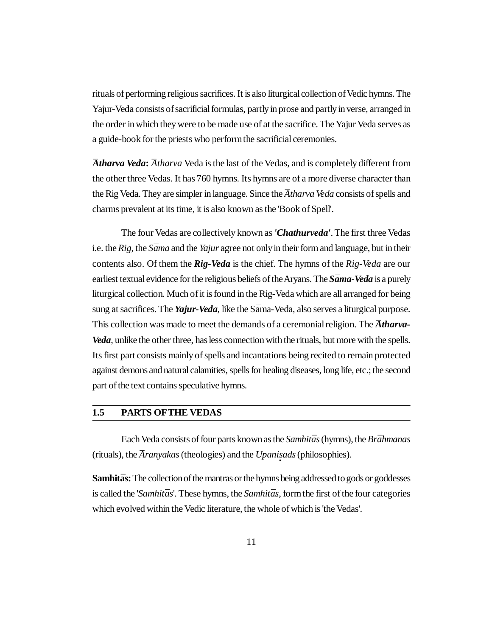rituals of performing religious sacrifices. It is also liturgical collection of Vedic hymns. The Yajur-Veda consists of sacrificial formulas, partly in prose and partly in verse, arranged in the order in which they were to be made use of at the sacrifice. The Yajur Veda serves as a guide-book for the priests who perform the sacrificial ceremonies.

*Atharva Veda*: *Atharva* Veda is the last of the Vedas, and is completely different from the other three Vedas. It has 760 hymns. Its hymns are of a more diverse character than the Rig Veda. They are simpler in language. Since the *Atharva Veda* consists of spells and charms prevalent at its time, it is also known as the 'Book of Spell'.

The four Vedas are collectively known as *'Chathurveda'*. The first three Vedas i.e. the *Rig*, the *S¯ama* and the *Yajur* agree not only in their form and language, but in their contents also. Of them the *Rig-Veda* is the chief. The hymns of the *Rig-Veda* are our earliest textual evidence for the religious beliefs of the Aryans. The *Sāma-Veda* is a purely liturgical collection. Much of it is found in the Rig-Veda which are all arranged for being sung at sacrifices. The *Yajur-Veda*, like the Sama-Veda, also serves a liturgical purpose. This collection was made to meet the demands of a ceremonial religion. The *Atharva*-*Veda*, unlike the other three, has less connection with the rituals, but more with the spells. Its first part consists mainly of spells and incantations being recited to remain protected against demons and natural calamities, spells for healing diseases, long life, etc.; the second part of the text contains speculative hymns.

### **1.5 PARTS OFTHE VEDAS**

Each Veda consists of four parts known as the *Samhitās* (hymns), the *Brāhmanas* (rituals), the *Aranyakas* (theologies) and the *Upanisads* (philosophies).

**Samhitas:** The collection of the mantras or the hymns being addressed to gods or goddesses is called the '*Samhitās*'. These hymns, the *Samhitās*, form the first of the four categories which evolved within the Vedic literature, the whole of which is 'the Vedas'.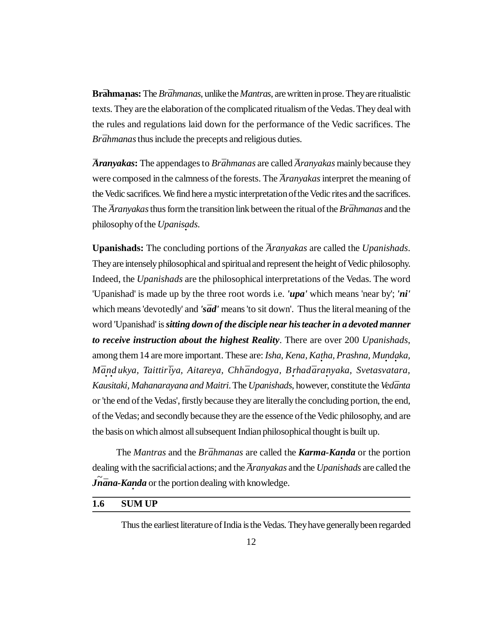**Brāhmaṇas:** The *Brāhmanas*, unlike the *Mantras*, are written in prose. They are ritualistic texts. They are the elaboration of the complicated ritualism of the Vedas. They deal with the rules and regulations laid down for the performance of the Vedic sacrifices. The *Brāhmanas* thus include the precepts and religious duties.

*Aranyakas*: The appendages to *Brāhmanas* are called *Aranyakas* mainly because they were composed in the calmness of the forests. The *Aranyakas* interpret the meaning of the Vedic sacrifices. We find here a mystic interpretation of the Vedic rites and the sacrifices. The *Aranyakas* thus form the transition link between the ritual of the *Brāhmanas* and the philosophy of the *Upanisads*.

**Upanishads:** The concluding portions of the *¯Aranyakas* are called the *Upanishads*. They are intensely philosophical and spiritual and represent the height of Vedic philosophy. Indeed, the *Upanishads* are the philosophical interpretations of the Vedas. The word 'Upanishad' is made up by the three root words i.e. *'upa'* which means 'near by'; *'ni'* which means 'devotedly' and 's $\bar{a}d'$  means 'to sit down'. Thus the literal meaning of the word 'Upanishad' is *sitting down of the disciple near his teacher in a devoted manner to receive instruction about the highest Reality*. There are over 200 *Upanishads*, among them 14 are more important. These are: *Isha, Kena, Katha, Prashna, Mundaka, M¯a · n · d ukya, Taittir¯iya, Aitareya, Chh¯andogya, B · rhad¯ara · nyaka, Svetasvatara, Kausitaki, Mahanarayana and Maitri*. The *Upanishads*, however, constitute the *Ved¯anta* or 'the end of the Vedas', firstly because they are literally the concluding portion, the end, of the Vedas; and secondly because they are the essence of the Vedic philosophy, and are the basis on which almost all subsequent Indian philosophical thought is built up.

The *Mantras* and the *Brāhmanas* are called the *Karma-Kanda* or the portion dealing with the sacrificial actions; and the *Aranyakas* and the *Upanishads* are called the *Jnana-Kanda* or the portion dealing with knowledge.

## **1.6 SUM UP**

Thus the earliest literature of India is the Vedas. They have generally been regarded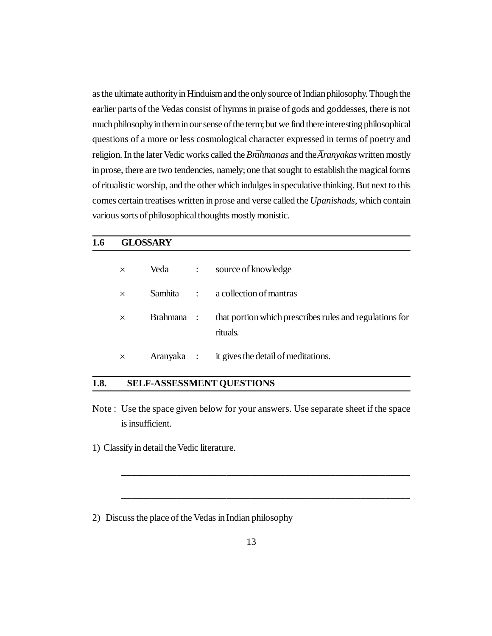as the ultimate authority in Hinduism and the only source of Indian philosophy. Though the earlier parts of the Vedas consist of hymns in praise of gods and goddesses, there is not much philosophy in them in our sense of the term; but we find there interesting philosophical questions of a more or less cosmological character expressed in terms of poetry and religion. In the later Vedic works called the *Brāhmanas* and the *Aranyakas* written mostly in prose, there are two tendencies, namely; one that sought to establish the magical forms of ritualistic worship, and the other which indulges in speculative thinking. But next to this comes certain treatises written in prose and verse called the *Upanishads*, which contain various sorts of philosophical thoughts mostly monistic.

### **1.6 GLOSSARY**

| $\times$ | Veda       | $\ddot{\cdot}$       | source of knowledge                                                 |
|----------|------------|----------------------|---------------------------------------------------------------------|
| $\times$ | Samhita    | $\ddot{\phantom{a}}$ | a collection of mantras                                             |
| $\times$ | Brahmana : |                      | that portion which prescribes rules and regulations for<br>rituals. |
| $\times$ | Aranyaka : |                      | it gives the detail of meditations.                                 |

## **1.8. SELF-ASSESSMENT QUESTIONS**

Note : Use the space given below for your answers. Use separate sheet if the space is insufficient.

\_\_\_\_\_\_\_\_\_\_\_\_\_\_\_\_\_\_\_\_\_\_\_\_\_\_\_\_\_\_\_\_\_\_\_\_\_\_\_\_\_\_\_\_\_\_\_\_\_\_\_\_\_\_\_\_\_\_

\_\_\_\_\_\_\_\_\_\_\_\_\_\_\_\_\_\_\_\_\_\_\_\_\_\_\_\_\_\_\_\_\_\_\_\_\_\_\_\_\_\_\_\_\_\_\_\_\_\_\_\_\_\_\_\_\_\_

1) Classify in detail the Vedic literature.

2) Discuss the place of the Vedas in Indian philosophy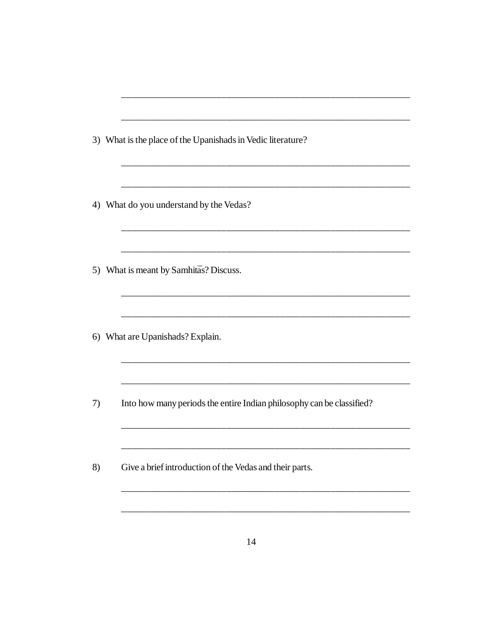|    | 3) What is the place of the Upanishads in Vedic literature?           |
|----|-----------------------------------------------------------------------|
|    |                                                                       |
|    | 4) What do you understand by the Vedas?                               |
|    |                                                                       |
|    | 5) What is meant by Samhitas? Discuss.                                |
|    |                                                                       |
|    | 6) What are Upanishads? Explain.                                      |
|    |                                                                       |
| 7) | Into how many periods the entire Indian philosophy can be classified? |
|    |                                                                       |
| 8) | Give a brief introduction of the Vedas and their parts.               |
|    |                                                                       |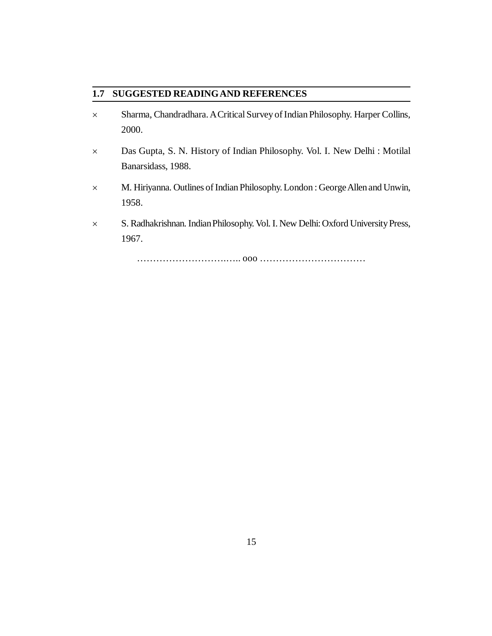## **1.7 SUGGESTED READINGAND REFERENCES**

- Sharma, Chandradhara. A Critical Survey of Indian Philosophy. Harper Collins, 2000.
- Das Gupta, S. N. History of Indian Philosophy. Vol. I. New Delhi : Motilal Banarsidass, 1988.
- M. Hiriyanna. Outlines of Indian Philosophy. London : George Allen and Unwin, 1958.
- S. Radhakrishnan. Indian Philosophy. Vol. I. New Delhi: Oxford University Press, 1967.

……………………….….. ooo ……………………………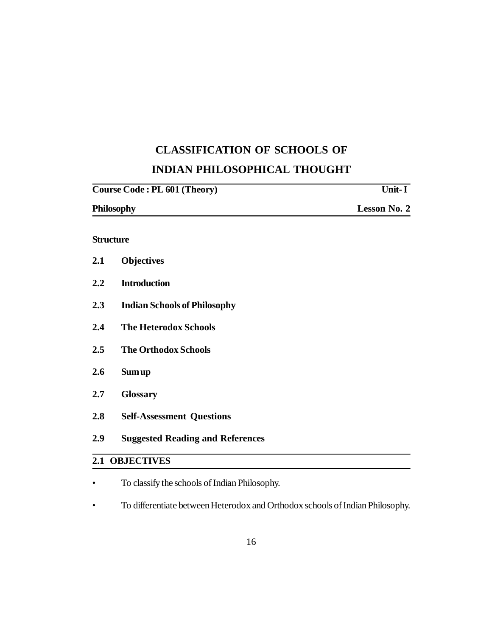## **CLASSIFICATION OF SCHOOLS OF INDIAN PHILOSOPHICAL THOUGHT**

| Unit- I             |
|---------------------|
| <b>Lesson No. 2</b> |
|                     |
|                     |

## **Structure**

| <b>Suggested Reading and References</b> |
|-----------------------------------------|
| <b>Self-Assessment Questions</b>        |
| <b>Glossary</b>                         |
| Sum up                                  |
| <b>The Orthodox Schools</b>             |
| <b>The Heterodox Schools</b>            |
| <b>Indian Schools of Philosophy</b>     |
| <b>Introduction</b>                     |
| <b>Objectives</b>                       |
|                                         |

- To classify the schools of Indian Philosophy.
- To differentiate between Heterodox and Orthodox schools of Indian Philosophy.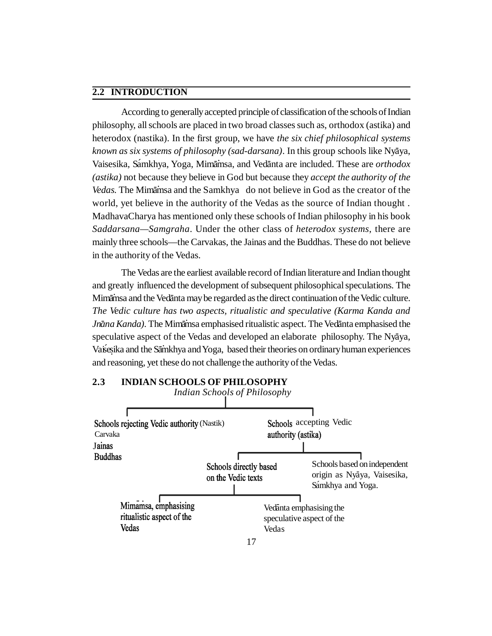#### **2.2 INTRODUCTION**

According to generally accepted principle of classification of the schools of Indian philosophy, all schools are placed in two broad classes such as, orthodox (astika) and heterodox (nastika). In the first group, we have *the six chief philosophical systems* known as six systems of philosophy (sad-darsana). In this group schools like Nya<sup>ya</sup>, Vaisesika, Sámkhya, Yoga, Mimāmsa, and Vedānta are included. These are *orthodox (astika)* not because they believe in God but because they *accept the authority of the* Vedas. The Mimamsa and the Samkhya do not believe in God as the creator of the world, yet believe in the authority of the Vedas as the source of Indian thought . MadhavaCharya has mentioned only these schools of Indian philosophy in his book *Saddarsana—Samgraha*. Under the other class of *heterodox systems*, there are mainly three schools—the Carvakas, the Jainas and the Buddhas. These do not believe in the authority of the Vedas.

The Vedas are the earliest available record of Indian literature and Indian thought and greatly influenced the development of subsequent philosophical speculations. The Mimamsa and the Vedanta may be regarded as the direct continuation of the Vedic culture. *The Vedic culture has two aspects, ritualistic and speculative (Karma Kanda and Jnāna Kanda*). The Mimāmsa emphasised ritualistic aspect. The Vedānta emphasised the speculative aspect of the Vedas and developed an elaborate philosophy. The Nyaya, Vaisesika and the Samkhya and Yoga, based their theories on ordinary human experiences and reasoning, yet these do not challenge the authority of the Vedas.



#### **2.3 INDIAN SCHOOLS OF PHILOSOPHY**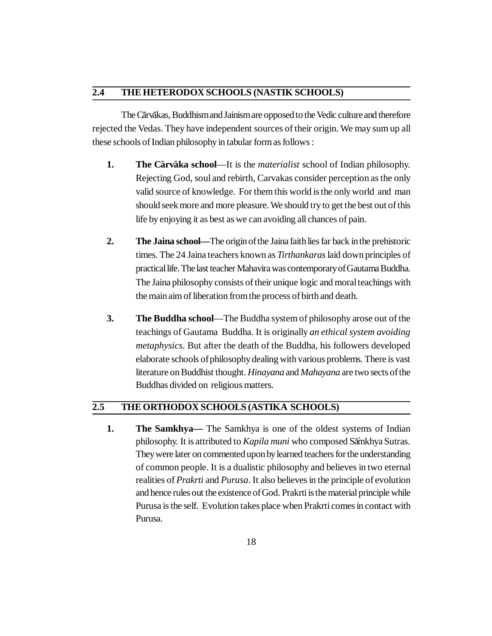## **2.4 THE HETERODOX SCHOOLS (NASTIK SCHOOLS)**

The Cārvākas, Buddhism and Jainism are opposed to the Vedic culture and therefore rejected the Vedas. They have independent sources of their origin. We may sum up all these schools of Indian philosophy in tabular form as follows :

- **1. The Cārvāka school—It** is the *materialist* school of Indian philosophy. Rejecting God, soul and rebirth, Carvakas consider perception as the only valid source of knowledge. For them this world is the only world and man should seek more and more pleasure. We should try to get the best out of this life by enjoying it as best as we can avoiding all chances of pain.
- **2. The Jaina school—**The origin of the Jaina faith lies far back in the prehistoric times. The 24 Jaina teachers known as *Tirthankaras* laid down principles of practical life. The last teacher Mahavira was contemporary of Gautama Buddha. The Jaina philosophy consists of their unique logic and moral teachings with the main aim of liberation from the process of birth and death.
- **3. The Buddha school**—The Buddha system of philosophy arose out of the teachings of Gautama Buddha. It is originally *an ethical system avoiding metaphysics*. But after the death of the Buddha, his followers developed elaborate schools of philosophy dealing with various problems. There is vast literature on Buddhist thought. *Hinayana* and *Mahayana* are two sects of the Buddhas divided on religious matters.

### **2.5 THE ORTHODOX SCHOOLS (ASTIKA SCHOOLS)**

**1. The Samkhya—** The Samkhya is one of the oldest systems of Indian philosophy. It is attributed to *Kapila muni* who composed Samkhya Sutras. They were later on commented upon by learned teachers for the understanding of common people. It is a dualistic philosophy and believes in two eternal realities of *Prakrti* and *Purusa*. It also believes in the principle of evolution and hence rules out the existence of God. Prakrti is the material principle while Purusa is the self. Evolution takes place when Prakrti comes in contact with Purusa.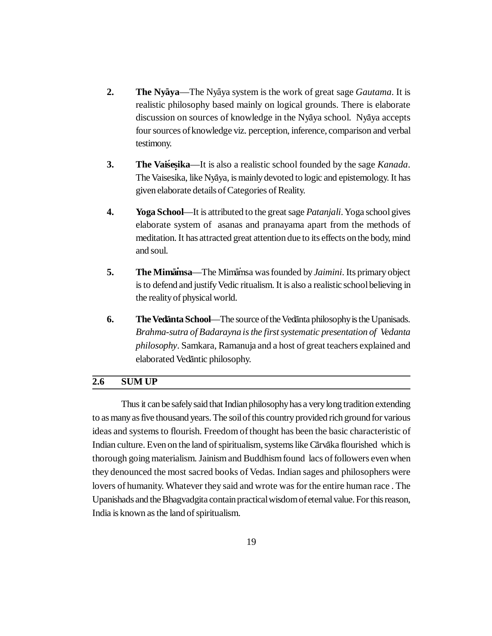- **2. The Nyaya**—The Nyaya system is the work of great sage *Gautama*. It is realistic philosophy based mainly on logical grounds. There is elaborate discussion on sources of knowledge in the Nyaya school. Nyaya accepts four sources of knowledge viz. perception, inference, comparison and verbal testimony.
- **3. The Vaisesika**—It is also a realistic school founded by the sage *Kanada*. The Vaisesika, like Nyāya, is mainly devoted to logic and epistemology. It has given elaborate details of Categories of Reality.
- **4. Yoga School**—It is attributed to the great sage *Patanjali*. Yoga school gives elaborate system of asanas and pranayama apart from the methods of meditation. It has attracted great attention due to its effects on the body, mind and soul.
- 5. The Mimamsa—The Mimamsa was founded by *Jaimini*. Its primary object is to defend and justify Vedic ritualism. It is also a realistic school believing in the reality of physical world.
- **6.** The Vedanta School—The source of the Vedanta philosophy is the Upanisads. *Brahma-sutra of Badarayna is the first systematic presentation of Vedanta philosophy*. Samkara, Ramanuja and a host of great teachers explained and elaborated Vedāntic philosophy.

## **2.6 SUM UP**

Thus it can be safely said that Indian philosophy has a very long tradition extending to as many as five thousand years. The soil of this country provided rich ground for various ideas and systems to flourish. Freedom of thought has been the basic characteristic of Indian culture. Even on the land of spiritualism, systems like Cārvāka flourished which is thorough going materialism. Jainism and Buddhism found lacs of followers even when they denounced the most sacred books of Vedas. Indian sages and philosophers were lovers of humanity. Whatever they said and wrote was for the entire human race . The Upanishads and the Bhagvadgita contain practical wisdom of eternal value. For this reason, India is known as the land of spiritualism.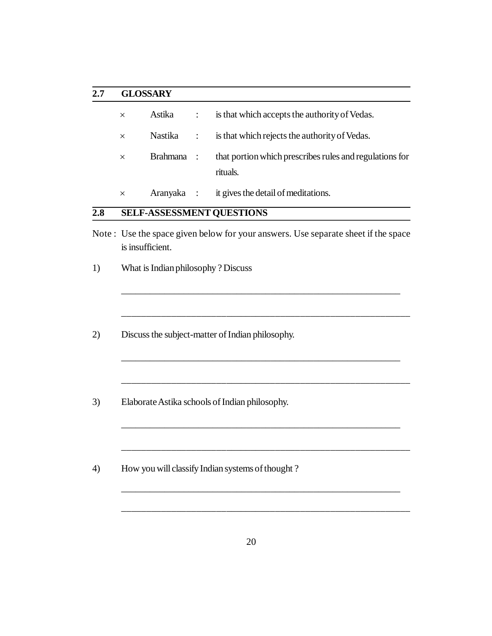## **2.7 GLOSSARY**

| $\times$ | Astika     | $\mathbb{R}$ | is that which accepts the authority of Vedas.                       |
|----------|------------|--------------|---------------------------------------------------------------------|
| $\times$ |            |              | Nastika : is that which rejects the authority of Vedas.             |
| $\times$ | Brahmana : |              | that portion which prescribes rules and regulations for<br>rituals. |

Aranyaka : it gives the detail of meditations.

## **2.8 SELF-ASSESSMENT QUESTIONS**

Note : Use the space given below for your answers. Use separate sheet if the space is insufficient.

\_\_\_\_\_\_\_\_\_\_\_\_\_\_\_\_\_\_\_\_\_\_\_\_\_\_\_\_\_\_\_\_\_\_\_\_\_\_\_\_\_\_\_\_\_\_\_\_\_\_\_\_\_\_\_\_\_\_

\_\_\_\_\_\_\_\_\_\_\_\_\_\_\_\_\_\_\_\_\_\_\_\_\_\_\_\_\_\_\_\_\_\_\_\_\_\_\_\_\_\_\_\_\_\_\_\_\_\_\_\_\_\_\_\_\_\_

\_\_\_\_\_\_\_\_\_\_\_\_\_\_\_\_\_\_\_\_\_\_\_\_\_\_\_\_\_\_\_\_\_\_\_\_\_\_\_\_\_\_\_\_\_\_\_\_\_\_\_\_\_\_\_\_\_\_

\_\_\_\_\_\_\_\_\_\_\_\_\_\_\_\_\_\_\_\_\_\_\_\_\_\_\_\_\_\_\_\_\_\_\_\_\_\_\_\_\_\_\_\_\_\_\_\_\_\_\_\_\_\_\_\_\_\_

\_\_\_\_\_\_\_\_\_\_\_\_\_\_\_\_\_\_\_\_\_\_\_\_\_\_\_\_\_\_\_\_\_\_\_\_\_\_\_\_\_\_\_\_\_\_\_\_\_\_\_\_\_\_\_\_\_\_

\_\_\_\_\_\_\_\_\_\_\_\_\_\_\_\_\_\_\_\_\_\_\_\_\_\_\_\_\_\_\_\_\_\_\_\_\_\_\_\_\_\_\_\_\_\_\_\_\_\_\_\_\_\_\_\_\_\_

\_\_\_\_\_\_\_\_\_\_\_\_\_\_\_\_\_\_\_\_\_\_\_\_\_\_\_\_\_\_\_\_\_\_\_\_\_\_\_\_\_\_\_\_\_\_\_\_\_\_\_\_\_\_\_\_\_\_

- 1) What is Indian philosophy ? Discuss
- 2) Discuss the subject-matter of Indian philosophy.
- 3) Elaborate Astika schools of Indian philosophy.
- 4) How you will classify Indian systems of thought ?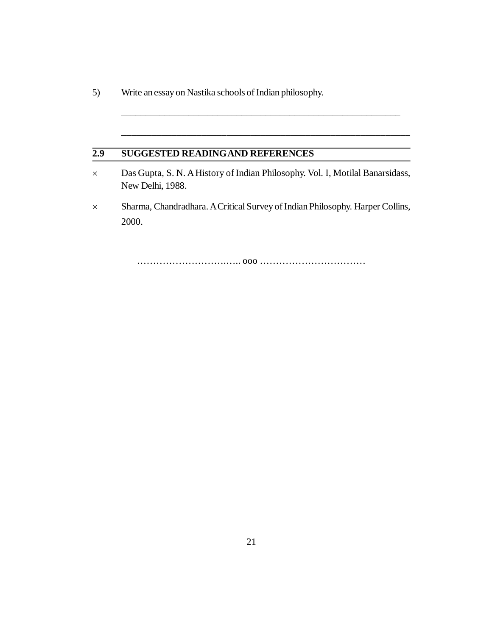5) Write an essay on Nastika schools of Indian philosophy.

## **2.9 SUGGESTED READINGAND REFERENCES**

 Das Gupta, S. N. A History of Indian Philosophy. Vol. I, Motilal Banarsidass, New Delhi, 1988.

\_\_\_\_\_\_\_\_\_\_\_\_\_\_\_\_\_\_\_\_\_\_\_\_\_\_\_\_\_\_\_\_\_\_\_\_\_\_\_\_\_\_\_\_\_\_\_\_\_\_\_\_\_\_\_\_\_\_

\_\_\_\_\_\_\_\_\_\_\_\_\_\_\_\_\_\_\_\_\_\_\_\_\_\_\_\_\_\_\_\_\_\_\_\_\_\_\_\_\_\_\_\_\_\_\_\_\_\_\_\_\_\_\_\_\_\_

 Sharma, Chandradhara. A Critical Survey of Indian Philosophy. Harper Collins, 2000.

……………………….….. ooo ……………………………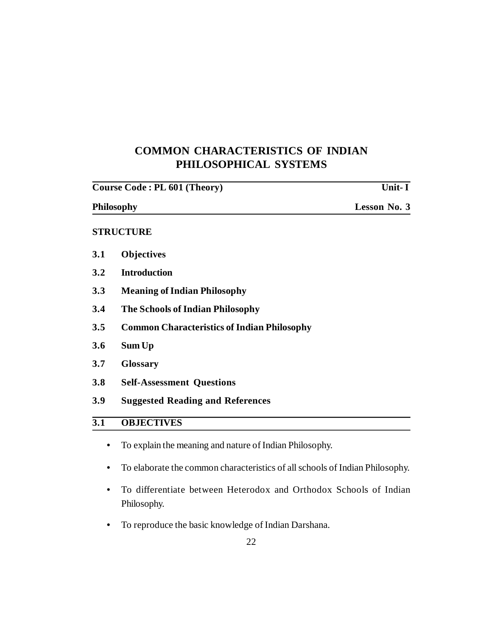## **COMMON CHARACTERISTICS OF INDIAN PHILOSOPHICAL SYSTEMS**

| Lesson No. 3 |
|--------------|
|              |
|              |
|              |
|              |
|              |
|              |
|              |
|              |
|              |
|              |
|              |
|              |
|              |

- **•** To explain the meaning and nature of Indian Philosophy.
- **•** To elaborate the common characteristics of all schools of Indian Philosophy.
- **•** To differentiate between Heterodox and Orthodox Schools of Indian Philosophy.
- **•** To reproduce the basic knowledge of Indian Darshana.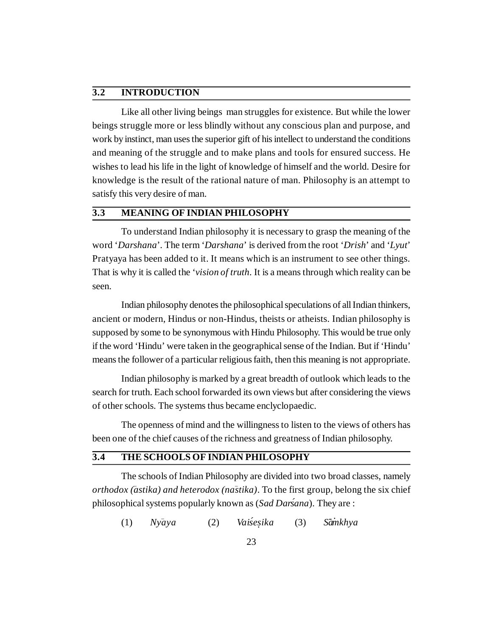## **3.2 INTRODUCTION**

Like all other living beings man struggles for existence. But while the lower beings struggle more or less blindly without any conscious plan and purpose, and work by instinct, man uses the superior gift of his intellect to understand the conditions and meaning of the struggle and to make plans and tools for ensured success. He wishes to lead his life in the light of knowledge of himself and the world. Desire for knowledge is the result of the rational nature of man. Philosophy is an attempt to satisfy this very desire of man.

## **3.3 MEANING OF INDIAN PHILOSOPHY**

To understand Indian philosophy it is necessary to grasp the meaning of the word '*Darshana*'. The term '*Darshana*' is derived from the root '*Drish*' and '*Lyut*' Pratyaya has been added to it. It means which is an instrument to see other things. That is why it is called the '*vision of truth*. It is a means through which reality can be seen.

Indian philosophy denotes the philosophical speculations of all Indian thinkers, ancient or modern, Hindus or non-Hindus, theists or atheists. Indian philosophy is supposed by some to be synonymous with Hindu Philosophy. This would be true only if the word 'Hindu' were taken in the geographical sense of the Indian. But if 'Hindu' means the follower of a particular religious faith, then this meaning is not appropriate.

Indian philosophy is marked by a great breadth of outlook which leads to the search for truth. Each school forwarded its own views but after considering the views of other schools. The systems thus became enclyclopaedic.

The openness of mind and the willingness to listen to the views of others has been one of the chief causes of the richness and greatness of Indian philosophy.

## **3.4 THE SCHOOLS OF INDIAN PHILOSOPHY**

The schools of Indian Philosophy are divided into two broad classes, namely *orthodox (astika) and heterodox (nāstika)*. To the first group, belong the six chief philosophical systems popularly known as (*Sad Darsana ´* ). They are :

(1) *Ny– aya* (2) *Vaise´ . sika* (3) *S*  $$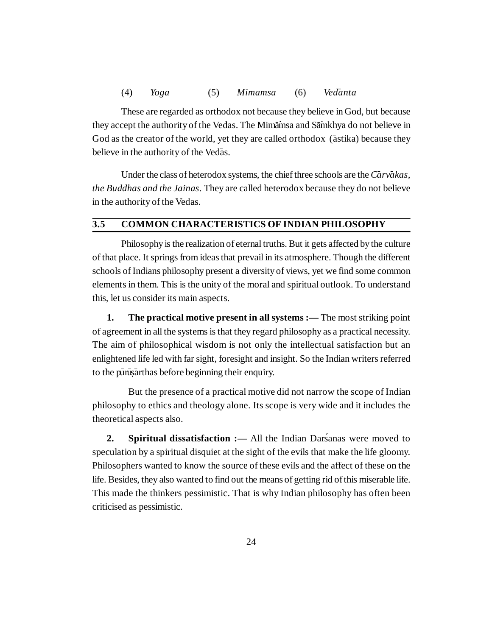These are regarded as orthodox not because they believe in God, but because they accept the authority of the Vedas. The Mimainsa and Sainkhya do not believe in God as the creator of the world, yet they are called orthodox (astika) because they believe in the authority of the Vedas.

Under the class of heterodox systems, the chief three schools are the *Carvakas*, *the Buddhas and the Jainas*. They are called heterodox because they do not believe in the authority of the Vedas.

## **3.5 COMMON CHARACTERISTICS OF INDIAN PHILOSOPHY**

Philosophy is the realization of eternal truths. But it gets affected by the culture of that place. It springs from ideas that prevail in its atmosphere. Though the different schools of Indians philosophy present a diversity of views, yet we find some common elements in them. This is the unity of the moral and spiritual outlook. To understand this, let us consider its main aspects.

**1. The practical motive present in all systems :—** The most striking point of agreement in all the systems is that they regard philosophy as a practical necessity. The aim of philosophical wisdom is not only the intellectual satisfaction but an enlightened life led with far sight, foresight and insight. So the Indian writers referred to the purust arthas before beginning their enquiry.

But the presence of a practical motive did not narrow the scope of Indian philosophy to ethics and theology alone. Its scope is very wide and it includes the theoretical aspects also.

2. **Spiritual dissatisfaction :** All the Indian Darsanas were moved to speculation by a spiritual disquiet at the sight of the evils that make the life gloomy. Philosophers wanted to know the source of these evils and the affect of these on the life. Besides, they also wanted to find out the means of getting rid of this miserable life. This made the thinkers pessimistic. That is why Indian philosophy has often been criticised as pessimistic.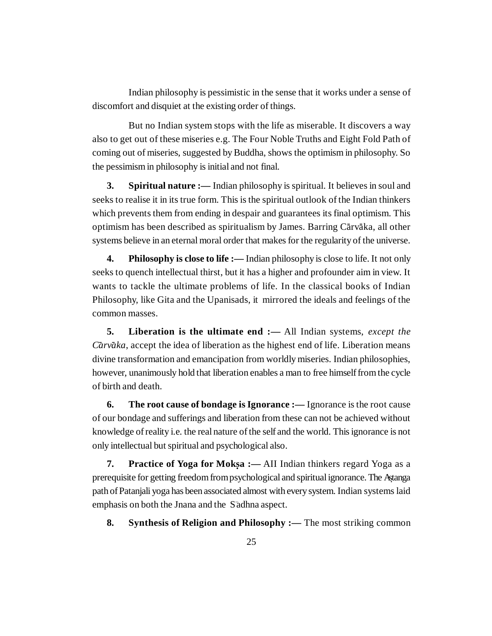Indian philosophy is pessimistic in the sense that it works under a sense of discomfort and disquiet at the existing order of things.

But no Indian system stops with the life as miserable. It discovers a way also to get out of these miseries e.g. The Four Noble Truths and Eight Fold Path of coming out of miseries, suggested by Buddha, shows the optimism in philosophy. So the pessimism in philosophy is initial and not final.

**3. Spiritual nature :—** Indian philosophy is spiritual. It believes in soul and seeks to realise it in its true form. This is the spiritual outlook of the Indian thinkers which prevents them from ending in despair and guarantees its final optimism. This optimism has been described as spiritualism by James. Barring Cārvāka, all other systems believe in an eternal moral order that makes for the regularity of the universe.

**4. Philosophy is close to life :—** Indian philosophy is close to life. It not only seeks to quench intellectual thirst, but it has a higher and profounder aim in view. It wants to tackle the ultimate problems of life. In the classical books of Indian Philosophy, like Gita and the Upanisads, it mirrored the ideals and feelings of the common masses.

**5. Liberation is the ultimate end :—** All Indian systems, *except the* Carvaka, accept the idea of liberation as the highest end of life. Liberation means divine transformation and emancipation from worldly miseries. Indian philosophies, however, unanimously hold that liberation enables a man to free himself from the cycle of birth and death.

**6. The root cause of bondage is Ignorance :—** Ignorance is the root cause of our bondage and sufferings and liberation from these can not be achieved without knowledge of reality i.e. the real nature of the self and the world. This ignorance is not only intellectual but spiritual and psychological also.

**7. Practice of Yoga for Mokṣa :** — AII Indian thinkers regard Yoga as a prerequisite for getting freedom from psychological and spiritual ignorance. The Astanga . path of Patanjali yoga has been associated almost with every system. Indian systems laid emphasis on both the Jnana and the Sadhna aspect.

**8. Synthesis of Religion and Philosophy :—** The most striking common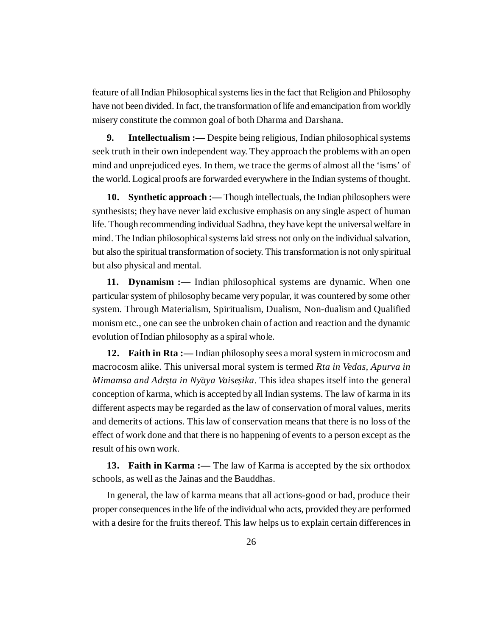feature of all Indian Philosophical systems lies in the fact that Religion and Philosophy have not been divided. In fact, the transformation of life and emancipation from worldly misery constitute the common goal of both Dharma and Darshana.

**9. Intellectualism :—** Despite being religious, Indian philosophical systems seek truth in their own independent way. They approach the problems with an open mind and unprejudiced eyes. In them, we trace the germs of almost all the 'isms' of the world. Logical proofs are forwarded everywhere in the Indian systems of thought.

**10. Synthetic approach :—** Though intellectuals, the Indian philosophers were synthesists; they have never laid exclusive emphasis on any single aspect of human life. Though recommending individual Sadhna, they have kept the universal welfare in mind. The Indian philosophical systems laid stress not only on the individual salvation, but also the spiritual transformation of society. This transformation is not only spiritual but also physical and mental.

**11. Dynamism :—** Indian philosophical systems are dynamic. When one particular system of philosophy became very popular, it was countered by some other system. Through Materialism, Spiritualism, Dualism, Non-dualism and Qualified monism etc., one can see the unbroken chain of action and reaction and the dynamic evolution of Indian philosophy as a spiral whole.

**12. Faith in Rta :—** Indian philosophy sees a moral system in microcosm and macrocosm alike. This universal moral system is termed *Rta in Vedas, Apurva in Mimamsa and Adrsta in Nyaya Vaisesika*. This idea shapes itself into the general conception of karma, which is accepted by all Indian systems. The law of karma in its different aspects may be regarded as the law of conservation of moral values, merits and demerits of actions. This law of conservation means that there is no loss of the effect of work done and that there is no happening of events to a person except as the result of his own work.

**13. Faith in Karma :—** The law of Karma is accepted by the six orthodox schools, as well as the Jainas and the Bauddhas.

In general, the law of karma means that all actions-good or bad, produce their proper consequences in the life of the individual who acts, provided they are performed with a desire for the fruits thereof. This law helps us to explain certain differences in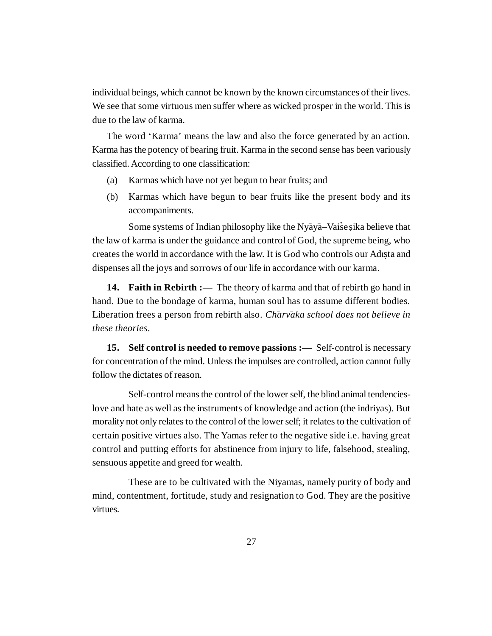individual beings, which cannot be known by the known circumstances of their lives. We see that some virtuous men suffer where as wicked prosper in the world. This is due to the law of karma.

The word 'Karma' means the law and also the force generated by an action. Karma has the potency of bearing fruit. Karma in the second sense has been variously classified. According to one classification:

- (a) Karmas which have not yet begun to bear fruits; and
- (b) Karmas which have begun to bear fruits like the present body and its accompaniments.

Some systems of Indian philosophy like the Nyaya-Vaise sika believe that the law of karma is under the guidance and control of God, the supreme being, who creates the world in accordance with the law. It is God who controls our Adrsta and **.** dispenses all the joys and sorrows of our life in accordance with our karma.

**14. Faith in Rebirth :—** The theory of karma and that of rebirth go hand in hand. Due to the bondage of karma, human soul has to assume different bodies. Liberation frees a person from rebirth also. *Charvaka school does not believe in these theories*.

**15. Self control is needed to remove passions :—** Self-control is necessary for concentration of the mind. Unless the impulses are controlled, action cannot fully follow the dictates of reason.

Self-control means the control of the lower self, the blind animal tendencieslove and hate as well as the instruments of knowledge and action (the indriyas). But morality not only relates to the control of the lower self; it relates to the cultivation of certain positive virtues also. The Yamas refer to the negative side i.e. having great control and putting efforts for abstinence from injury to life, falsehood, stealing, sensuous appetite and greed for wealth.

These are to be cultivated with the Niyamas, namely purity of body and mind, contentment, fortitude, study and resignation to God. They are the positive virtues.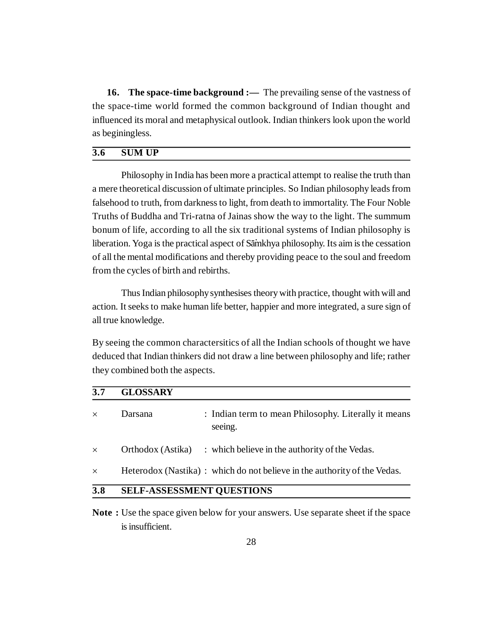**16. The space-time background :—** The prevailing sense of the vastness of the space-time world formed the common background of Indian thought and influenced its moral and metaphysical outlook. Indian thinkers look upon the world as beginingless.

## **3.6 SUM UP**

Philosophy in India has been more a practical attempt to realise the truth than a mere theoretical discussion of ultimate principles. So Indian philosophy leads from falsehood to truth, from darkness to light, from death to immortality. The Four Noble Truths of Buddha and Tri-ratna of Jainas show the way to the light. The summum bonum of life, according to all the six traditional systems of Indian philosophy is liberation. Yoga is the practical aspect of Sāmkhya philosophy. Its aim is the cessation of all the mental modifications and thereby providing peace to the soul and freedom from the cycles of birth and rebirths.

Thus Indian philosophy synthesises theory with practice, thought with will and action. It seeks to make human life better, happier and more integrated, a sure sign of all true knowledge.

By seeing the common charactersitics of all the Indian schools of thought we have deduced that Indian thinkers did not draw a line between philosophy and life; rather they combined both the aspects.

| 3.7      | <b>GLOSSARY</b>                  |                                                                           |
|----------|----------------------------------|---------------------------------------------------------------------------|
| $\times$ | Darsana                          | : Indian term to mean Philosophy. Literally it means<br>seeing.           |
| $\times$ | Orthodox (Astika)                | : which believe in the authority of the Vedas.                            |
| $\times$ |                                  | Heterodox (Nastika) : which do not believe in the authority of the Vedas. |
| 3.8      | <b>SELF-ASSESSMENT QUESTIONS</b> |                                                                           |

**Note :** Use the space given below for your answers. Use separate sheet if the space is insufficient.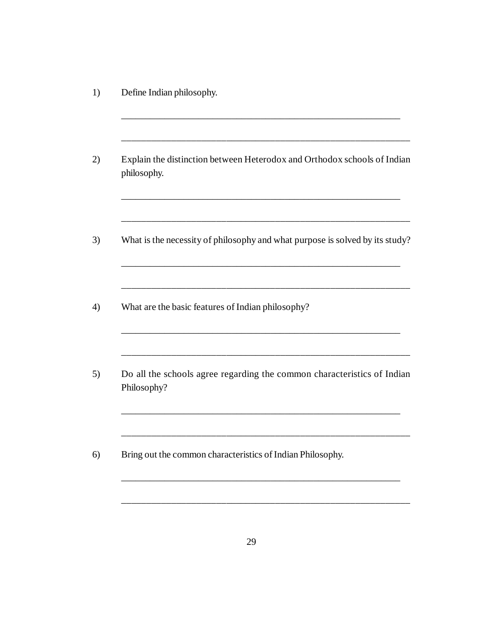1) Define Indian philosophy.

| Explain the distinction between Heterodox and Orthodox schools of Indian<br>philosophy. |
|-----------------------------------------------------------------------------------------|
| What is the necessity of philosophy and what purpose is solved by its study?            |
| What are the basic features of Indian philosophy?                                       |
| Do all the schools agree regarding the common characteristics of Indian<br>Philosophy?  |
| Bring out the common characteristics of Indian Philosophy.                              |

\_\_\_\_\_\_\_\_\_\_\_\_\_\_\_\_\_\_\_\_\_\_\_\_\_\_\_\_\_\_\_\_\_\_\_\_\_\_\_\_\_\_\_\_\_\_\_\_\_\_\_\_\_\_\_\_\_\_

\_\_\_\_\_\_\_\_\_\_\_\_\_\_\_\_\_\_\_\_\_\_\_\_\_\_\_\_\_\_\_\_\_\_\_\_\_\_\_\_\_\_\_\_\_\_\_\_\_\_\_\_\_\_\_\_\_\_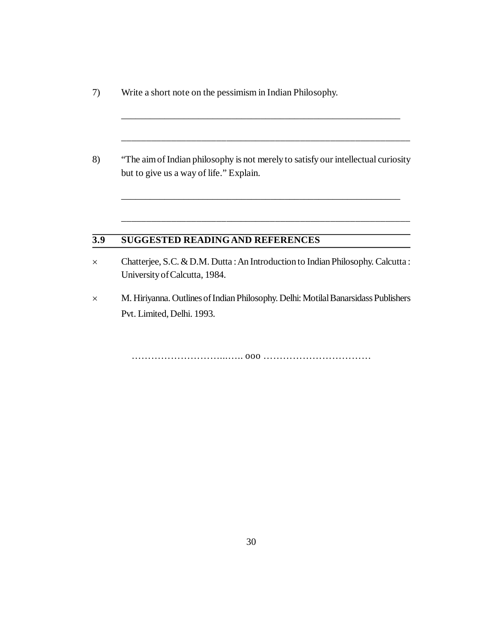- 7) Write a short note on the pessimism in Indian Philosophy.
- 8) "The aim of Indian philosophy is not merely to satisfy our intellectual curiosity but to give us a way of life." Explain.

\_\_\_\_\_\_\_\_\_\_\_\_\_\_\_\_\_\_\_\_\_\_\_\_\_\_\_\_\_\_\_\_\_\_\_\_\_\_\_\_\_\_\_\_\_\_\_\_\_\_\_\_\_\_\_\_\_\_

\_\_\_\_\_\_\_\_\_\_\_\_\_\_\_\_\_\_\_\_\_\_\_\_\_\_\_\_\_\_\_\_\_\_\_\_\_\_\_\_\_\_\_\_\_\_\_\_\_\_\_\_\_\_\_\_\_\_

\_\_\_\_\_\_\_\_\_\_\_\_\_\_\_\_\_\_\_\_\_\_\_\_\_\_\_\_\_\_\_\_\_\_\_\_\_\_\_\_\_\_\_\_\_\_\_\_\_\_\_\_\_\_\_\_\_\_

\_\_\_\_\_\_\_\_\_\_\_\_\_\_\_\_\_\_\_\_\_\_\_\_\_\_\_\_\_\_\_\_\_\_\_\_\_\_\_\_\_\_\_\_\_\_\_\_\_\_\_\_\_\_\_\_\_\_

## **3.9 SUGGESTED READINGAND REFERENCES**

- Chatterjee, S.C. & D.M. Dutta : An Introduction to Indian Philosophy. Calcutta : University of Calcutta, 1984.
- M. Hiriyanna. Outlines of Indian Philosophy. Delhi: Motilal Banarsidass Publishers Pvt. Limited, Delhi. 1993.

………………………...….. ooo ……………………………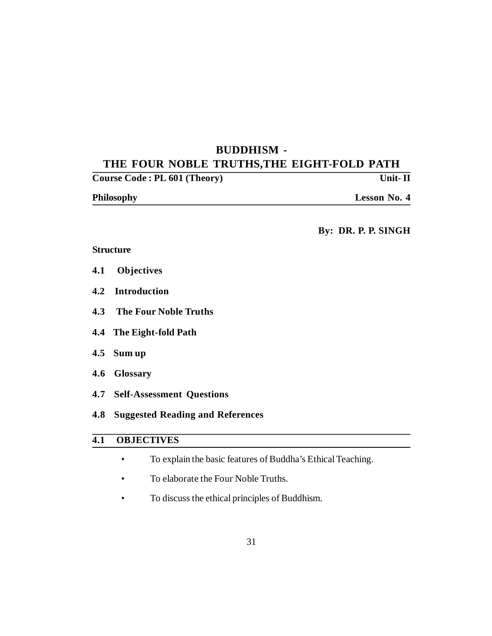## **BUDDHISM - THE FOUR NOBLE TRUTHS,THE EIGHT-FOLD PATH**

| Course Code: PL 601 (Theory) | Unit-II             |
|------------------------------|---------------------|
| <b>Philosophy</b>            | <b>Lesson No. 4</b> |

**By: DR. P. P. SINGH**

## **Structure**

- **4.1 Objectives**
- **4.2 Introduction**
- **4.3 The Four Noble Truths**
- **4.4 The Eight-fold Path**
- **4.5 Sum up**
- **4.6 Glossary**
- **4.7 Self-Assessment Questions**
- **4.8 Suggested Reading and References**

## **4.1 OBJECTIVES**

- To explain the basic features of Buddha's Ethical Teaching.
- To elaborate the Four Noble Truths.
- To discuss the ethical principles of Buddhism.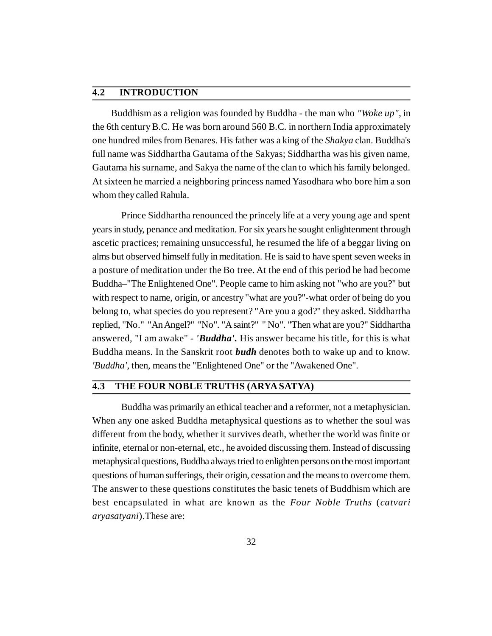## **4.2 INTRODUCTION**

 Buddhism as a religion was founded by Buddha - the man who *"Woke up"*, in the 6th century B.C. He was born around 560 B.C. in northern India approximately one hundred miles from Benares. His father was a king of the *Shakya* clan. Buddha's full name was Siddhartha Gautama of the Sakyas; Siddhartha was his given name, Gautama his surname, and Sakya the name of the clan to which his family belonged. At sixteen he married a neighboring princess named Yasodhara who bore him a son whom they called Rahula.

Prince Siddhartha renounced the princely life at a very young age and spent years in study, penance and meditation. For six years he sought enlightenment through ascetic practices; remaining unsuccessful, he resumed the life of a beggar living on alms but observed himself fully in meditation. He is said to have spent seven weeks in a posture of meditation under the Bo tree. At the end of this period he had become Buddha–"The Enlightened One". People came to him asking not "who are you?" but with respect to name, origin, or ancestry "what are you?"-what order of being do you belong to, what species do you represent? "Are you a god?" they asked. Siddhartha replied, "No." "An Angel?" "No". "A saint?" " No". "Then what are you?" Siddhartha answered, "I am awake" - *'Buddha'.* His answer became his title, for this is what Buddha means. In the Sanskrit root *budh* denotes both to wake up and to know. 'Buddha', then, means the "Enlightened One" or the "Awakened One".

## **4.3 THE FOUR NOBLE TRUTHS (ARYA SATYA)**

Buddha was primarily an ethical teacher and a reformer, not a metaphysician. When any one asked Buddha metaphysical questions as to whether the soul was different from the body, whether it survives death, whether the world was finite or infinite, eternal or non-eternal, etc., he avoided discussing them. Instead of discussing metaphysical questions, Buddha always tried to enlighten persons on the most important questions of human sufferings, their origin, cessation and the means to overcome them. The answer to these questions constitutes the basic tenets of Buddhism which are best encapsulated in what are known as the *Four Noble Truths* (*catvari aryasatyani*).These are: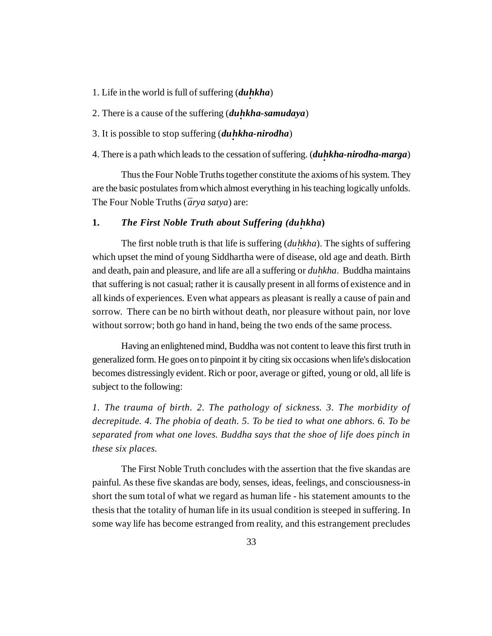- 1. Life in the world is full of suffering (*duhkha*)
- 2. There is a cause of the suffering (*du · hkha-samudaya*)
- 3. It is possible to stop suffering (*du · hkha-nirodha*)

## 4. There is a path which leads to the cessation of suffering. (*du · hkha-nirodha-marga*)

Thus the Four Noble Truths together constitute the axioms of his system. They are the basic postulates from which almost everything in his teaching logically unfolds. The Four Noble Truths ( $\bar{a}$ *rya satya*) are:

## **1.** The First Noble Truth about Suffering (duhkha)

The first noble truth is that life is suffering (*duhkha*). The sights of suffering which upset the mind of young Siddhartha were of disease, old age and death. Birth and death, pain and pleasure, and life are all a suffering or *duhkha*. Buddha maintains that suffering is not casual; rather it is causally present in all forms of existence and in all kinds of experiences. Even what appears as pleasant is really a cause of pain and sorrow. There can be no birth without death, nor pleasure without pain, nor love without sorrow; both go hand in hand, being the two ends of the same process.

Having an enlightened mind, Buddha was not content to leave this first truth in generalized form. He goes on to pinpoint it by citing six occasions when life's dislocation becomes distressingly evident. Rich or poor, average or gifted, young or old, all life is subject to the following:

*1. The trauma of birth. 2. The pathology of sickness. 3. The morbidity of decrepitude. 4. The phobia of death. 5. To be tied to what one abhors. 6. To be separated from what one loves. Buddha says that the shoe of life does pinch in these six places.*

The First Noble Truth concludes with the assertion that the five skandas are painful. As these five skandas are body, senses, ideas, feelings, and consciousness-in short the sum total of what we regard as human life - his statement amounts to the thesis that the totality of human life in its usual condition is steeped in suffering. In some way life has become estranged from reality, and this estrangement precludes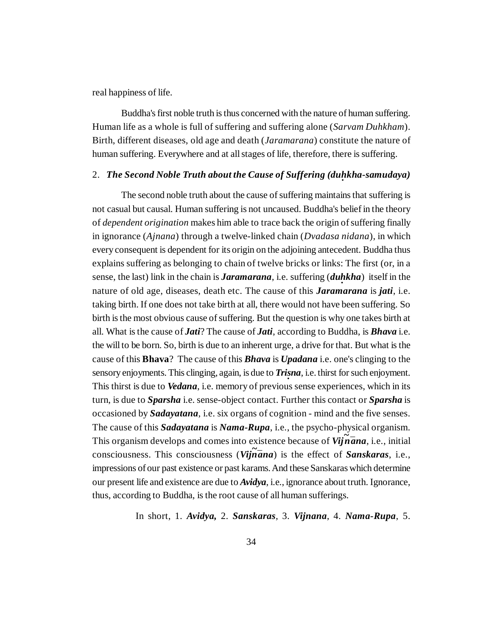real happiness of life.

Buddha's first noble truth is thus concerned with the nature of human suffering. Human life as a whole is full of suffering and suffering alone (*Sarvam Duhkham*). Birth, different diseases, old age and death (*Jaramarana*) constitute the nature of human suffering. Everywhere and at all stages of life, therefore, there is suffering.

## 2. *The Second Noble Truth about the Cause of Suffering (du · hkha-samudaya)*

The second noble truth about the cause of suffering maintains that suffering is not casual but causal. Human suffering is not uncaused. Buddha's belief in the theory of *dependent origination* makes him able to trace back the origin of suffering finally in ignorance (*Ajnana*) through a twelve-linked chain (*Dvadasa nidana*), in which every consequent is dependent for its origin on the adjoining antecedent. Buddha thus explains suffering as belonging to chain of twelve bricks or links: The first (or, in a sense, the last) link in the chain is *Jaramarana*, i.e. suffering (*duhkha*) itself in the nature of old age, diseases, death etc. The cause of this *Jaramarana* is *jati*, i.e. taking birth. If one does not take birth at all, there would not have been suffering. So birth is the most obvious cause of suffering. But the question is why one takes birth at all. What is the cause of *Jati*? The cause of *Jati*, according to Buddha, is *Bhava* i.e. the will to be born. So, birth is due to an inherent urge, a drive for that. But what is the cause of this **Bhava**? The cause of this *Bhava* is *Upadana* i.e. one's clinging to the sensory enjoyments. This clinging, again, is due to *Trisna*, i.e. thirst for such enjoyment. This thirst is due to *Vedana*, i.e. memory of previous sense experiences, which in its turn, is due to *Sparsha* i.e. sense-object contact. Further this contact or *Sparsha* is occasioned by *Sadayatana*, i.e. six organs of cognition - mind and the five senses. The cause of this *Sadayatana* is *Nama-Rupa*, i.e., the psycho-physical organism. This organism develops and comes into existence because of  $Vij\tilde{n}$ *ana*, i.e., initial consciousness. This consciousness (*Vijñana*) is the effect of *Sanskaras*, i.e., impressions of our past existence or past karams. And these Sanskaras which determine our present life and existence are due to *Avidya*, i.e., ignorance about truth. Ignorance, thus, according to Buddha, is the root cause of all human sufferings.

In short, 1. *Avidya,* 2. *Sanskaras*, 3. *Vijnana*, 4. *Nama-Rupa*, 5.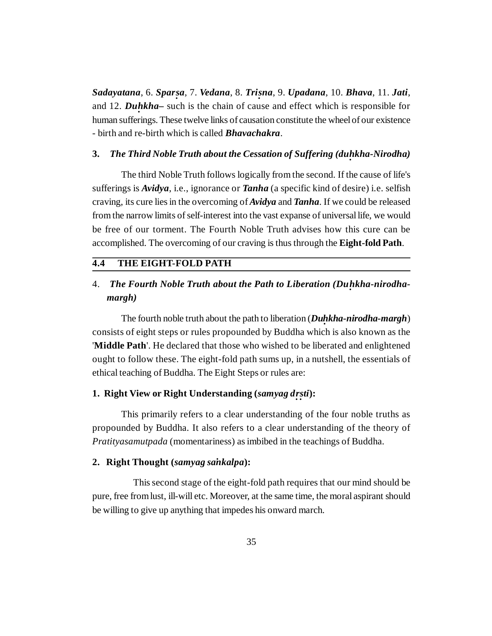*Sadayatana*, 6. *Spar sa*, 7. *Vedana*, 8. *Tri sna*, 9. *Upadana*, 10. *Bhava*, 11. *Jati*, *· ·* and 12. *Du hkha–* such is the chain of cause and effect which is responsible for *·* human sufferings. These twelve links of causation constitute the wheel of our existence - birth and re-birth which is called *Bhavachakra*.

## **3.** *The Third Noble Truth about the Cessation of Suffering (du · hkha-Nirodha)*

The third Noble Truth follows logically from the second. If the cause of life's sufferings is *Avidya*, i.e., ignorance or *Tanha* (a specific kind of desire) i.e. selfish craving, its cure lies in the overcoming of *Avidya* and *Tanha*. If we could be released from the narrow limits of self-interest into the vast expanse of universal life, we would be free of our torment. The Fourth Noble Truth advises how this cure can be accomplished. The overcoming of our craving is thus through the **Eight-fold Path**.

#### **4.4 THE EIGHT-FOLD PATH**

## 4. *The Fourth Noble Truth about the Path to Liberation (Du · hkha-nirodhamargh)*

The fourth noble truth about the path to liberation (*Duhkha-nirodha-margh*) consists of eight steps or rules propounded by Buddha which is also known as the '**Middle Path**'. He declared that those who wished to be liberated and enlightened ought to follow these. The eight-fold path sums up, in a nutshell, the essentials of ethical teaching of Buddha. The Eight Steps or rules are:

## **1. Right View or Right Understanding (***samyag d · r · sti***):**

This primarily refers to a clear understanding of the four noble truths as propounded by Buddha. It also refers to a clear understanding of the theory of *Pratityasamutpada* (momentariness) as imbibed in the teachings of Buddha.

#### 2. Right Thought (*samyag sankalpa*):

 This second stage of the eight-fold path requires that our mind should be pure, free from lust, ill-will etc. Moreover, at the same time, the moral aspirant should be willing to give up anything that impedes his onward march.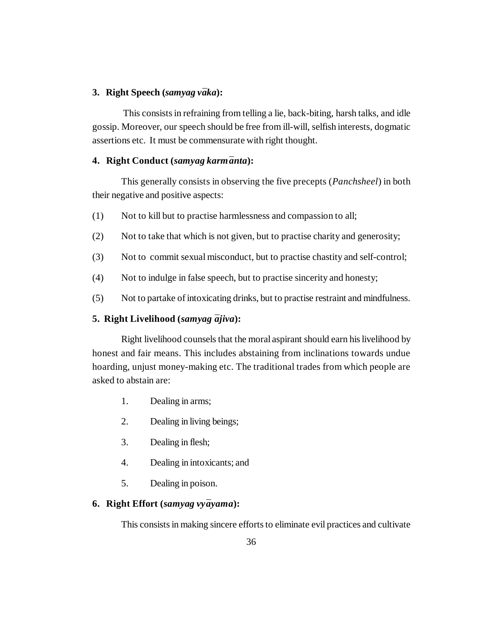#### 3. Right Speech (*samyag vāka*):

 This consists in refraining from telling a lie, back-biting, harsh talks, and idle gossip. Moreover, our speech should be free from ill-will, selfish interests, dogmatic assertions etc. It must be commensurate with right thought.

#### 4. Right Conduct (*samyag karm* $\bar{a}$ *nta*):

This generally consists in observing the five precepts (*Panchsheel*) in both their negative and positive aspects:

- (1) Not to kill but to practise harmlessness and compassion to all;
- (2) Not to take that which is not given, but to practise charity and generosity;
- (3) Not to commit sexual misconduct, but to practise chastity and self-control;
- (4) Not to indulge in false speech, but to practise sincerity and honesty;
- (5) Not to partake of intoxicating drinks, but to practise restraint and mindfulness.

#### **5. Right Livelihood** (*samyag*  $\overline{a}$ *jiva*):

Right livelihood counsels that the moral aspirant should earn his livelihood by honest and fair means. This includes abstaining from inclinations towards undue hoarding, unjust money-making etc. The traditional trades from which people are asked to abstain are:

- 1. Dealing in arms;
- 2. Dealing in living beings;
- 3. Dealing in flesh;
- 4. Dealing in intoxicants; and
- 5. Dealing in poison.

### **6.** Right Effort (*samyag vy* $\bar{a}$ *yama*):

This consists in making sincere efforts to eliminate evil practices and cultivate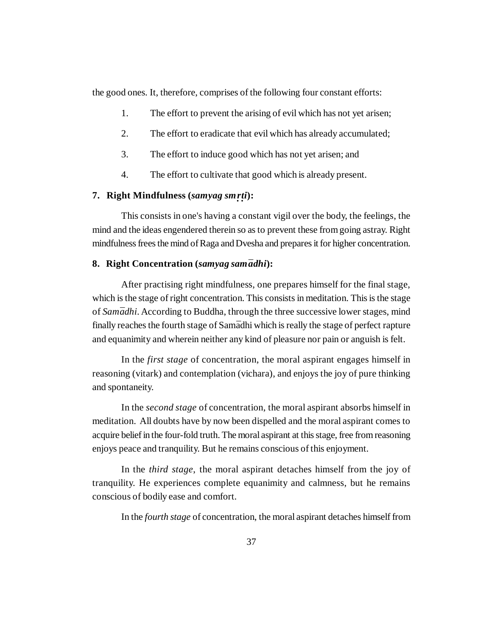the good ones. It, therefore, comprises of the following four constant efforts:

- 1. The effort to prevent the arising of evil which has not yet arisen;
- 2. The effort to eradicate that evil which has already accumulated;
- 3. The effort to induce good which has not yet arisen; and
- 4. The effort to cultivate that good which is already present.

# **7. Right Mindfulness (***samyag sm · r · ti***):**

This consists in one's having a constant vigil over the body, the feelings, the mind and the ideas engendered therein so as to prevent these from going astray. Right mindfulness frees the mind of Raga and Dvesha and prepares it for higher concentration.

#### **8. Right Concentration (***samyag sam¯adhi***):**

After practising right mindfulness, one prepares himself for the final stage, which is the stage of right concentration. This consists in meditation. This is the stage of *Sam¯adhi*. According to Buddha, through the three successive lower stages, mind finally reaches the fourth stage of Sam $\bar{a}$ dhi which is really the stage of perfect rapture and equanimity and wherein neither any kind of pleasure nor pain or anguish is felt.

In the *first stage* of concentration, the moral aspirant engages himself in reasoning (vitark) and contemplation (vichara), and enjoys the joy of pure thinking and spontaneity.

In the *second stage* of concentration, the moral aspirant absorbs himself in meditation. All doubts have by now been dispelled and the moral aspirant comes to acquire belief in the four-fold truth. The moral aspirant at this stage, free from reasoning enjoys peace and tranquility. But he remains conscious of this enjoyment.

In the *third stage*, the moral aspirant detaches himself from the joy of tranquility. He experiences complete equanimity and calmness, but he remains conscious of bodily ease and comfort.

In the *fourth stage* of concentration, the moral aspirant detaches himself from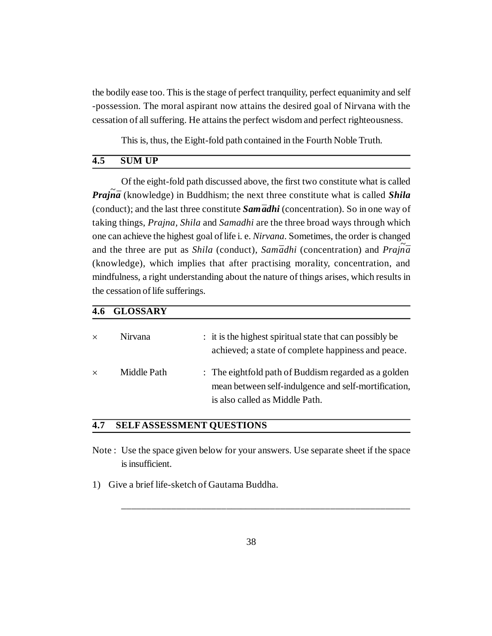the bodily ease too. This is the stage of perfect tranquility, perfect equanimity and self -possession. The moral aspirant now attains the desired goal of Nirvana with the cessation of all suffering. He attains the perfect wisdom and perfect righteousness.

This is, thus, the Eight-fold path contained in the Fourth Noble Truth.

#### **4.5 SUM UP**

Of the eight-fold path discussed above, the first two constitute what is called *Prajna* (knowledge) in Buddhism; the next three constitute what is called *Shila* (conduct); and the last three constitute *Sam ādhi* (concentration). So in one way of taking things, *Prajna, Shila* and *Samadhi* are the three broad ways through which one can achieve the highest goal of life i. e. *Nirvana*. Sometimes, the order is changed and the three are put as *Shila* (conduct), *Samādhi* (concentration) and *Prajña* (knowledge), which implies that after practising morality, concentration, and mindfulness, a right understanding about the nature of things arises, which results in the cessation of life sufferings.

#### **4.6 GLOSSARY**

| $\times$ | Nirvana     | : it is the highest spiritual state that can possibly be<br>achieved; a state of complete happiness and peace.                                 |
|----------|-------------|------------------------------------------------------------------------------------------------------------------------------------------------|
| $\times$ | Middle Path | : The eightfold path of Buddism regarded as a golden<br>mean between self-indulgence and self-mortification,<br>is also called as Middle Path. |

#### **4.7 SELFASSESSMENT QUESTIONS**

- Note : Use the space given below for your answers. Use separate sheet if the space is insufficient.
- 1) Give a brief life-sketch of Gautama Buddha.

\_\_\_\_\_\_\_\_\_\_\_\_\_\_\_\_\_\_\_\_\_\_\_\_\_\_\_\_\_\_\_\_\_\_\_\_\_\_\_\_\_\_\_\_\_\_\_\_\_\_\_\_\_\_\_\_\_\_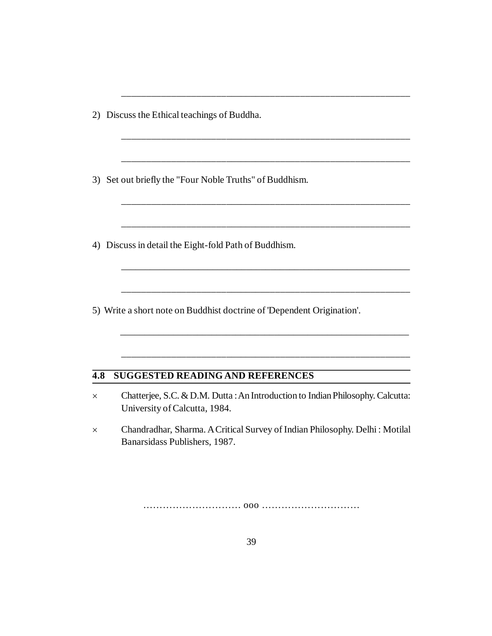2) Discuss the Ethical teachings of Buddha.

3) Set out briefly the "Four Noble Truths" of Buddhism.

4) Discuss in detail the Eight-fold Path of Buddhism.

5) Write a short note on Buddhist doctrine of 'Dependent Origination'.

#### **4.8 SUGGESTED READING AND REFERENCES**

 Chatterjee, S.C. & D.M. Dutta : An Introduction to Indian Philosophy. Calcutta: University of Calcutta, 1984.

\_\_\_\_\_\_\_\_\_\_\_\_\_\_\_\_\_\_\_\_\_\_\_\_\_\_\_\_\_\_\_\_\_\_\_\_\_\_\_\_\_\_\_\_\_\_\_\_\_\_\_\_\_\_\_\_\_\_

\_\_\_\_\_\_\_\_\_\_\_\_\_\_\_\_\_\_\_\_\_\_\_\_\_\_\_\_\_\_\_\_\_\_\_\_\_\_\_\_\_\_\_\_\_\_\_\_\_\_\_\_\_\_\_\_\_\_

\_\_\_\_\_\_\_\_\_\_\_\_\_\_\_\_\_\_\_\_\_\_\_\_\_\_\_\_\_\_\_\_\_\_\_\_\_\_\_\_\_\_\_\_\_\_\_\_\_\_\_\_\_\_\_\_\_\_

\_\_\_\_\_\_\_\_\_\_\_\_\_\_\_\_\_\_\_\_\_\_\_\_\_\_\_\_\_\_\_\_\_\_\_\_\_\_\_\_\_\_\_\_\_\_\_\_\_\_\_\_\_\_\_\_\_\_

\_\_\_\_\_\_\_\_\_\_\_\_\_\_\_\_\_\_\_\_\_\_\_\_\_\_\_\_\_\_\_\_\_\_\_\_\_\_\_\_\_\_\_\_\_\_\_\_\_\_\_\_\_\_\_\_\_\_

\_\_\_\_\_\_\_\_\_\_\_\_\_\_\_\_\_\_\_\_\_\_\_\_\_\_\_\_\_\_\_\_\_\_\_\_\_\_\_\_\_\_\_\_\_\_\_\_\_\_\_\_\_\_\_\_\_\_\_\_

\_\_\_\_\_\_\_\_\_\_\_\_\_\_\_\_\_\_\_\_\_\_\_\_\_\_\_\_\_\_\_\_\_\_\_\_\_\_\_\_\_\_\_\_\_\_\_\_\_\_\_\_\_\_\_\_\_\_

\_\_\_\_\_\_\_\_\_\_\_\_\_\_\_\_\_\_\_\_\_\_\_\_\_\_\_\_\_\_\_\_\_\_\_\_\_\_\_\_\_\_\_\_\_\_\_\_\_\_\_\_\_\_\_\_\_\_\_\_

\_\_\_\_\_\_\_\_\_\_\_\_\_\_\_\_\_\_\_\_\_\_\_\_\_\_\_\_\_\_\_\_\_\_\_\_\_\_\_\_\_\_\_\_\_\_\_\_\_\_\_\_\_\_\_\_\_\_

 Chandradhar, Sharma. A Critical Survey of Indian Philosophy. Delhi : Motilal Banarsidass Publishers, 1987.

………………………… ooo …………………………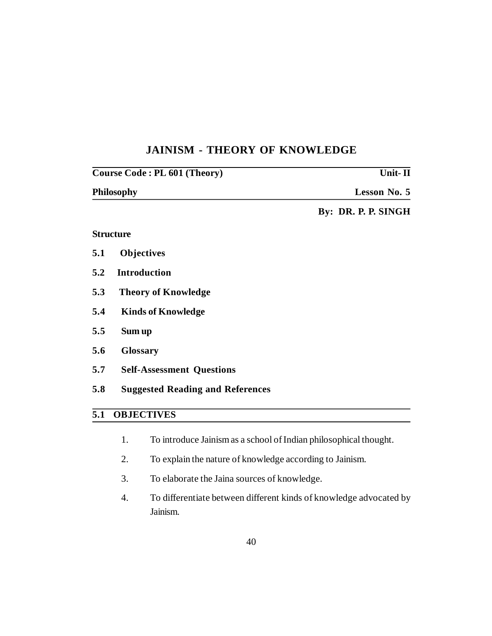# **JAINISM - THEORY OF KNOWLEDGE**

| Course Code: PL 601 (Theory) |                                         | Unit- $\Pi$         |  |
|------------------------------|-----------------------------------------|---------------------|--|
|                              | <b>Philosophy</b>                       | Lesson No. 5        |  |
|                              |                                         | By: DR. P. P. SINGH |  |
|                              | <b>Structure</b>                        |                     |  |
| 5.1                          | <b>Objectives</b>                       |                     |  |
| 5.2                          | <b>Introduction</b>                     |                     |  |
| 5.3                          | <b>Theory of Knowledge</b>              |                     |  |
| 5.4                          | <b>Kinds of Knowledge</b>               |                     |  |
| 5.5                          | Sum up                                  |                     |  |
| 5.6                          | <b>Glossary</b>                         |                     |  |
| 5.7                          | <b>Self-Assessment Questions</b>        |                     |  |
| 5.8                          | <b>Suggested Reading and References</b> |                     |  |
| 5.1                          | <b>OBJECTIVES</b>                       |                     |  |

- 1. To introduce Jainism as a school of Indian philosophical thought.
- 2. To explain the nature of knowledge according to Jainism.
- 3. To elaborate the Jaina sources of knowledge.
- 4. To differentiate between different kinds of knowledge advocated by Jainism.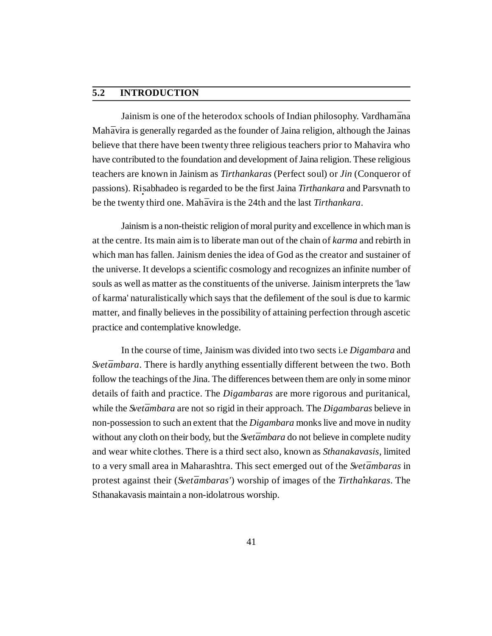### **5.2 INTRODUCTION**

Jainism is one of the heterodox schools of Indian philosophy. Vardham*¯*ana Mah*¯*avira is generally regarded as the founder of Jaina religion, although the Jainas believe that there have been twenty three religious teachers prior to Mahavira who have contributed to the foundation and development of Jaina religion. These religious teachers are known in Jainism as *Tirthankaras* (Perfect soul) or *Jin* (Conqueror of passions). Ri **·** sabhadeo is regarded to be the first Jaina *Tirthankara* and Parsvnath to be the twenty third one. Mah*¯*avira is the 24th and the last *Tirthankara*.

Jainism is a non-theistic religion of moral purity and excellence in which man is at the centre. Its main aim is to liberate man out of the chain of *karma* and rebirth in which man has fallen. Jainism denies the idea of God as the creator and sustainer of the universe. It develops a scientific cosmology and recognizes an infinite number of souls as well as matter as the constituents of the universe. Jainism interprets the 'law of karma' naturalistically which says that the defilement of the soul is due to karmic matter, and finally believes in the possibility of attaining perfection through ascetic practice and contemplative knowledge.

In the course of time, Jainism was divided into two sects i.e *Digambara* and *Svetāmbara*. There is hardly anything essentially different between the two. Both follow the teachings of the Jina. The differences between them are only in some minor details of faith and practice. The *Digambaras* are more rigorous and puritanical, while the *Svetambara* are not so rigid in their approach. The *Digambaras* believe in non-possession to such an extent that the *Digambara* monks live and move in nudity without any cloth on their body, but the *Svetambara* do not believe in complete nudity and wear white clothes. There is a third sect also, known as *Sthanakavasis*, limited to a very small area in Maharashtra. This sect emerged out of the *Svet¯ambaras* in protest against their (*Svet¯ambaras'*) worship of images of the *Tirtha·nkaras*. The Sthanakavasis maintain a non-idolatrous worship.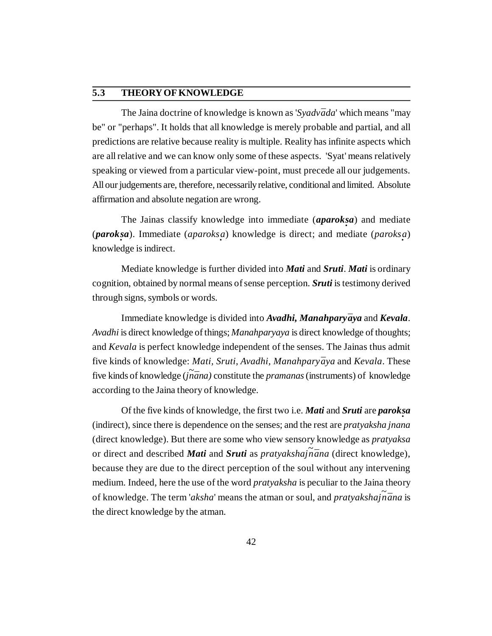#### **5.3 THEORY OF KNOWLEDGE**

The Jaina doctrine of knowledge is known as '*Syadvāda*' which means "may be" or "perhaps". It holds that all knowledge is merely probable and partial, and all predictions are relative because reality is multiple. Reality has infinite aspects which are all relative and we can know only some of these aspects. 'Syat' means relatively speaking or viewed from a particular view-point, must precede all our judgements. All our judgements are, therefore, necessarily relative, conditional and limited. Absolute affirmation and absolute negation are wrong.

The Jainas classify knowledge into immediate (*aparok · sa*) and mediate (*paroksa*). Immediate (*aparoksa*) knowledge is direct; and mediate (*paroksa*) knowledge is indirect.

Mediate knowledge is further divided into *Mati* and *Sruti*. *Mati* is ordinary cognition, obtained by normal means of sense perception. *Sruti* is testimony derived through signs, symbols or words.

Immediate knowledge is divided into *Avadhi*, *Manahparyaya* and *Kevala*. *Avadhi* is direct knowledge of things; *Manahparyaya* is direct knowledge of thoughts; and *Kevala* is perfect knowledge independent of the senses. The Jainas thus admit five kinds of knowledge: *Mati, Sruti, Avadhi, Manahparyāya* and *Kevala*. These five kinds of knowledge (*jnana*) constitute the *pramanas* (instruments) of knowledge according to the Jaina theory of knowledge.

Of the five kinds of knowledge, the first two i.e. *Mati* and *Sruti* are *parok · sa* (indirect), since there is dependence on the senses; and the rest are *pratyaksha jnana* (direct knowledge). But there are some who view sensory knowledge as *pratyaksa* or direct and described *Mati* and *Sruti* as *pratyakshajna* (direct knowledge), because they are due to the direct perception of the soul without any intervening medium. Indeed, here the use of the word *pratyaksha* is peculiar to the Jaina theory of knowledge. The term '*aksha*' means the atman or soul, and *pratyakshajnana* is the direct knowledge by the atman.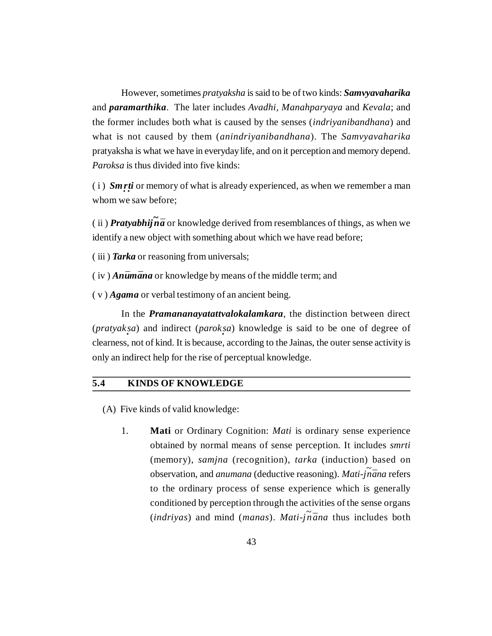However, sometimes *pratyaksha* is said to be of two kinds: *Samvyavaharika* and *paramarthika*. The later includes *Avadhi, Manahparyaya* and *Kevala*; and the former includes both what is caused by the senses (*indriyanibandhana*) and what is not caused by them (*anindriyanibandhana*). The *Samvyavaharika* pratyaksha is what we have in everyday life, and on it perception and memory depend. *Paroksa* is thus divided into five kinds:

(i) *Smrti* or memory of what is already experienced, as when we remember a man whom we saw before;

(ii) *Pratyabhij* $\vec{n}$ *a* or knowledge derived from resemblances of things, as when we identify a new object with something about which we have read before;

( iii ) *Tarka* or reasoning from universals;

 $(iv)$  *Anūmāna* or knowledge by means of the middle term; and

( v ) *Agama* or verbal testimony of an ancient being.

In the *Pramananayatattvalokalamkara*, the distinction between direct (*pratyaksa*) and indirect (*paroksa*) knowledge is said to be one of degree of clearness, not of kind. It is because, according to the Jainas, the outer sense activity is only an indirect help for the rise of perceptual knowledge.

#### **5.4 KINDS OF KNOWLEDGE**

- (A) Five kinds of valid knowledge:
	- 1. **Mati** or Ordinary Cognition: *Mati* is ordinary sense experience obtained by normal means of sense perception. It includes *smrti* (memory), *samjna* (recognition), *tarka* (induction) based on observation, and *anumana* (deductive reasoning). *Mati-j<sup>~</sup> n¯ana* refers to the ordinary process of sense experience which is generally conditioned by perception through the activities of the sense organs  $(intdivyas)$  and mind (*manas*). *Mati-jnana* thus includes both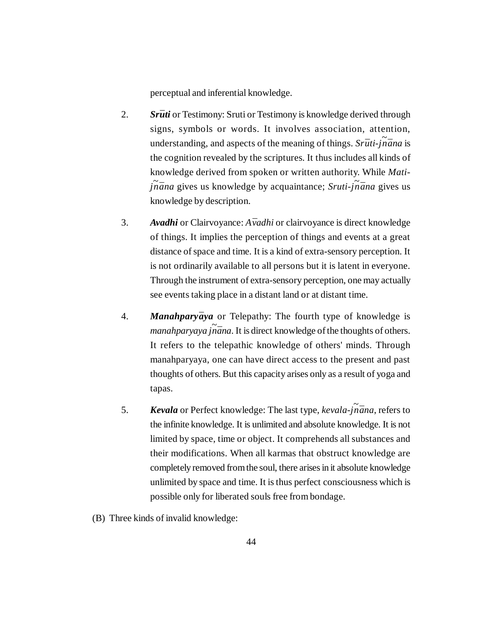perceptual and inferential knowledge.

- 2. Srūti or Testimony: Sruti or Testimony is knowledge derived through signs, symbols or words. It involves association, attention, understanding, and aspects of the meaning of things. *Srūti-jñana* is the cognition revealed by the scriptures. It thus includes all kinds of knowledge derived from spoken or written authority. While *Matij ~ n¯ana* gives us knowledge by acquaintance; *Sruti-j<sup>~</sup> n¯ana* gives us knowledge by description.
- 3. Avadhi or Clairvoyance: *Avadhi* or clairvoyance is direct knowledge of things. It implies the perception of things and events at a great distance of space and time. It is a kind of extra-sensory perception. It is not ordinarily available to all persons but it is latent in everyone. Through the instrument of extra-sensory perception, one may actually see events taking place in a distant land or at distant time.
- 4. *Manahparyaya* or Telepathy: The fourth type of knowledge is *manahparyaya jñāna*. It is direct knowledge of the thoughts of others. It refers to the telepathic knowledge of others' minds. Through manahparyaya, one can have direct access to the present and past thoughts of others. But this capacity arises only as a result of yoga and tapas.
- 5. **Kevala** or Perfect knowledge: The last type, *kevala-jnāna*, refers to the infinite knowledge. It is unlimited and absolute knowledge. It is not limited by space, time or object. It comprehends all substances and their modifications. When all karmas that obstruct knowledge are completely removed from the soul, there arises in it absolute knowledge unlimited by space and time. It is thus perfect consciousness which is possible only for liberated souls free from bondage.
- (B) Three kinds of invalid knowledge: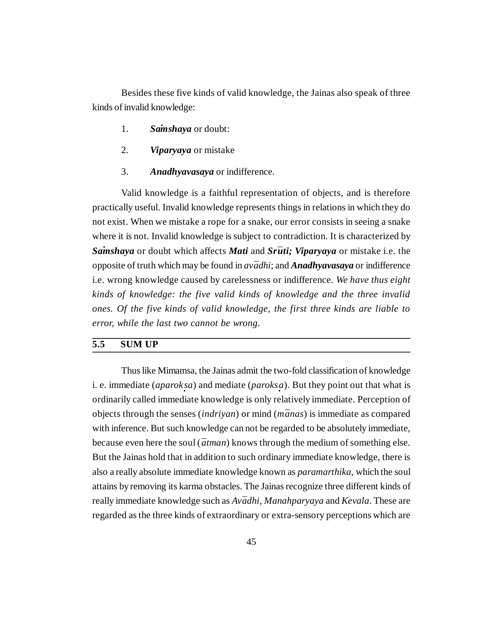Besides these five kinds of valid knowledge, the Jainas also speak of three kinds of invalid knowledge:

- 1. **Sainshaya** or doubt:
- 2. *Viparyaya* or mistake
- 3. *Anadhyavasaya* or indifference.

Valid knowledge is a faithful representation of objects, and is therefore practically useful. Invalid knowledge represents things in relations in which they do not exist. When we mistake a rope for a snake, our error consists in seeing a snake where it is not. Invalid knowledge is subject to contradiction. It is characterized by *Samshaya* or doubt which affects *Mati* and *Srūti; Viparyaya* or mistake i.e. the opposite of truth which may be found in *av¯adhi*; and *Anadhyavasaya* or indifference i.e. wrong knowledge caused by carelessness or indifference. *We have thus eight kinds of knowledge: the five valid kinds of knowledge and the three invalid ones. Of the five kinds of valid knowledge, the first three kinds are liable to error, while the last two cannot be wrong.*

#### **5.5 SUM UP**

Thus like Mimamsa, the Jainas admit the two-fold classification of knowledge i. e. immediate (*aparok · sa*) and mediate (*paroks · a*). But they point out that what is ordinarily called immediate knowledge is only relatively immediate. Perception of objects through the senses (*indriyan*) or mind (*m¯anas*) is immediate as compared with inference. But such knowledge can not be regarded to be absolutely immediate, because even here the soul ( $\bar{a}$ *tman*) knows through the medium of something else. But the Jainas hold that in addition to such ordinary immediate knowledge, there is also a really absolute immediate knowledge known as *paramarthika*, which the soul attains by removing its karma obstacles. The Jainas recognize three different kinds of really immediate knowledge such as *Avādhi, Manahparyaya* and *Kevala*. These are regarded as the three kinds of extraordinary or extra-sensory perceptions which are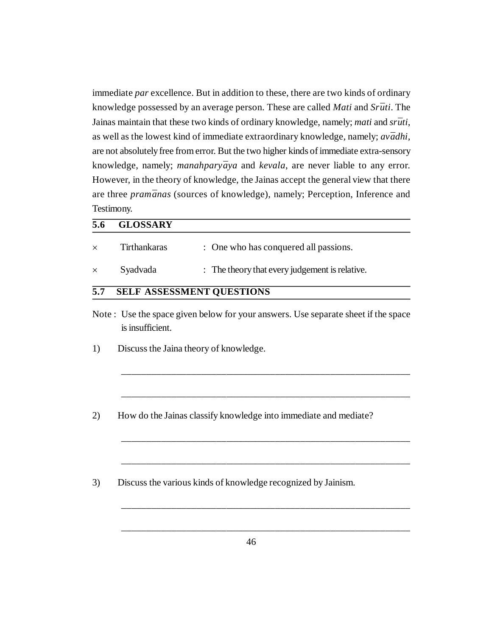immediate *par* excellence. But in addition to these, there are two kinds of ordinary knowledge possessed by an average person. These are called *Mati* and *Srūti*. The Jainas maintain that these two kinds of ordinary knowledge, namely; *mati* and *srūti*, as well as the lowest kind of immediate extraordinary knowledge, namely; *av* $\bar{a}$ *dhi*, are not absolutely free from error. But the two higher kinds of immediate extra-sensory knowledge, namely; *manahparyāya* and *kevala*, are never liable to any error. However, in the theory of knowledge, the Jainas accept the general view that there are three *pramānas* (sources of knowledge), namely; Perception, Inference and Testimony.

| 5.6      | <b>GLOSSARY</b>     |                                                |
|----------|---------------------|------------------------------------------------|
| $\times$ | <b>Tirthankaras</b> | : One who has conquered all passions.          |
| $\times$ | Syadvada            | : The theory that every judgement is relative. |
| 5.7      |                     | <b>SELF ASSESSMENT QUESTIONS</b>               |

Note : Use the space given below for your answers. Use separate sheet if the space is insufficient.

\_\_\_\_\_\_\_\_\_\_\_\_\_\_\_\_\_\_\_\_\_\_\_\_\_\_\_\_\_\_\_\_\_\_\_\_\_\_\_\_\_\_\_\_\_\_\_\_\_\_\_\_\_\_\_\_\_\_

\_\_\_\_\_\_\_\_\_\_\_\_\_\_\_\_\_\_\_\_\_\_\_\_\_\_\_\_\_\_\_\_\_\_\_\_\_\_\_\_\_\_\_\_\_\_\_\_\_\_\_\_\_\_\_\_\_\_

\_\_\_\_\_\_\_\_\_\_\_\_\_\_\_\_\_\_\_\_\_\_\_\_\_\_\_\_\_\_\_\_\_\_\_\_\_\_\_\_\_\_\_\_\_\_\_\_\_\_\_\_\_\_\_\_\_\_

\_\_\_\_\_\_\_\_\_\_\_\_\_\_\_\_\_\_\_\_\_\_\_\_\_\_\_\_\_\_\_\_\_\_\_\_\_\_\_\_\_\_\_\_\_\_\_\_\_\_\_\_\_\_\_\_\_\_

\_\_\_\_\_\_\_\_\_\_\_\_\_\_\_\_\_\_\_\_\_\_\_\_\_\_\_\_\_\_\_\_\_\_\_\_\_\_\_\_\_\_\_\_\_\_\_\_\_\_\_\_\_\_\_\_\_\_

\_\_\_\_\_\_\_\_\_\_\_\_\_\_\_\_\_\_\_\_\_\_\_\_\_\_\_\_\_\_\_\_\_\_\_\_\_\_\_\_\_\_\_\_\_\_\_\_\_\_\_\_\_\_\_\_\_\_

- 1) Discuss the Jaina theory of knowledge.
- 2) How do the Jainas classify knowledge into immediate and mediate?
- 3) Discuss the various kinds of knowledge recognized by Jainism.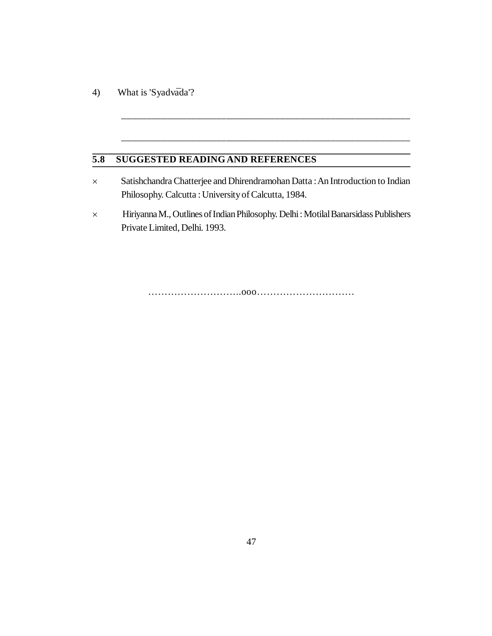4) What is 'Syadvada'?

## **5.8 SUGGESTED READINGAND REFERENCES**

 Satishchandra Chatterjee and Dhirendramohan Datta : An Introduction to Indian Philosophy. Calcutta : University of Calcutta, 1984.

\_\_\_\_\_\_\_\_\_\_\_\_\_\_\_\_\_\_\_\_\_\_\_\_\_\_\_\_\_\_\_\_\_\_\_\_\_\_\_\_\_\_\_\_\_\_\_\_\_\_\_\_\_\_\_\_\_\_

\_\_\_\_\_\_\_\_\_\_\_\_\_\_\_\_\_\_\_\_\_\_\_\_\_\_\_\_\_\_\_\_\_\_\_\_\_\_\_\_\_\_\_\_\_\_\_\_\_\_\_\_\_\_\_\_\_\_

 Hiriyanna M., Outlines of Indian Philosophy. Delhi : Motilal Banarsidass Publishers Private Limited, Delhi. 1993.

………………………..ooo…………………………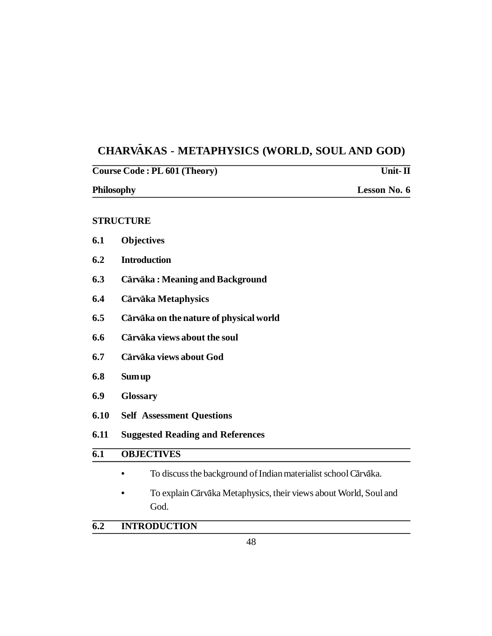#### **CHARV - AKAS - METAPHYSICS (WORLD, SOUL AND GOD)**

| Course Code: PL 601 (Theory) |                                                                           | Unit- $\Pi$ |  |
|------------------------------|---------------------------------------------------------------------------|-------------|--|
|                              | <b>Philosophy</b><br>Lesson No. 6                                         |             |  |
|                              | <b>STRUCTURE</b>                                                          |             |  |
| 6.1                          | <b>Objectives</b>                                                         |             |  |
| 6.2                          | <b>Introduction</b>                                                       |             |  |
| 6.3                          | Cārvāka: Meaning and Background                                           |             |  |
| 6.4                          | Cārvāka Metaphysics                                                       |             |  |
| 6.5                          | Cārvāka on the nature of physical world                                   |             |  |
| 6.6                          | Cārvāka views about the soul                                              |             |  |
| 6.7                          | Cārvāka views about God                                                   |             |  |
| 6.8                          | <b>Sum up</b>                                                             |             |  |
| 6.9                          | <b>Glossary</b>                                                           |             |  |
| 6.10                         | <b>Self Assessment Questions</b>                                          |             |  |
| 6.11                         | <b>Suggested Reading and References</b>                                   |             |  |
| $\overline{6.1}$             | <b>OBJECTIVES</b>                                                         |             |  |
|                              | To discuss the background of Indian materialist school Cārvāka.           |             |  |
|                              | To explain Cārvāka Metaphysics, their views about World, Soul and<br>God. |             |  |

# **6.2 INTRODUCTION**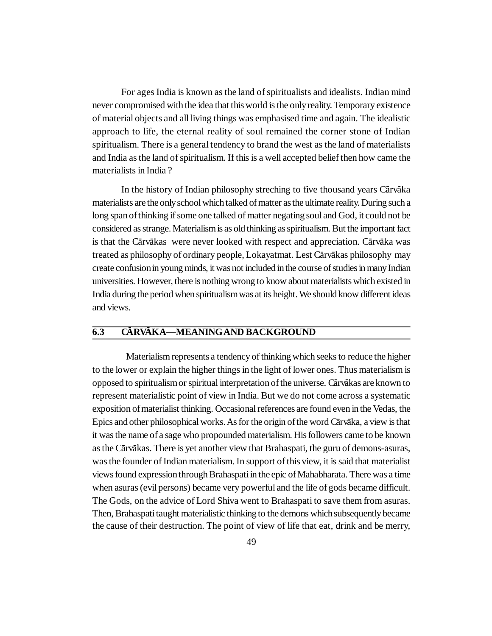For ages India is known as the land of spiritualists and idealists. Indian mind never compromised with the idea that this world is the only reality. Temporary existence of material objects and all living things was emphasised time and again. The idealistic approach to life, the eternal reality of soul remained the corner stone of Indian spiritualism. There is a general tendency to brand the west as the land of materialists and India as the land of spiritualism. If this is a well accepted belief then how came the materialists in India ?

In the history of Indian philosophy streching to five thousand years Cārvāka materialists are the only school which talked of matter as the ultimate reality. During such a long span of thinking if some one talked of matter negating soul and God, it could not be considered as strange. Materialism is as old thinking as spiritualism. But the important fact is that the Cārvākas were never looked with respect and appreciation. Cārvāka was treated as philosophy of ordinary people, Lokayatmat. Lest Cārvākas philosophy may create confusion in young minds, it was not included in the course of studies in many Indian universities. However, there is nothing wrong to know about materialists which existed in India during the period when spiritualism was at its height. We should know different ideas and views.

#### $\overline{6.3}$ **CĀRVĀKA—MEANING AND BACKGROUND**

Materialism represents a tendency of thinking which seeks to reduce the higher to the lower or explain the higher things in the light of lower ones. Thus materialism is opposed to spiritualism or spiritual interpretation of the universe. Cārvākas are known to represent materialistic point of view in India. But we do not come across a systematic exposition of materialist thinking. Occasional references are found even in the Vedas, the Epics and other philosophical works. As for the origin of the word Cārvāka, a view is that it was the name of a sage who propounded materialism. His followers came to be known as the Cārvākas. There is yet another view that Brahaspati, the guru of demons-asuras, was the founder of Indian materialism. In support of this view, it is said that materialist views found expression through Brahaspati in the epic of Mahabharata. There was a time when asuras (evil persons) became very powerful and the life of gods became difficult. The Gods, on the advice of Lord Shiva went to Brahaspati to save them from asuras. Then, Brahaspati taught materialistic thinking to the demons which subsequently became the cause of their destruction. The point of view of life that eat, drink and be merry,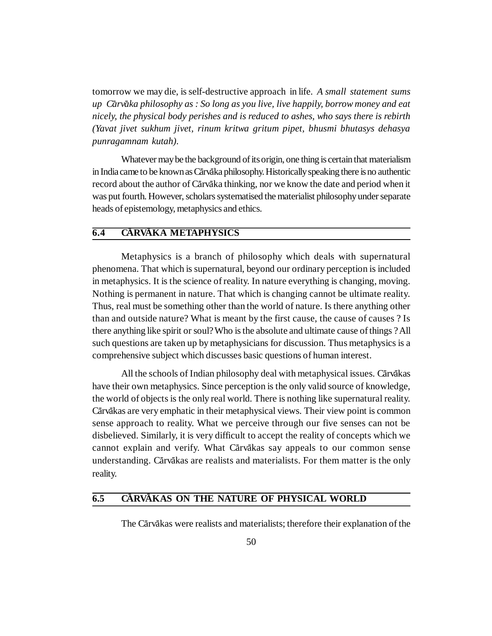tomorrow we may die, is self-destructive approach in life. *A small statement sums* up Carvaka philosophy as : So long as you live, live happily, borrow money and eat *nicely, the physical body perishes and is reduced to ashes, who says there is rebirth (Yavat jivet sukhum jivet, rinum kritwa gritum pipet, bhusmi bhutasys dehasya punragamnam kutah).*

Whatever may be the background of its origin, one thing is certain that materialism in India came to be known as Cārvāka philosophy. Historically speaking there is no authentic record about the author of Cārvāka thinking, nor we know the date and period when it was put fourth. However, scholars systematised the materialist philosophy under separate heads of epistemology, metaphysics and ethics.

#### $\overline{6.4}$ **CĂRVĂKA METAPHYSICS**

Metaphysics is a branch of philosophy which deals with supernatural phenomena. That which is supernatural, beyond our ordinary perception is included in metaphysics. It is the science of reality. In nature everything is changing, moving. Nothing is permanent in nature. That which is changing cannot be ultimate reality. Thus, real must be something other than the world of nature. Is there anything other than and outside nature? What is meant by the first cause, the cause of causes ? Is there anything like spirit or soul? Who is the absolute and ultimate cause of things ? All such questions are taken up by metaphysicians for discussion. Thus metaphysics is a comprehensive subject which discusses basic questions of human interest.

All the schools of Indian philosophy deal with metaphysical issues. Cārvākas have their own metaphysics. Since perception is the only valid source of knowledge, the world of objects is the only real world. There is nothing like supernatural reality. Cārvākas are very emphatic in their metaphysical views. Their view point is common sense approach to reality. What we perceive through our five senses can not be disbelieved. Similarly, it is very difficult to accept the reality of concepts which we cannot explain and verify. What Cārvākas say appeals to our common sense understanding. Cārvākas are realists and materialists. For them matter is the only reality.

#### **6.5 C CARVAKAS ON THE NATURE OF PHYSICAL WORLD**

The Cārvākas were realists and materialists; therefore their explanation of the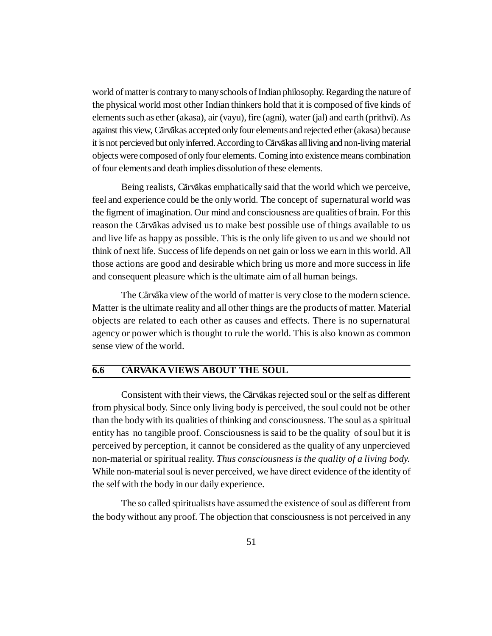world of matter is contrary to many schools of Indian philosophy. Regarding the nature of the physical world most other Indian thinkers hold that it is composed of five kinds of elements such as ether (akasa), air (vayu), fire (agni), water (jal) and earth (prithvi). As against this view, Cārvākas accepted only four elements and rejected ether (akasa) because it is not percieved but only inferred. According to Cārvākas all living and non-living material objects were composed of only four elements. Coming into existence means combination of four elements and death implies dissolution of these elements.

Being realists, Cārvākas emphatically said that the world which we perceive, feel and experience could be the only world. The concept of supernatural world was the figment of imagination. Our mind and consciousness are qualities of brain. For this reason the Cārvākas advised us to make best possible use of things available to us and live life as happy as possible. This is the only life given to us and we should not think of next life. Success of life depends on net gain or loss we earn in this world. All those actions are good and desirable which bring us more and more success in life and consequent pleasure which is the ultimate aim of all human beings.

The Cārvāka view of the world of matter is very close to the modern science. Matter is the ultimate reality and all other things are the products of matter. Material objects are related to each other as causes and effects. There is no supernatural agency or power which is thought to rule the world. This is also known as common sense view of the world.

#### $\overline{6.6}$ **CÁRVÁKA VIEWS ABOUT THE SOUL**

Consistent with their views, the Cārvākas rejected soul or the self as different from physical body. Since only living body is perceived, the soul could not be other than the body with its qualities of thinking and consciousness. The soul as a spiritual entity has no tangible proof. Consciousness is said to be the quality of soul but it is perceived by perception, it cannot be considered as the quality of any unpercieved non-material or spiritual reality. *Thus consciousness is the quality of a living body.* While non-material soul is never perceived, we have direct evidence of the identity of the self with the body in our daily experience.

The so called spiritualists have assumed the existence of soul as different from the body without any proof. The objection that consciousness is not perceived in any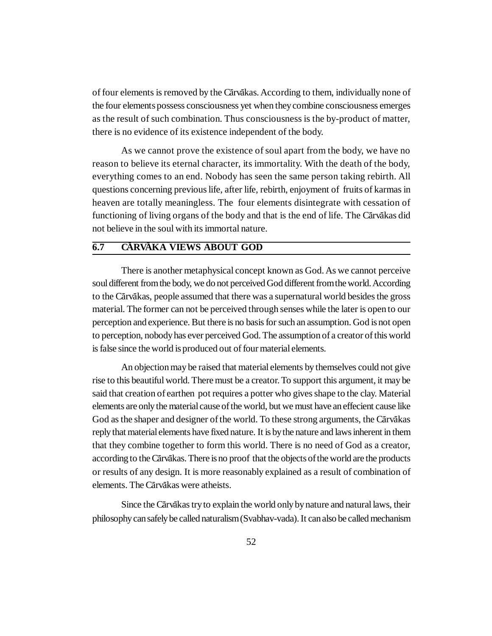of four elements is removed by the Cārvākas. According to them, individually none of the four elements possess consciousness yet when they combine consciousness emerges as the result of such combination. Thus consciousness is the by-product of matter, there is no evidence of its existence independent of the body.

As we cannot prove the existence of soul apart from the body, we have no reason to believe its eternal character, its immortality. With the death of the body, everything comes to an end. Nobody has seen the same person taking rebirth. All questions concerning previous life, after life, rebirth, enjoyment of fruits of karmas in heaven are totally meaningless. The four elements disintegrate with cessation of functioning of living organs of the body and that is the end of life. The Cārvākas did not believe in the soul with its immortal nature.

#### $\overline{6.7}$ **CÁRVÁKA VIEWS ABOUT GOD**

There is another metaphysical concept known as God. As we cannot perceive soul different from the body, we do not perceived God different from the world. According to the Cārvākas, people assumed that there was a supernatural world besides the gross material. The former can not be perceived through senses while the later is open to our perception and experience. But there is no basis for such an assumption. God is not open to perception, nobody has ever perceived God. The assumption of a creator of this world is false since the world is produced out of four material elements.

An objection may be raised that material elements by themselves could not give rise to this beautiful world. There must be a creator. To support this argument, it may be said that creation of earthen pot requires a potter who gives shape to the clay. Material elements are only the material cause of the world, but we must have an effecient cause like God as the shaper and designer of the world. To these strong arguments, the Cārvākas reply that material elements have fixed nature. It is by the nature and laws inherent in them that they combine together to form this world. There is no need of God as a creator, according to the Cārvākas. There is no proof that the objects of the world are the products or results of any design. It is more reasonably explained as a result of combination of elements. The Cārvākas were atheists.

Since the Cārvākas try to explain the world only by nature and natural laws, their philosophy can safely be called naturalism (Svabhav-vada). It can also be called mechanism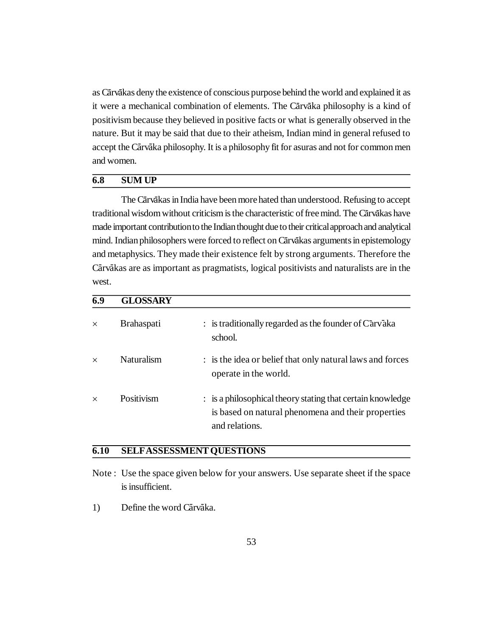as Cārvākas deny the existence of conscious purpose behind the world and explained it as it were a mechanical combination of elements. The Cārvāka philosophy is a kind of positivism because they believed in positive facts or what is generally observed in the nature. But it may be said that due to their atheism, Indian mind in general refused to accept the Cārvāka philosophy. It is a philosophy fit for asuras and not for common men and women.

#### **6.8 SUM UP**

The Cārvākas in India have been more hated than understood. Refusing to accept traditional wisdom without criticism is the characteristic of free mind. The Cārvākas have made important contribution to the Indian thought due to their critical approach and analytical mind. Indian philosophers were forced to reflect on Cārvākas arguments in epistemology and metaphysics. They made their existence felt by strong arguments. Therefore the Cārvākas are as important as pragmatists, logical positivists and naturalists are in the west.

| 6.9      | <b>GLOSSARY</b>   |                                                                                                                                    |
|----------|-------------------|------------------------------------------------------------------------------------------------------------------------------------|
| $\times$ | <b>Brahaspati</b> | $:$ is traditionally regarded as the founder of $Carv\bar{a}ka$<br>school.                                                         |
| $\times$ | Naturalism        | : is the idea or belief that only natural laws and forces<br>operate in the world.                                                 |
| $\times$ | Positivism        | : is a philosophical theory stating that certain knowledge<br>is based on natural phenomena and their properties<br>and relations. |

#### **6.10 SELFASSESSMENT QUESTIONS**

- Note : Use the space given below for your answers. Use separate sheet if the space is insufficient.
- 1) Define the word Cārvāka.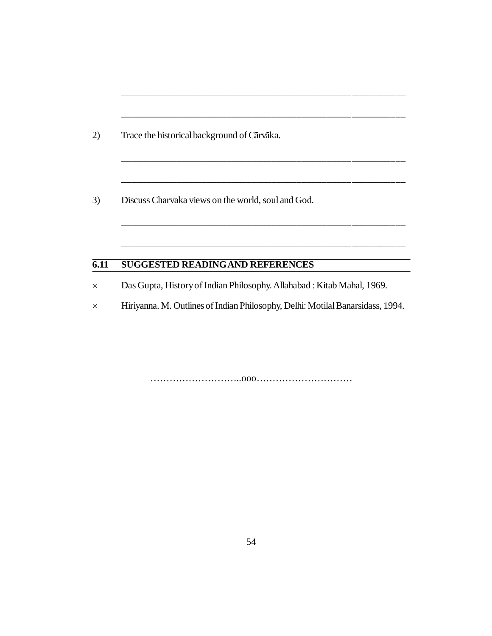2) Trace the historical background of Cārvāka.

3) Discuss Charvaka views on the world, soul and God.

## **6.11 SUGGESTED READINGAND REFERENCES**

Das Gupta, History of Indian Philosophy. Allahabad : Kitab Mahal, 1969.

Hiriyanna. M. Outlines of Indian Philosophy, Delhi: Motilal Banarsidass, 1994.

\_\_\_\_\_\_\_\_\_\_\_\_\_\_\_\_\_\_\_\_\_\_\_\_\_\_\_\_\_\_\_\_\_\_\_\_\_\_\_\_\_\_\_\_\_\_\_\_\_\_\_\_\_\_\_\_\_

\_\_\_\_\_\_\_\_\_\_\_\_\_\_\_\_\_\_\_\_\_\_\_\_\_\_\_\_\_\_\_\_\_\_\_\_\_\_\_\_\_\_\_\_\_\_\_\_\_\_\_\_\_\_\_\_\_

\_\_\_\_\_\_\_\_\_\_\_\_\_\_\_\_\_\_\_\_\_\_\_\_\_\_\_\_\_\_\_\_\_\_\_\_\_\_\_\_\_\_\_\_\_\_\_\_\_\_\_\_\_\_\_\_\_

\_\_\_\_\_\_\_\_\_\_\_\_\_\_\_\_\_\_\_\_\_\_\_\_\_\_\_\_\_\_\_\_\_\_\_\_\_\_\_\_\_\_\_\_\_\_\_\_\_\_\_\_\_\_\_\_\_

………………………..ooo…………………………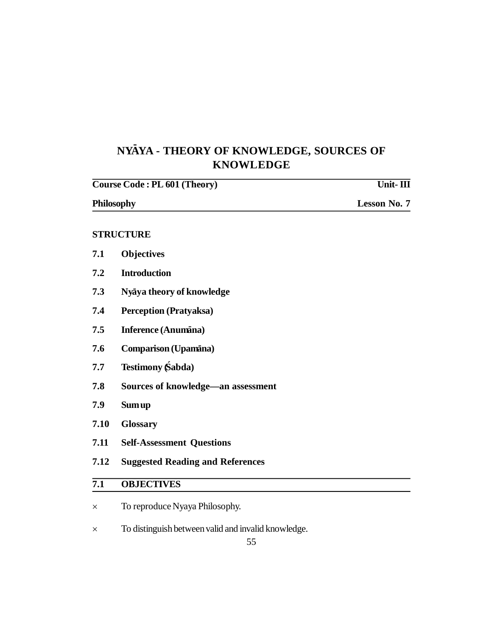# **NY-AYA - THEORY OF KNOWLEDGE, SOURCES OF KNOWLEDGE**

|                  | Course Code: PL 601 (Theory)            | Unit- $\Pi$         |
|------------------|-----------------------------------------|---------------------|
| Philosophy       |                                         | <b>Lesson No. 7</b> |
|                  | <b>STRUCTURE</b>                        |                     |
| 7.1              | <b>Objectives</b>                       |                     |
| 7.2              | <b>Introduction</b>                     |                     |
| 7.3              | Nyaya theory of knowledge               |                     |
| 7.4              | <b>Perception (Pratyaksa)</b>           |                     |
| 7.5              | Inference (Anumāna)                     |                     |
| 7.6              | Comparison (Upamana)                    |                     |
| 7.7              | <b>Testimony Śabda</b> )                |                     |
| 7.8              | Sources of knowledge—an assessment      |                     |
| 7.9              | <b>Sum up</b>                           |                     |
| 7.10             | <b>Glossary</b>                         |                     |
| 7.11             | <b>Self-Assessment Questions</b>        |                     |
| 7.12             | <b>Suggested Reading and References</b> |                     |
| $\overline{7.1}$ | <b>OBJECTIVES</b>                       |                     |
| ×                | To reproduce Nyaya Philosophy.          |                     |

 $\times$  To distinguish between valid and invalid knowledge.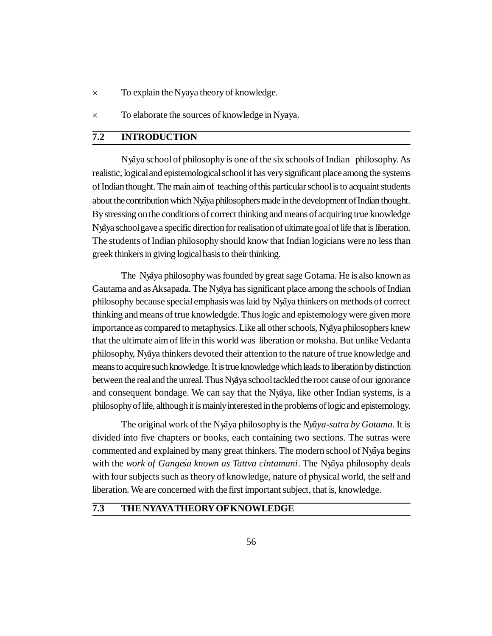- To explain the Nyaya theory of knowledge.
- To elaborate the sources of knowledge in Nyaya.

### **7.2 INTRODUCTION**

Ny**-**aya school of philosophy is one of the six schools of Indian philosophy. As realistic, logical and epistemological school it has very significant place among the systems of Indian thought. The main aim of teaching of this particular school is to acquaint students about the contribution which Nyaya philosophers made in the development of Indian thought. By stressing on the conditions of correct thinking and means of acquiring true knowledge Ny**-**aya school gave a specific direction for realisation of ultimate goal of life that is liberation. The students of Indian philosophy should know that Indian logicians were no less than greek thinkers in giving logical basis to their thinking.

The Nyaya philosophy was founded by great sage Gotama. He is also known as Gautama and as Aksapada. The Nyaya has significant place among the schools of Indian philosophy because special emphasis was laid by Ny**-**aya thinkers on methods of correct thinking and means of true knowledgde. Thus logic and epistemology were given more importance as compared to metaphysics. Like all other schools, Nyaya philosophers knew that the ultimate aim of life in this world was liberation or moksha. But unlike Vedanta philosophy, Nyaya thinkers devoted their attention to the nature of true knowledge and means to acquire such knowledge. It is true knowledge which leads to liberation by distinction between the real and the unreal. Thus Nyaya school tackled the root cause of our ignorance and consequent bondage. We can say that the Nyaya, like other Indian systems, is a philosophy of life, although it is mainly interested in the problems of logic and epistemology.

The original work of the Nya<sup>y</sup>a philosophy is the *Nyaya-sutra by Gotama*. It is divided into five chapters or books, each containing two sections. The sutras were commented and explained by many great thinkers. The modern school of Nyaya begins with the *work of Gangesa known as Tattva cintamani*. The Nyaya philosophy deals with four subjects such as theory of knowledge, nature of physical world, the self and liberation. We are concerned with the first important subject, that is, knowledge.

#### **7.3 THE NYAYATHEORY OF KNOWLEDGE**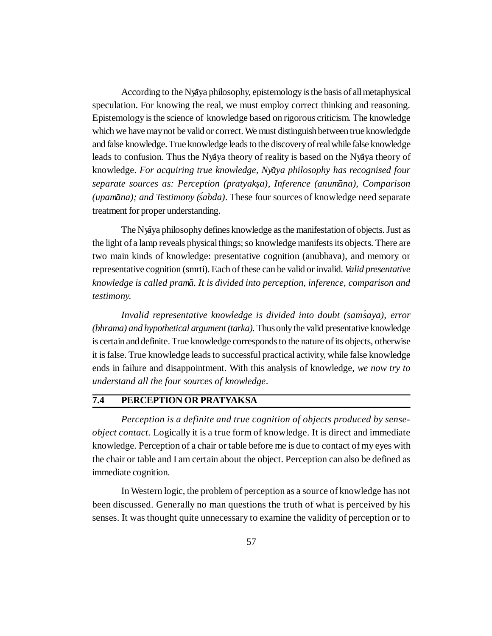According to the Nyaya philosophy, epistemology is the basis of all metaphysical speculation. For knowing the real, we must employ correct thinking and reasoning. Epistemology is the science of knowledge based on rigorous criticism. The knowledge which we have may not be valid or correct. We must distinguish between true knowledgde and false knowledge. True knowledge leads to the discovery of real while false knowledge leads to confusion. Thus the Nyaya theory of reality is based on the Nyaya theory of knowledge. *For acquiring true knowledge, Ny-aya philosophy has recognised four separate sources as: Perception (pratyaksa), Inference . (anum-ana), Comparison (upamana); and Testimony (sabda).* These four sources of knowledge need separate treatment for proper understanding.

The Nyaya philosophy defines knowledge as the manifestation of objects. Just as the light of a lamp reveals physical things; so knowledge manifests its objects. There are two main kinds of knowledge: presentative cognition (anubhava), and memory or representative cognition (smrti). Each of these can be valid or invalid. *Valid presentative knowledge is called pram-a. It is divided into perception, inference, comparison and testimony.*

*Invalid representative knowledge is divided into doubt (sam´saya), error (bhrama) and hypothetical argument (tarka).* Thus only the valid presentative knowledge is certain and definite. True knowledge corresponds to the nature of its objects, otherwise it is false. True knowledge leads to successful practical activity, while false knowledge ends in failure and disappointment. With this analysis of knowledge, *we now try to understand all the four sources of knowledge*.

### **7.4 PERCEPTION OR PRATYAKSA**

*Perception is a definite and true cognition of objects produced by senseobject contact.* Logically it is a true form of knowledge. It is direct and immediate knowledge. Perception of a chair or table before me is due to contact of my eyes with the chair or table and I am certain about the object. Perception can also be defined as immediate cognition.

In Western logic, the problem of perception as a source of knowledge has not been discussed. Generally no man questions the truth of what is perceived by his senses. It was thought quite unnecessary to examine the validity of perception or to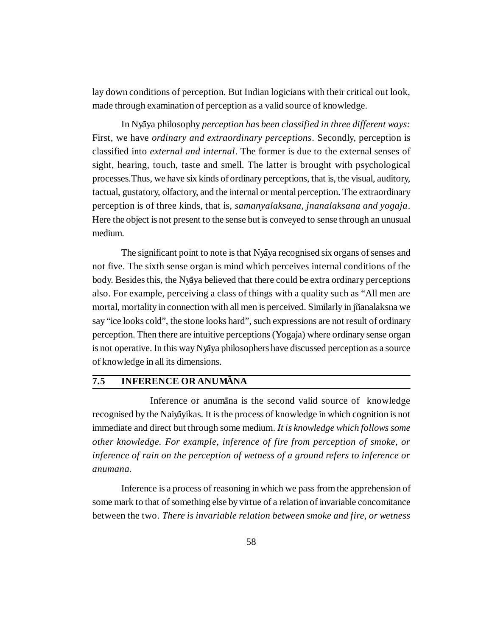lay down conditions of perception. But Indian logicians with their critical out look, made through examination of perception as a valid source of knowledge.

In Nyāya philosophy *perception has been classified in three different ways:* First, we have *ordinary and extraordinary perceptions*. Secondly, perception is classified into *external and internal*. The former is due to the external senses of sight, hearing, touch, taste and smell. The latter is brought with psychological processes.Thus, we have six kinds of ordinary perceptions, that is, the visual, auditory, tactual, gustatory, olfactory, and the internal or mental perception. The extraordinary perception is of three kinds, that is, *samanyalaksana, jnanalaksana and yogaja*. Here the object is not present to the sense but is conveyed to sense through an unusual medium.

The significant point to note is that Nyaya recognised six organs of senses and not five. The sixth sense organ is mind which perceives internal conditions of the body. Besides this, the Nyaya believed that there could be extra ordinary perceptions also. For example, perceiving a class of things with a quality such as "All men are mortal, mortality in connection with all men is perceived. Similarly in jñanalaksna we say "ice looks cold", the stone looks hard", such expressions are not result of ordinary perception. Then there are intuitive perceptions (Yogaja) where ordinary sense organ is not operative. In this way Nyaya philosophers have discussed perception as a source of knowledge in all its dimensions.

# **7.5 INFERENCE OR ANUMANA**

Inference or anumana is the second valid source of knowledge recognised by the Naiyayikas. It is the process of knowledge in which cognition is not immediate and direct but through some medium. *It is knowledge which follows some other knowledge. For example, inference of fire from perception of smoke, or inference of rain on the perception of wetness of a ground refers to inference or anumana.*

Inference is a process of reasoning in which we pass from the apprehension of some mark to that of something else by virtue of a relation of invariable concomitance between the two. *There is invariable relation between smoke and fire, or wetness*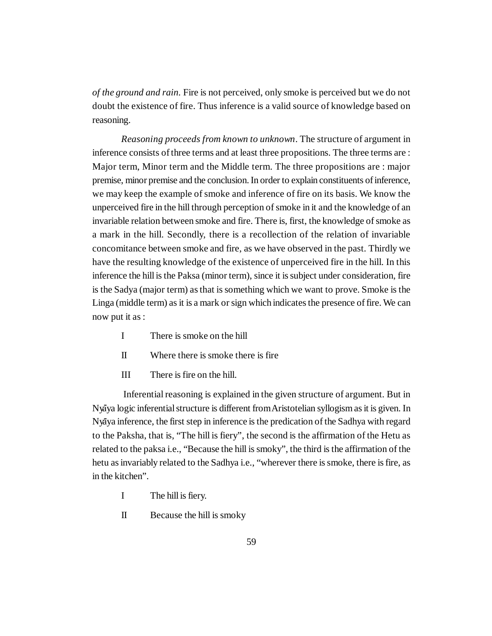*of the ground and rain.* Fire is not perceived, only smoke is perceived but we do not doubt the existence of fire. Thus inference is a valid source of knowledge based on reasoning.

*Reasoning proceeds from known to unknown*. The structure of argument in inference consists of three terms and at least three propositions. The three terms are : Major term, Minor term and the Middle term. The three propositions are : major premise, minor premise and the conclusion. In order to explain constituents of inference, we may keep the example of smoke and inference of fire on its basis. We know the unperceived fire in the hill through perception of smoke in it and the knowledge of an invariable relation between smoke and fire. There is, first, the knowledge of smoke as a mark in the hill. Secondly, there is a recollection of the relation of invariable concomitance between smoke and fire, as we have observed in the past. Thirdly we have the resulting knowledge of the existence of unperceived fire in the hill. In this inference the hill is the Paksa (minor term), since it is subject under consideration, fire is the Sadya (major term) as that is something which we want to prove. Smoke is the Linga (middle term) as it is a mark or sign which indicates the presence of fire. We can now put it as :

- I There is smoke on the hill
- II Where there is smoke there is fire
- III There is fire on the hill.

 Inferential reasoning is explained in the given structure of argument. But in Ny**-**aya logic inferential structure is different from Aristotelian syllogism as it is given. In Ny**-**aya inference, the first step in inference is the predication of the Sadhya with regard to the Paksha, that is, "The hill is fiery", the second is the affirmation of the Hetu as related to the paksa i.e., "Because the hill is smoky", the third is the affirmation of the hetu as invariably related to the Sadhya i.e., "wherever there is smoke, there is fire, as in the kitchen".

- I The hill is fiery.
- II Because the hill is smoky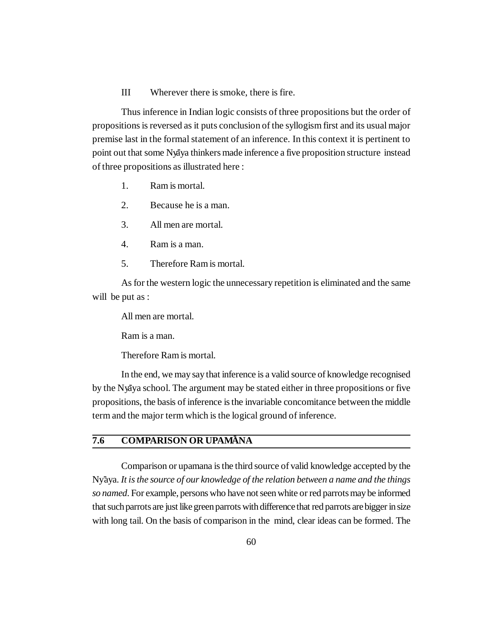#### III Wherever there is smoke, there is fire.

Thus inference in Indian logic consists of three propositions but the order of propositions is reversed as it puts conclusion of the syllogism first and its usual major premise last in the formal statement of an inference. In this context it is pertinent to point out that some Nyaya thinkers made inference a five proposition structure instead of three propositions as illustrated here :

- 1. Ram is mortal.
- 2. Because he is a man.
- 3. All men are mortal.
- 4. Ram is a man.
- 5. Therefore Ram is mortal.

As for the western logic the unnecessary repetition is eliminated and the same will be put as :

All men are mortal.

Ram is a man.

Therefore Ram is mortal.

In the end, we may say that inference is a valid source of knowledge recognised by the Nyaya school. The argument may be stated either in three propositions or five propositions, the basis of inference is the invariable concomitance between the middle term and the major term which is the logical ground of inference.

#### **7.6 COMPARISON OR UPAM-ANA**

Comparison or upamana is the third source of valid knowledge accepted by the Ny**-**aya. *It is the source of our knowledge of the relation between a name and the things so named*. For example, persons who have not seen white or red parrots may be informed that such parrots are just like green parrots with difference that red parrots are bigger in size with long tail. On the basis of comparison in the mind, clear ideas can be formed. The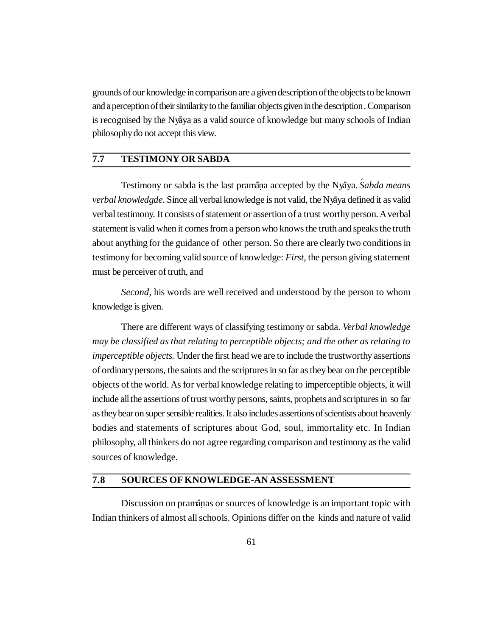grounds of our knowledge in comparison are a given description of the objects to beknown and a perception of their similarity to the familiar objects given in the description . Comparison is recognised by the Nyaya as a valid source of knowledge but many schools of Indian philosophy do not accept this view.

#### **7.7 TESTIMONY OR SABDA**

Testimony or sabda is the last pramāņa accepted by the Nyāya. Śabda means *verbal knowledgde.* Since all verbal knowledge is not valid, the Ny**-**aya defined it as valid verbal testimony. It consists of statement or assertion of a trust worthy person. A verbal statement is valid when it comes from a person who knows the truth and speaks the truth about anything for the guidance of other person. So there are clearly two conditions in testimony for becoming valid source of knowledge: *First,* the person giving statement must be perceiver of truth, and

*Second,* his words are well received and understood by the person to whom knowledge is given.

There are different ways of classifying testimony or sabda. *Verbal knowledge may be classified as that relating to perceptible objects; and the other as relating to imperceptible objects.* Under the first head we are to include the trustworthy assertions of ordinary persons, the saints and the scriptures in so far as they bear on the perceptible objects of the world. As for verbal knowledge relating to imperceptible objects, it will include all the assertions of trust worthy persons, saints, prophets and scriptures in so far as they bear on super sensible realities. It also includes assertions of scientists about heavenly bodies and statements of scriptures about God, soul, immortality etc. In Indian philosophy, all thinkers do not agree regarding comparison and testimony as the valid sources of knowledge.

#### **7.8 SOURCES OF KNOWLEDGE-AN ASSESSMENT**

Discussion on pramanas or sources of knowledge is an important topic with Indian thinkers of almost all schools. Opinions differ on the kinds and nature of valid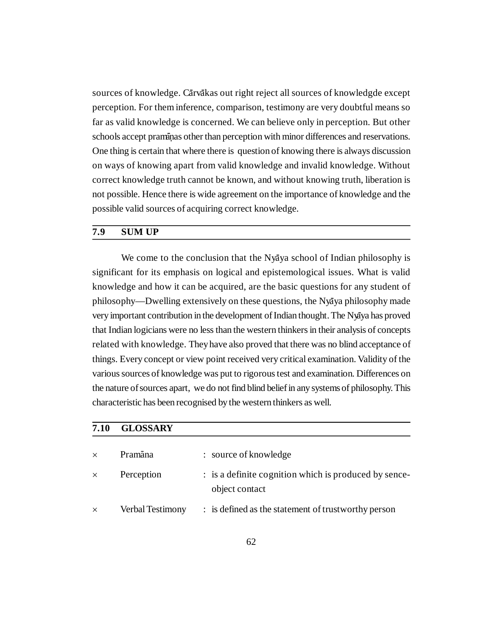sources of knowledge. C**-**arv**-**akas out right reject all sources of knowledgde except perception. For them inference, comparison, testimony are very doubtful means so far as valid knowledge is concerned. We can believe only in perception. But other schools accept pramanas other than perception with minor differences and reservations. One thing is certain that where there is question of knowing there is always discussion on ways of knowing apart from valid knowledge and invalid knowledge. Without correct knowledge truth cannot be known, and without knowing truth, liberation is not possible. Hence there is wide agreement on the importance of knowledge and the possible valid sources of acquiring correct knowledge.

#### **7.9 SUM UP**

We come to the conclusion that the Nyaya school of Indian philosophy is significant for its emphasis on logical and epistemological issues. What is valid knowledge and how it can be acquired, are the basic questions for any student of philosophy—Dwelling extensively on these questions, the Nyaya philosophy made very important contribution in the development of Indian thought. The Nyaya has proved that Indian logicians were no less than the western thinkers in their analysis of concepts related with knowledge. They have also proved that there was no blind acceptance of things. Every concept or view point received very critical examination. Validity of the various sources of knowledge was put to rigorous test and examination. Differences on the nature of sources apart, we do not find blind belief in any systems of philosophy. This characteristic has been recognised by the western thinkers as well.

| 7.10<br>$\times$ | <b>GLOSSARY</b>  |                                                                         |  |
|------------------|------------------|-------------------------------------------------------------------------|--|
|                  | Pramāna          | : source of knowledge                                                   |  |
| $\times$         | Perception       | : is a definite cognition which is produced by sence-<br>object contact |  |
| $\times$         | Verbal Testimony | : is defined as the statement of trustworthy person                     |  |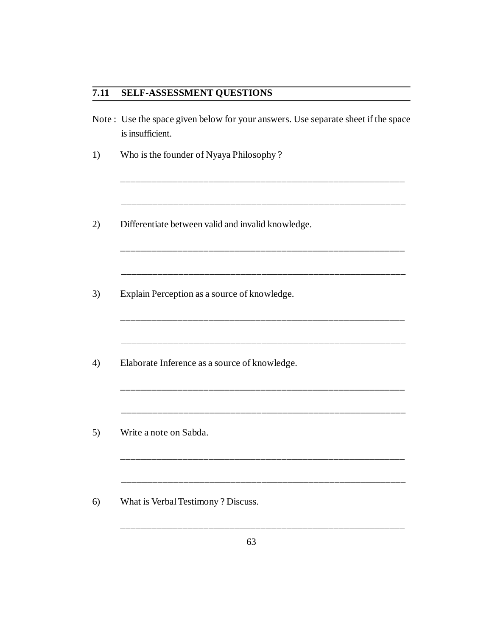### **7.11 SELF-ASSESSMENT QUESTIONS**

Note : Use the space given below for your answers. Use separate sheet if the space is insufficient.

\_\_\_\_\_\_\_\_\_\_\_\_\_\_\_\_\_\_\_\_\_\_\_\_\_\_\_\_\_\_\_\_\_\_\_\_\_\_\_\_\_\_\_\_\_\_\_\_\_\_\_\_\_\_\_

\_\_\_\_\_\_\_\_\_\_\_\_\_\_\_\_\_\_\_\_\_\_\_\_\_\_\_\_\_\_\_\_\_\_\_\_\_\_\_\_\_\_\_\_\_\_\_\_\_\_\_\_\_\_\_

\_\_\_\_\_\_\_\_\_\_\_\_\_\_\_\_\_\_\_\_\_\_\_\_\_\_\_\_\_\_\_\_\_\_\_\_\_\_\_\_\_\_\_\_\_\_\_\_\_\_\_\_\_\_\_

\_\_\_\_\_\_\_\_\_\_\_\_\_\_\_\_\_\_\_\_\_\_\_\_\_\_\_\_\_\_\_\_\_\_\_\_\_\_\_\_\_\_\_\_\_\_\_\_\_\_\_\_\_\_\_

\_\_\_\_\_\_\_\_\_\_\_\_\_\_\_\_\_\_\_\_\_\_\_\_\_\_\_\_\_\_\_\_\_\_\_\_\_\_\_\_\_\_\_\_\_\_\_\_\_\_\_\_\_\_\_

\_\_\_\_\_\_\_\_\_\_\_\_\_\_\_\_\_\_\_\_\_\_\_\_\_\_\_\_\_\_\_\_\_\_\_\_\_\_\_\_\_\_\_\_\_\_\_\_\_\_\_\_\_\_\_

\_\_\_\_\_\_\_\_\_\_\_\_\_\_\_\_\_\_\_\_\_\_\_\_\_\_\_\_\_\_\_\_\_\_\_\_\_\_\_\_\_\_\_\_\_\_\_\_\_\_\_\_\_\_\_

\_\_\_\_\_\_\_\_\_\_\_\_\_\_\_\_\_\_\_\_\_\_\_\_\_\_\_\_\_\_\_\_\_\_\_\_\_\_\_\_\_\_\_\_\_\_\_\_\_\_\_\_\_\_\_

\_\_\_\_\_\_\_\_\_\_\_\_\_\_\_\_\_\_\_\_\_\_\_\_\_\_\_\_\_\_\_\_\_\_\_\_\_\_\_\_\_\_\_\_\_\_\_\_\_\_\_\_\_\_\_

\_\_\_\_\_\_\_\_\_\_\_\_\_\_\_\_\_\_\_\_\_\_\_\_\_\_\_\_\_\_\_\_\_\_\_\_\_\_\_\_\_\_\_\_\_\_\_\_\_\_\_\_\_\_\_

\_\_\_\_\_\_\_\_\_\_\_\_\_\_\_\_\_\_\_\_\_\_\_\_\_\_\_\_\_\_\_\_\_\_\_\_\_\_\_\_\_\_\_\_\_\_\_\_\_\_\_\_\_\_\_

- 1) Who is the founder of Nyaya Philosophy ?
- 2) Differentiate between valid and invalid knowledge.
- 3) Explain Perception as a source of knowledge.
- 4) Elaborate Inference as a source of knowledge.
- 5) Write a note on Sabda.
- 6) What is Verbal Testimony ? Discuss.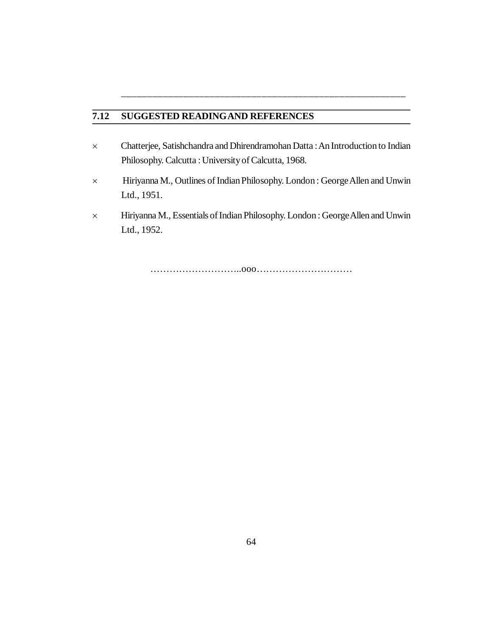### **7.12 SUGGESTED READINGAND REFERENCES**

 Chatterjee, Satishchandra and Dhirendramohan Datta : An Introduction to Indian Philosophy. Calcutta : University of Calcutta, 1968.

\_\_\_\_\_\_\_\_\_\_\_\_\_\_\_\_\_\_\_\_\_\_\_\_\_\_\_\_\_\_\_\_\_\_\_\_\_\_\_\_\_\_\_\_\_\_\_\_\_\_\_\_\_\_\_

- Hiriyanna M., Outlines of Indian Philosophy. London : George Allen and Unwin Ltd., 1951.
- Hiriyanna M., Essentials of Indian Philosophy. London : George Allen and Unwin Ltd., 1952.

………………………..ooo…………………………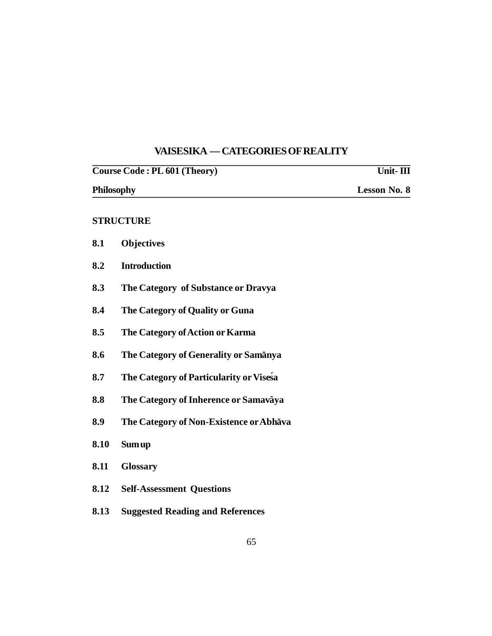# **VAISESIKA — CATEGORIES OF REALITY**

| Course Code: PL 601 (Theory) |                                         | Unit-III            |  |
|------------------------------|-----------------------------------------|---------------------|--|
|                              | Philosophy                              | <b>Lesson No. 8</b> |  |
|                              | <b>STRUCTURE</b>                        |                     |  |
| 8.1                          | <b>Objectives</b>                       |                     |  |
| 8.2                          | <b>Introduction</b>                     |                     |  |
| 8.3                          | The Category of Substance or Dravya     |                     |  |
| 8.4                          | The Category of Quality or Guna         |                     |  |
| 8.5                          | The Category of Action or Karma         |                     |  |
| 8.6                          | The Category of Generality or Samanya   |                     |  |
| 8.7                          | The Category of Particularity or Visesa |                     |  |
| 8.8                          | The Category of Inherence or Samavaya   |                     |  |
| 8.9                          | The Category of Non-Existence or Abhava |                     |  |
| 8.10                         | <b>Sum up</b>                           |                     |  |
| 8.11                         | <b>Glossary</b>                         |                     |  |
| 8.12                         | <b>Self-Assessment Questions</b>        |                     |  |
| 8.13                         | <b>Suggested Reading and References</b> |                     |  |
|                              |                                         |                     |  |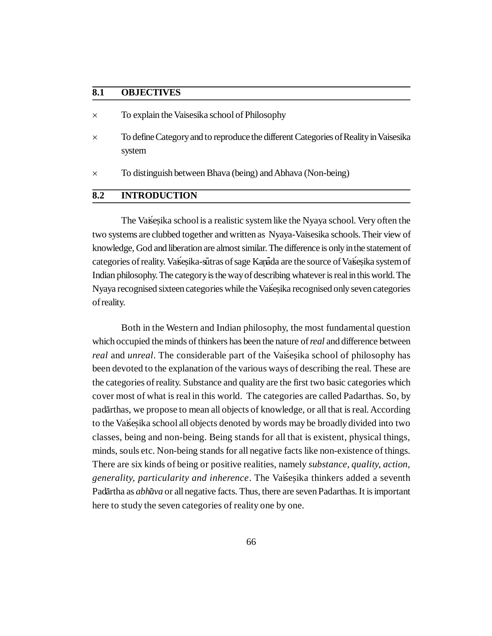#### **8.1 OBJECTIVES**

- To explain the Vaisesika school of Philosophy
- $\times$  To define Category and to reproduce the different Categories of Reality in Vaisesika system
- To distinguish between Bhava (being) and Abhava (Non-being)

#### **8.2 INTRODUCTION**

The Vaisesika school is a realistic system like the Nyaya school. Very often the two systems are clubbed together and written as Nyaya-Vaisesika schools. Their view of knowledge, God and liberation are almost similar. The difference is only in the statement of categories of reality. Vaisesika-sutras of sage Kanada are the source of Vaisesika system of Indian philosophy. The category is the way of describing whatever is real in this world. The Nyaya recognised sixteen categories while the Vaisesika recognised only seven categories of reality.

Both in the Western and Indian philosophy, the most fundamental question which occupied the minds of thinkers has been the nature of *real* and difference between *real* and *unreal*. The considerable part of the Vaisesika school of philosophy has been devoted to the explanation of the various ways of describing the real. These are the categories of reality. Substance and quality are the first two basic categories which cover most of what is real in this world. The categories are called Padarthas. So, by padārthas, we propose to mean all objects of knowledge, or all that is real. According to the Vaises ika school all objects denoted by words may be broadly divided into two classes, being and non-being. Being stands for all that is existent, physical things, minds, souls etc. Non-being stands for all negative facts like non-existence of things. There are six kinds of being or positive realities, namely *substance, quality, action, generality, particularity and inherence*. The Vaisesika thinkers added a seventh Padārtha as *abhāva* or all negative facts. Thus, there are seven Padarthas. It is important here to study the seven categories of reality one by one.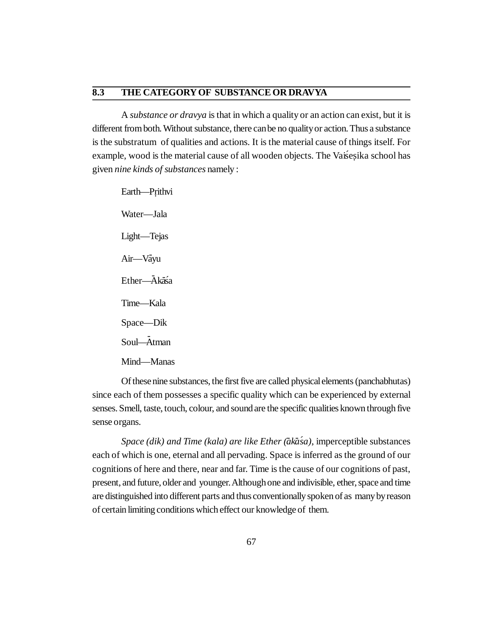#### **8.3 THE CATEGORY OF SUBSTANCE OR DRAVYA**

A *substance or dravya* is that in which a quality or an action can exist, but it is different from both. Without substance, there can be no quality or action. Thus a substance is the substratum of qualities and actions. It is the material cause of things itself. For example, wood is the material cause of all wooden objects. The Vaisesika school has given *nine kinds of substances* namely :

Earth—Prithvi Water—Jala Light—Tejas Air—Vāyu Ether—Ākāśa Time—Kala Space—Dik Soul—- Atman Mind—Manas

Of these nine substances, the first five are called physical elements (panchabhutas) since each of them possesses a specific quality which can be experienced by external senses. Smell, taste, touch, colour, and sound are the specific qualities known through five sense organs.

*Space (dik) and Time (kala) are like Ether (ākāśa)*, imperceptible substances each of which is one, eternal and all pervading. Space is inferred as the ground of our cognitions of here and there, near and far. Time is the cause of our cognitions of past, present, and future, older and younger. Although one and indivisible, ether, space and time are distinguished into different parts and thus conventionally spoken of as many by reason of certain limiting conditions which effect our knowledge of them.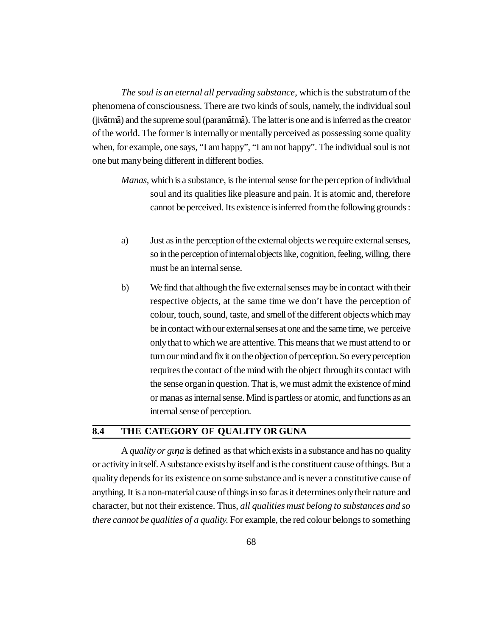*The soul is an eternal all pervading substance*, which is the substratum of the phenomena of consciousness. There are two kinds of souls, namely, the individual soul (jivātmā) and the supreme soul (paramātmā). The latter is one and is inferred as the creator of the world. The former is internally or mentally perceived as possessing some quality when, for example, one says, "I am happy", "I am not happy". The individual soul is not one but many being different in different bodies.

- *Manas,* which is a substance, is the internal sense for the perception of individual soul and its qualities like pleasure and pain. It is atomic and, therefore cannot be perceived. Its existence is inferred from the following grounds :
- a) Just as in the perception of the external objects we require external senses, so in the perception of internal objects like, cognition, feeling, willing, there must be an internal sense.
- b) We find that although the five external senses may be in contact with their respective objects, at the same time we don't have the perception of colour, touch, sound, taste, and smell of the different objects which may be in contact with our external senses at one and the same time, we perceive only that to which we are attentive. This means that we must attend to or turn our mind and fix it on the objection of perception. So every perception requires the contact of the mind with the object through its contact with the sense organ in question. That is, we must admit the existence of mind or manas as internal sense. Mind is partless or atomic, and functions as an internal sense of perception.

#### **8.4 THE CATEGORY OF QUALITY OR GUNA**

A *quality or guna* is defined as that which exists in a substance and has no quality or activity in itself. A substance exists by itself and is the constituent cause of things. But a quality depends for its existence on some substance and is never a constitutive cause of anything. It is a non-material cause of things in so far as it determines only their nature and character, but not their existence. Thus, *all qualities must belong to substances and so there cannot be qualities of a quality.* For example, the red colour belongs to something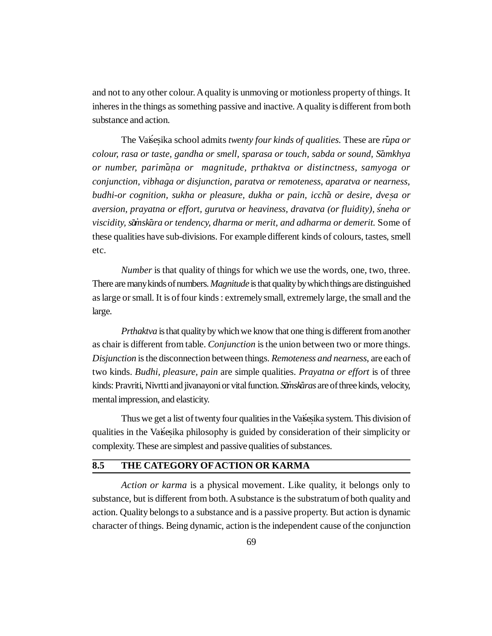and not to any other colour. A quality is unmoving or motionless property of things. It inheres in the things as something passive and inactive. A quality is different from both substance and action.

The Vaises ika school admits *twenty four kinds of qualities*. These are *rupa or colour, rasa or taste, gandha or smell, sparasa or touch, sabda or sound, S-amkhya or number, parim-a.na or magnitude, prthaktva or distinctness, samyoga or conjunction, vibhaga or disjunction, paratva or remoteness, aparatva or nearness, budhi-or cognition, sukha or pleasure, dukha or pain, icch-a or desire, dve. sa or aversion, prayatna or effort, gurutva or heaviness, dravatva (or fluidity), sneha or ´ viscidity, s-amsk · - ara or tendency, dharma or merit, and adharma or demerit.* Some of these qualities have sub-divisions. For example different kinds of colours, tastes, smell etc.

*Number* is that quality of things for which we use the words, one, two, three. There are many kinds of numbers. *Magnitude* is that quality by which things are distinguished as large or small. It is of four kinds : extremely small, extremely large, the small and the large.

*Prthaktva* is that quality by which we know that one thing is different from another as chair is different from table. *Conjunction* is the union between two or more things. *Disjunction* is the disconnection between things. *Remoteness and nearness*, are each of two kinds. *Budhi, pleasure, pain* are simple qualities. *Prayatna or effort* is of three kinds: Pravriti, Nivrtti and jivanayoni or vital function. *Sänskāras* are of three kinds, velocity, mental impression, and elasticity.

Thus we get a list of twenty four qualities in the Vaises ika system. This division of qualities in the Vaisesika philosophy is guided by consideration of their simplicity or complexity. These are simplest and passive qualities of substances.

#### **8.5 THE CATEGORY OF ACTION OR KARMA**

*Action or karma* is a physical movement. Like quality, it belongs only to substance, but is different from both. A substance is the substratum of both quality and action. Quality belongs to a substance and is a passive property. But action is dynamic character of things. Being dynamic, action is the independent cause of the conjunction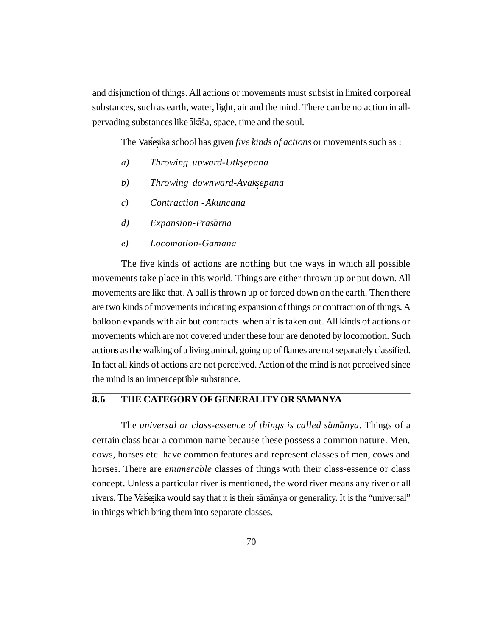and disjunction of things. All actions or movements must subsist in limited corporeal substances, such as earth, water, light, air and the mind. There can be no action in allpervading substances like ākāša, space, time and the soul.

The Vaises ika school has given *five kinds of actions* or movements such as :

- *a) Throwing upward-Utksepana .*
- *b*) *Throwing downward-Avaksepana*
- *c) Contraction -Akuncana*
- *d*) Expansion-Prasarna
- *e) Locomotion-Gamana*

The five kinds of actions are nothing but the ways in which all possible movements take place in this world. Things are either thrown up or put down. All movements are like that. A ball is thrown up or forced down on the earth. Then there are two kinds of movements indicating expansion of things or contraction of things. A balloon expands with air but contracts when air is taken out. All kinds of actions or movements which are not covered under these four are denoted by locomotion. Such actions as the walking of a living animal, going up of flames are not separately classified. In fact all kinds of actions are not perceived. Action of the mind is not perceived since the mind is an imperceptible substance.

#### 8.6 THE CATEGORY OF GENERALITY OR SAMANYA

The *universal or class-essence of things is called s-am-anya*. Things of a certain class bear a common name because these possess a common nature. Men, cows, horses etc. have common features and represent classes of men, cows and horses. There are *enumerable* classes of things with their class-essence or class concept. Unless a particular river is mentioned, the word river means any river or all rivers. The Vaises ika would say that it is their samanya or generality. It is the "universal" in things which bring them into separate classes.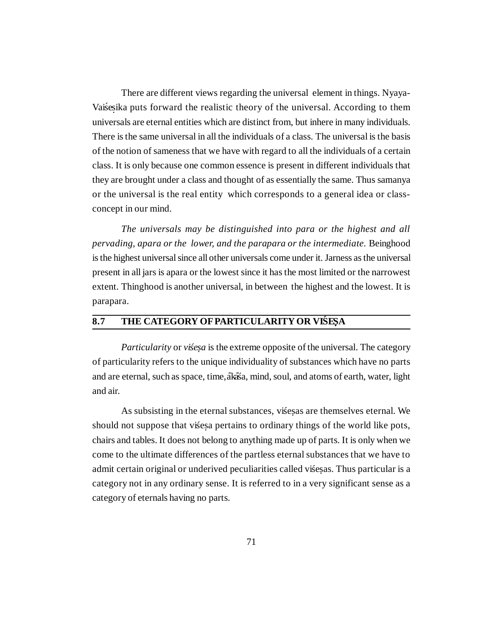There are different views regarding the universal element in things. Nyaya-Vaisesika puts forward the realistic theory of the universal. According to them universals are eternal entities which are distinct from, but inhere in many individuals. There is the same universal in all the individuals of a class. The universal is the basis of the notion of sameness that we have with regard to all the individuals of a certain class. It is only because one common essence is present in different individuals that they are brought under a class and thought of as essentially the same. Thus samanya or the universal is the real entity which corresponds to a general idea or classconcept in our mind.

*The universals may be distinguished into para or the highest and all pervading, apara or the lower, and the parapara or the intermediate.* Beinghood is the highest universal since all other universals come under it. Jarness as the universal present in all jars is apara or the lowest since it has the most limited or the narrowest extent. Thinghood is another universal, in between the highest and the lowest. It is parapara.

#### 8.7 THE CATEGORY OF PARTICULARITY OR VIŚESA

*Particularity* or *visesa* is the extreme opposite of the universal. The category of particularity refers to the unique individuality of substances which have no parts and are eternal, such as space, time, akasa, mind, soul, and atoms of earth, water, light and air.

As subsisting in the eternal substances, vises as are themselves eternal. We should not suppose that vises a pertains to ordinary things of the world like pots, chairs and tables. It does not belong to anything made up of parts. It is only when we come to the ultimate differences of the partless eternal substances that we have to admit certain original or underived peculiarities called vises as. Thus particular is a category not in any ordinary sense. It is referred to in a very significant sense as a category of eternals having no parts.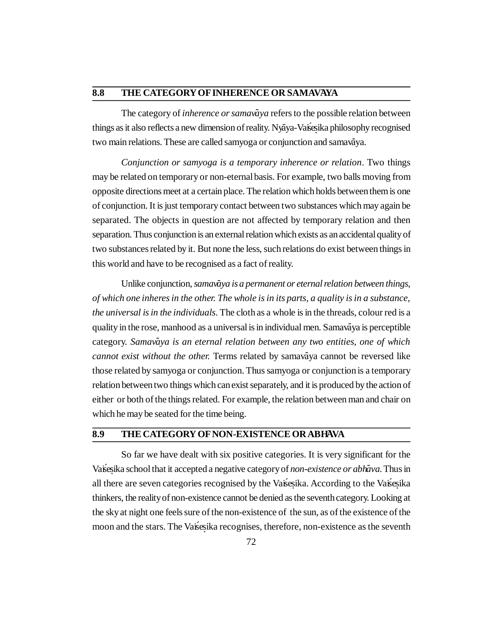# **8.8** THE CATEGORY OF INHERENCE OR SAMAVAYA

The category of *inherence or samavaya* refers to the possible relation between things as it also reflects a new dimension of reality. Nyaya-Vaisesika philosophy recognised two main relations. These are called samyoga or conjunction and samavāya.

*Conjunction or samyoga is a temporary inherence or relation*. Two things may be related on temporary or non-eternal basis. For example, two balls moving from opposite directions meet at a certain place. The relation which holds between them is one of conjunction. It is just temporary contact between two substances which may again be separated. The objects in question are not affected by temporary relation and then separation. Thus conjunction is an external relation which exists as an accidental quality of two substances related by it. But none the less, such relations do exist between things in this world and have to be recognised as a fact of reality.

Unlike conjunction, *samavāya is a permanent or eternal relation between things*, *of which one inheres in the other. The whole is in its parts, a quality is in a substance, the universal is in the individuals*. The cloth as a whole is in the threads, colour red is a quality in the rose, manhood as a universal is in individual men. Samavaya is perceptible category. Samavāya is an eternal relation between any two entities, one of which cannot exist without the other. Terms related by samavaya cannot be reversed like those related by samyoga or conjunction. Thus samyoga or conjunction is a temporary relation between two things which can exist separately, and it is produced by the action of either or both of the things related. For example, the relation between man and chair on which he may be seated for the time being.

### **8.9 THE CATEGORY OF NON-EXISTENCE OR ABHAVA**

So far we have dealt with six positive categories. It is very significant for the Vaises ika school that it accepted a negative category of *non-existence or abhava*. Thus in all there are seven categories recognised by the Vaisesika. According to the Vaisesika thinkers, the reality of non-existence cannot be denied as the seventh category. Looking at the sky at night one feels sure of the non-existence of the sun, as of the existence of the moon and the stars. The Vaises ika recognises, therefore, non-existence as the seventh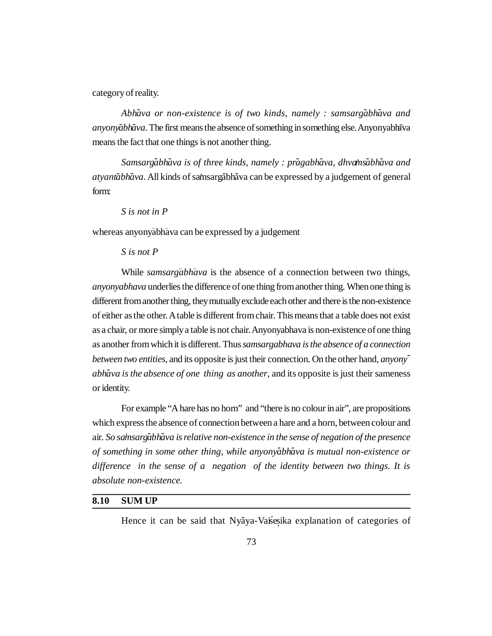category of reality.

Abh<del>*ava or non-existence is of two kinds, namely : samsarg<code>abh</code><i>ava and*</del> *anyonyabhava*. The first means the absence of something in something else. Anyonyabhava means the fact that one things is not another thing.

 $S$ *amsarg<code>ābh</code>* $\bar{a}$ *va is of three kinds, namely : pr* $\bar{a}$ *gabh* $\bar{a}$ *va, dhva* $\bar{a}$ *s* $\bar{a}$ *bh* $\bar{a}$ *va and* atyantabhava. All kinds of samsargabhava can be expressed by a judgement of general form:

*S is not in P*

whereas anyonyābhāva can be expressed by a judgement

### *S is not P*

While *samsargabhava* is the absence of a connection between two things, *anyonyabhava* underlies the difference of one thing from another thing. When one thing is different from another thing, they mutually exclude each other and there is the non-existence of either as the other. A table is different from chair. This means that a table does not exist as a chair, or more simply a table is not chair. Anyonyabhava is non-existence of one thing as another from which it is different. Thus *samsargabhava is the absence of a connection between two entities,* and its opposite is just their connection. On the other hand, *anyonyabh-ava is the absence of one thing as another*, and its opposite is just their sameness or identity.

For example "A hare has no horn" and "there is no colour in air", are propositions which express the absence of connection between a hare and a horn, between colour and air. So samsargabhava is relative non-existence in the sense of negation of the presence *of something in some other thing, while anyonyabhava is mutual non-existence or difference in the sense of a negation of the identity between two things. It is absolute non-existence.*

### **8.10 SUM UP**

Hence it can be said that Nyaya-Vaisesika explanation of categories of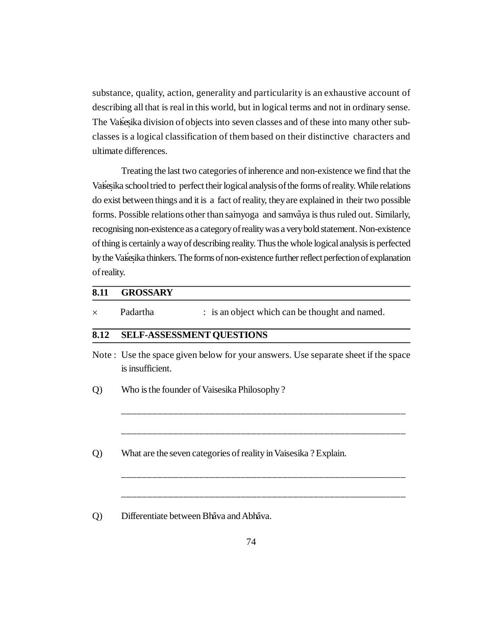substance, quality, action, generality and particularity is an exhaustive account of describing all that is real in this world, but in logical terms and not in ordinary sense. The Vaises ika division of objects into seven classes and of these into many other subclasses is a logical classification of them based on their distinctive characters and ultimate differences.

Treating the last two categories of inherence and non-existence we find that the Vaises ika school tried to perfect their logical analysis of the forms of reality. While relations do exist between things and it is a fact of reality, they are explained in their two possible forms. Possible relations other than saimyoga and samvaya is thus ruled out. Similarly, recognising non-existence as a category of reality was a very bold statement. Non-existence of thing is certainly a way of describing reality. Thus the whole logical analysis is perfected by the Vaisesika thinkers. The forms of non-existence further reflect perfection of explanation of reality.

| 8.11           | <b>GROSSARY</b>  |                                                                                   |
|----------------|------------------|-----------------------------------------------------------------------------------|
| $\times$       | Padartha         | : is an object which can be thought and named.                                    |
| 8.12           |                  | <b>SELF-ASSESSMENT QUESTIONS</b>                                                  |
|                | is insufficient. | Note: Use the space given below for your answers. Use separate sheet if the space |
| Q)             |                  | Who is the founder of Vaisesika Philosophy?                                       |
| $\overline{Q}$ |                  | What are the seven categories of reality in Vaisesika? Explain.                   |
| $\circ$        |                  | Differentiate between Bhava and Abhava.                                           |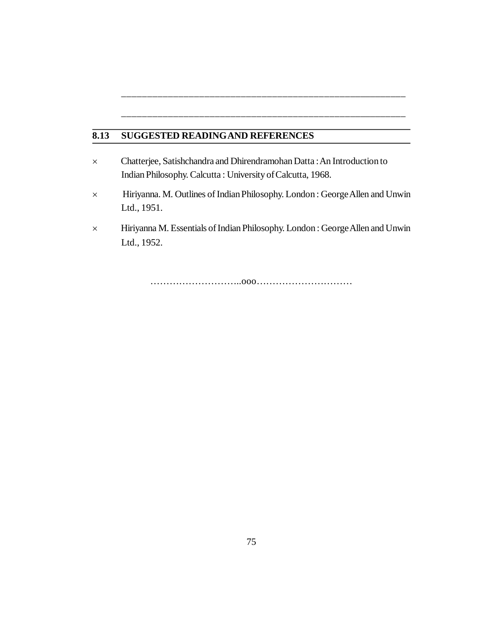# **8.13 SUGGESTED READINGAND REFERENCES**

- Chatterjee, Satishchandra and Dhirendramohan Datta : An Introduction to Indian Philosophy. Calcutta : University of Calcutta, 1968.
- Hiriyanna. M. Outlines of Indian Philosophy. London : George Allen and Unwin Ltd., 1951.

\_\_\_\_\_\_\_\_\_\_\_\_\_\_\_\_\_\_\_\_\_\_\_\_\_\_\_\_\_\_\_\_\_\_\_\_\_\_\_\_\_\_\_\_\_\_\_\_\_\_\_\_\_\_\_

\_\_\_\_\_\_\_\_\_\_\_\_\_\_\_\_\_\_\_\_\_\_\_\_\_\_\_\_\_\_\_\_\_\_\_\_\_\_\_\_\_\_\_\_\_\_\_\_\_\_\_\_\_\_\_

 Hiriyanna M. Essentials of Indian Philosophy. London : George Allen and Unwin Ltd., 1952.

………………………..ooo…………………………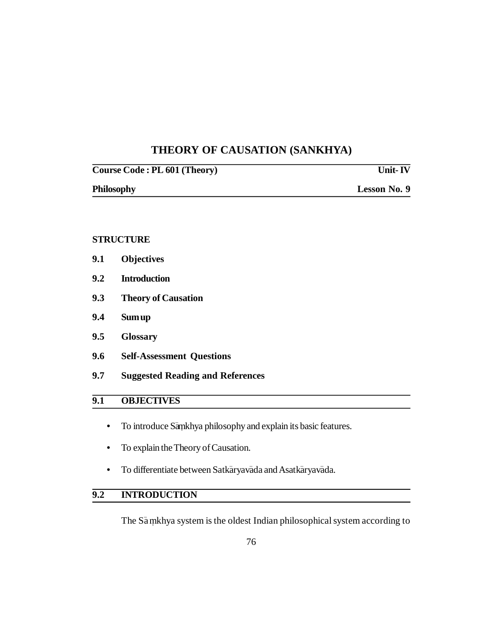# **THEORY OF CAUSATION (SANKHYA)**

| Course Code : PL 601 (Theory) | <b>Unit-IV</b> |
|-------------------------------|----------------|
| <b>Philosophy</b>             | Lesson No. 9   |

### **STRUCTURE**

- **9.1 Objectives**
- **9.2 Introduction**
- **9.3 Theory of Causation**
- **9.4 Sum up**
- **9.5 Glossary**
- **9.6 Self-Assessment Questions**
- **9.7 Suggested Reading and References**

## **9.1 OBJECTIVES**

- To introduce Samkhya philosophy and explain its basic features.
- **•** To explain the Theory of Causation.
- To differentiate between Satkāryavāda and Asatkāryavāda.

# **9.2 INTRODUCTION**

The Samkhya system is the oldest Indian philosophical system according to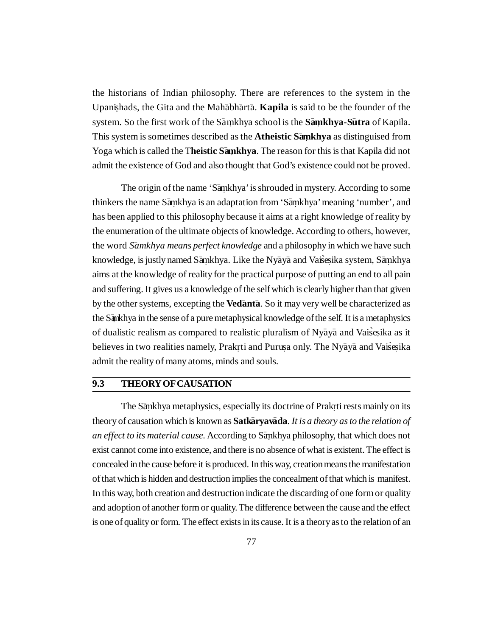the historians of Indian philosophy. There are references to the system in the Upanishads, the Gita and the Mahabharta. **Kapila** is said to be the founder of the system. So the first work of the S– a mkhya school is the **. S – amkhya-S . – utra** of Kapila. This system is sometimes described as the **Atheistic S– amkhya .** as distinguised from Yoga which is called the Theistic Samkhya. The reason for this is that Kapila did not admit the existence of God and also thought that God's existence could not be proved.

The origin of the name 'Samkhya' is shrouded in mystery. According to some thinkers the name Samkhya is an adaptation from 'Samkhya' meaning 'number', and has been applied to this philosophy because it aims at a right knowledge of reality by the enumeration of the ultimate objects of knowledge. According to others, however, the word *S – amkhya means perfect knowledge* and a philosophy in which we have such knowledge, is justly named Sāṃkhya. Like the Nyāyā and Vais̀eṣika system, Sāṃkhya aims at the knowledge of reality for the practical purpose of putting an end to all pain and suffering. It gives us a knowledge of the self which is clearly higher than that given by the other systems, excepting the **Vedanta**. So it may very well be characterized as the Sankhya in the sense of a pure metaphysical knowledge of the self. It is a metaphysics of dualistic realism as compared to realistic pluralism of Nyaya and Vaisesika as it believes in two realities namely, Prakrti and Purușa only. The Nyaya and Vaisesika admit the reality of many atoms, minds and souls.

## **9.3 THEORY OF CAUSATION**

The Sankhya metaphysics, especially its doctrine of Prakrti rests mainly on its theory of causation which is known as **Satkāryavāda**. *It is a theory as to the relation of* an effect to its material cause. According to Sankhya philosophy, that which does not exist cannot come into existence, and there is no absence of what is existent. The effect is concealed in the cause before it is produced. In this way, creation means the manifestation of that which is hidden and destruction implies the concealment of that which is manifest. In this way, both creation and destruction indicate the discarding of one form or quality and adoption of another form or quality. The difference between the cause and the effect is one of quality or form. The effect exists in its cause. It is a theory as to the relation of an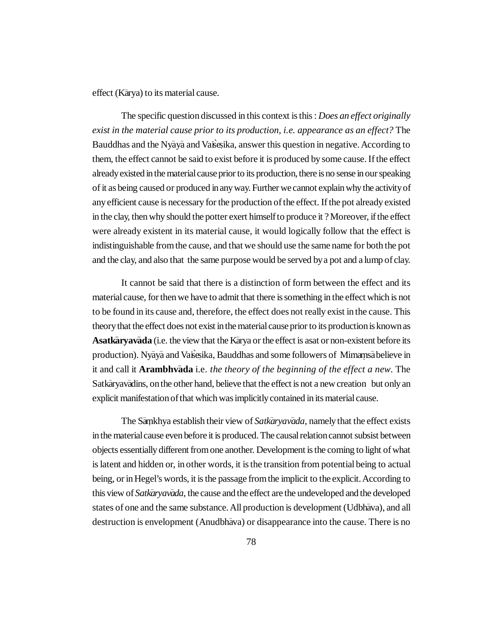effect (Kārya) to its material cause.

The specific question discussed in this context is this : *Does an effect originally exist in the material cause prior to its production, i.e. appearance as an effect?* The Bauddhas and the Nyaya and Vasesika, answer this question in negative. According to them, the effect cannot be said to exist before it is produced by some cause. If the effect already existed in the material cause prior to its production, there is no sense in our speaking of it as being caused or produced in any way. Further we cannot explain why the activity of any efficient cause is necessary for the production of the effect. If the pot already existed in the clay, then why should the potter exert himself to produce it ? Moreover, if the effect were already existent in its material cause, it would logically follow that the effect is indistinguishable from the cause, and that we should use the same name for both the pot and the clay, and also that the same purpose would be served by a pot and a lump of clay.

It cannot be said that there is a distinction of form between the effect and its material cause, for then we have to admit that there is something in the effect which is not to be found in its cause and, therefore, the effect does not really exist in the cause. This theory that the effect does not exist in the material cause prior to its production is known as Asatkaryavada (i.e. the view that the Karya or the effect is asat or non-existent before its production). Nyaya and Vaisesika, Bauddhas and some followers of Mimansa believe in it and call it **Arambhvada** i.e. *the theory of the beginning of the effect a new*. The Satkāryavādins, on the other hand, believe that the effect is not a new creation but only an explicit manifestation of that which was implicitly contained in its material cause.

The Samkhya establish their view of Satkaryavada, namely that the effect exists in the material cause even before it is produced. The causal relation cannot subsist between objects essentially different from one another. Development is the coming to light of what is latent and hidden or, in other words, it is the transition from potential being to actual being, or in Hegel's words, it is the passage from the implicit to the explicit. According to this view of *Satkaryavada*, the cause and the effect are the undeveloped and the developed states of one and the same substance. All production is development (Udbhava), and all destruction is envelopment (Anudbhava) or disappearance into the cause. There is no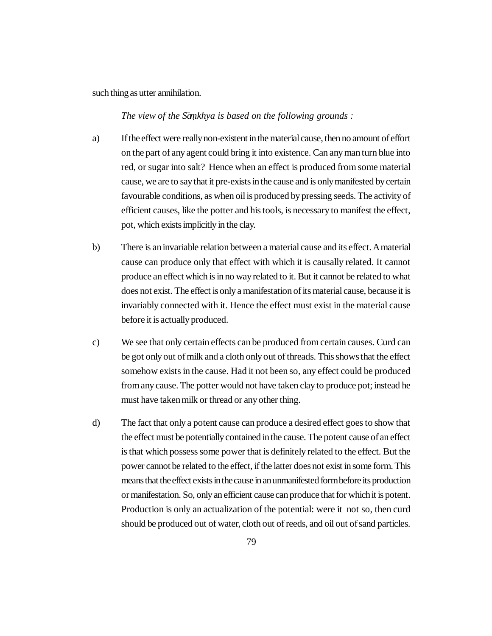such thing as utter annihilation.

*The view of the S– amkhya is based on the following grounds : .*

- a) If the effect were really non-existent in the material cause, then no amount of effort on the part of any agent could bring it into existence. Can any man turn blue into red, or sugar into salt? Hence when an effect is produced from some material cause, we are to say that it pre-exists in the cause and is only manifested by certain favourable conditions, as when oil is produced by pressing seeds. The activity of efficient causes, like the potter and his tools, is necessary to manifest the effect, pot, which exists implicitly in the clay.
- b) There is an invariable relation between a material cause and its effect. A material cause can produce only that effect with which it is causally related. It cannot produce an effect which is in no way related to it. But it cannot be related to what does not exist. The effect is only a manifestation of its material cause, because it is invariably connected with it. Hence the effect must exist in the material cause before it is actually produced.
- c) We see that only certain effects can be produced from certain causes. Curd can be got only out of milk and a cloth only out of threads. This shows that the effect somehow exists in the cause. Had it not been so, any effect could be produced from any cause. The potter would not have taken clay to produce pot; instead he must have taken milk or thread or any other thing.
- d) The fact that only a potent cause can produce a desired effect goes to show that the effect must be potentially contained in the cause. The potent cause of an effect is that which possess some power that is definitely related to the effect. But the power cannot be related to the effect, if the latter does not exist in some form. This means that the effect exists in the cause in an unmanifested form before its production or manifestation. So, only an efficient cause can produce that for which it is potent. Production is only an actualization of the potential: were it not so, then curd should be produced out of water, cloth out of reeds, and oil out of sand particles.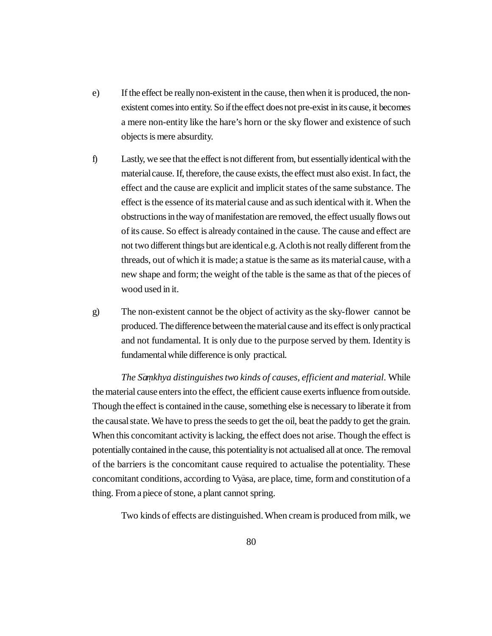- e) If the effect be really non-existent in the cause, then when it is produced, the nonexistent comes into entity. So if the effect does not pre-exist in its cause, it becomes a mere non-entity like the hare's horn or the sky flower and existence of such objects is mere absurdity.
- f) Lastly, we see that the effect is not different from, but essentially identical with the material cause. If, therefore, the cause exists, the effect must also exist. In fact, the effect and the cause are explicit and implicit states of the same substance. The effect is the essence of its material cause and as such identical with it. When the obstructions in the way of manifestation are removed, the effect usually flows out of its cause. So effect is already contained in the cause. The cause and effect are not two different things but are identical e.g. A cloth is not really different from the threads, out of which it is made; a statue is the same as its material cause, with a new shape and form; the weight of the table is the same as that of the pieces of wood used in it.
- g) The non-existent cannot be the object of activity as the sky-flower cannot be produced. The difference between the material cause and its effect is only practical and not fundamental. It is only due to the purpose served by them. Identity is fundamental while difference is only practical.

The Sankhya distinguishes two kinds of causes, efficient and material. While the material cause enters into the effect, the efficient cause exerts influence from outside. Though the effect is contained in the cause, something else is necessary to liberate it from the causal state. We have to press the seeds to get the oil, beat the paddy to get the grain. When this concomitant activity is lacking, the effect does not arise. Though the effect is potentially contained in the cause, this potentiality is not actualised all at once. The removal of the barriers is the concomitant cause required to actualise the potentiality. These concomitant conditions, according to Vyasa, are place, time, form and constitution of a thing. From a piece of stone, a plant cannot spring.

Two kinds of effects are distinguished. When cream is produced from milk, we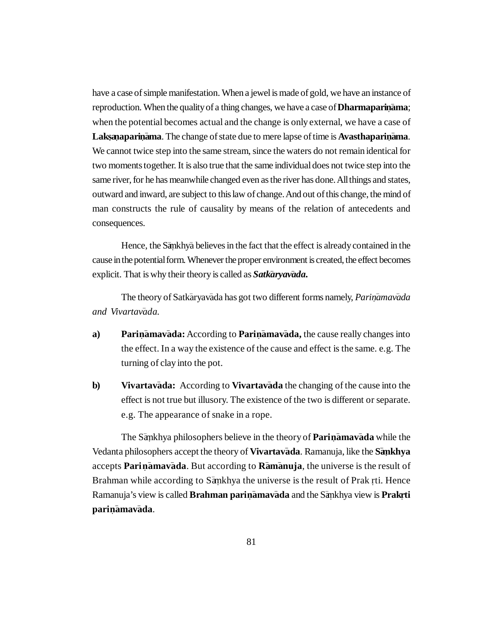have a case of simple manifestation. When a jewel is made of gold, we have an instance of reproduction. When the quality of a thing changes, we have a case of **Dharmaparinama**; when the potential becomes actual and the change is only external, we have a case of Laksanaparinama. The change of state due to mere lapse of time is Avasthaparinama. We cannot twice step into the same stream, since the waters do not remain identical for two moments together. It is also true that the same individual does not twice step into the same river, for he has meanwhile changed even as the river has done. All things and states, outward and inward, are subject to this law of change. And out of this change, the mind of man constructs the rule of causality by means of the relation of antecedents and consequences.

Hence, the Sankhya believes in the fact that the effect is already contained in the cause in the potential form. Whenever the proper environment is created, the effect becomes explicit. That is why their theory is called as *Satkaryavada*.

The theory of Satkaryavada has got two different forms namely, *Parinamavada and Vivartav– ada.*

- a) Parin**amavada:** According to Parinamavada, the cause really changes into the effect. In a way the existence of the cause and effect is the same. e.g. The turning of clay into the pot.
- **b)** Vivartava<sup>da:</sup> According to Vivartava<sup>da the changing of the cause into the</sup> effect is not true but illusory. The existence of the two is different or separate. e.g. The appearance of snake in a rope.

The Sankhya philosophers believe in the theory of Parinamavada while the Vedanta philosophers accept the theory of Vivartavada. Ramanuja, like the Sankhya accepts Parinamavada. But according to Ramanuja, the universe is the result of Brahman while according to Sankhya the universe is the result of Prak rti. Hence  $R$ amanuja's view is called **Brahman pariṇāmavāda** and the Sāṇkhya view is **Prakṛti parin. – amav – ada**.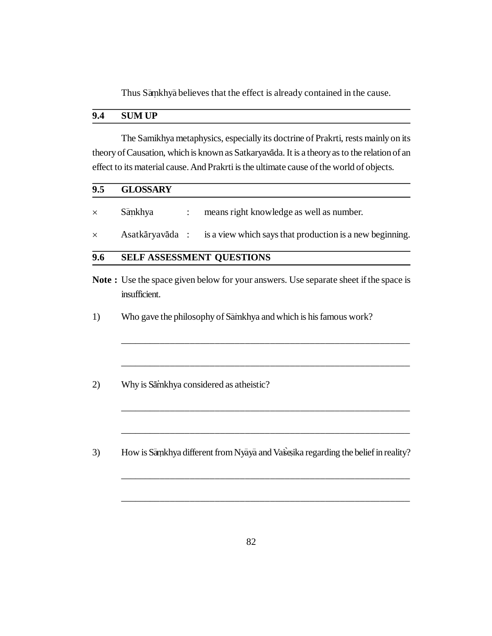Thus Sāmkhyā believes that the effect is already contained in the cause.

### **9.4 SUM UP**

The Samikhya metaphysics, especially its doctrine of Prakrti, rests mainly on its theory of Causation, which is known as Satkaryavāda. It is a theory as to the relation of an effect to its material cause. And Prakrti is the ultimate cause of the world of objects.

# **9.5 GLOSSARY**

| $\times$ | Sankhya | means right knowledge as well as number.                                 |
|----------|---------|--------------------------------------------------------------------------|
| $\times$ |         | Asatkāryavāda : is a view which says that production is a new beginning. |

# **9.6 SELF ASSESSMENT QUESTIONS**

**Note :** Use the space given below for your answers. Use separate sheet if the space is insufficient.

\_\_\_\_\_\_\_\_\_\_\_\_\_\_\_\_\_\_\_\_\_\_\_\_\_\_\_\_\_\_\_\_\_\_\_\_\_\_\_\_\_\_\_\_\_\_\_\_\_\_\_\_\_\_\_\_\_\_

\_\_\_\_\_\_\_\_\_\_\_\_\_\_\_\_\_\_\_\_\_\_\_\_\_\_\_\_\_\_\_\_\_\_\_\_\_\_\_\_\_\_\_\_\_\_\_\_\_\_\_\_\_\_\_\_\_\_

\_\_\_\_\_\_\_\_\_\_\_\_\_\_\_\_\_\_\_\_\_\_\_\_\_\_\_\_\_\_\_\_\_\_\_\_\_\_\_\_\_\_\_\_\_\_\_\_\_\_\_\_\_\_\_\_\_\_

\_\_\_\_\_\_\_\_\_\_\_\_\_\_\_\_\_\_\_\_\_\_\_\_\_\_\_\_\_\_\_\_\_\_\_\_\_\_\_\_\_\_\_\_\_\_\_\_\_\_\_\_\_\_\_\_\_\_

\_\_\_\_\_\_\_\_\_\_\_\_\_\_\_\_\_\_\_\_\_\_\_\_\_\_\_\_\_\_\_\_\_\_\_\_\_\_\_\_\_\_\_\_\_\_\_\_\_\_\_\_\_\_\_\_\_\_

\_\_\_\_\_\_\_\_\_\_\_\_\_\_\_\_\_\_\_\_\_\_\_\_\_\_\_\_\_\_\_\_\_\_\_\_\_\_\_\_\_\_\_\_\_\_\_\_\_\_\_\_\_\_\_\_\_\_

- 1) Who gave the philosophy of Samkhya and which is his famous work?
- 2) Why is Sāinkhya considered as atheistic?
- 3) How is Samkhya different from Nyaya and Vasesika regarding the belief in reality?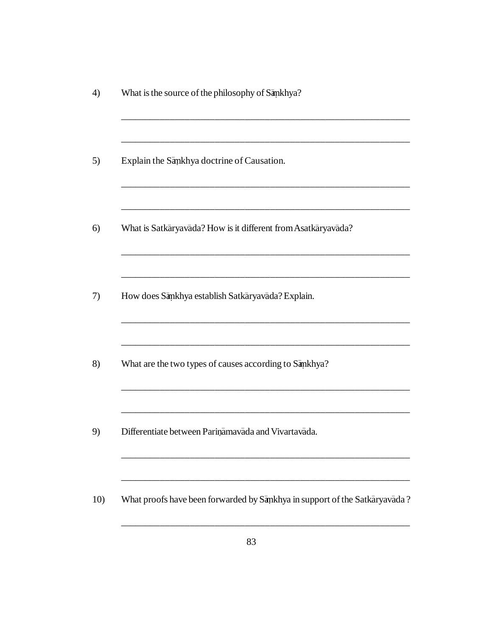| Explain the Sankhya doctrine of Causation.                    |  |  |
|---------------------------------------------------------------|--|--|
| What is Satkaryavada? How is it different from Asatkaryavada? |  |  |
| How does Sankhya establish Satkaryavada? Explain.             |  |  |
| What are the two types of causes according to Sankhya?        |  |  |
| Differentiate between Parinamavada and Vivartavada.           |  |  |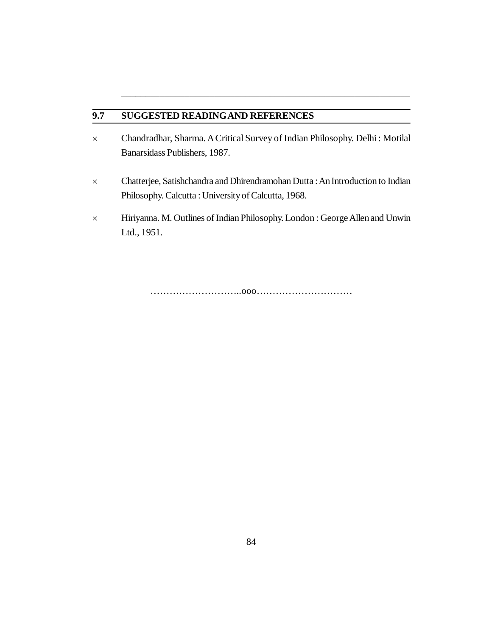### **9.7 SUGGESTED READINGAND REFERENCES**

 Chandradhar, Sharma. A Critical Survey of Indian Philosophy. Delhi : Motilal Banarsidass Publishers, 1987.

\_\_\_\_\_\_\_\_\_\_\_\_\_\_\_\_\_\_\_\_\_\_\_\_\_\_\_\_\_\_\_\_\_\_\_\_\_\_\_\_\_\_\_\_\_\_\_\_\_\_\_\_\_\_\_\_\_\_

- Chatterjee, Satishchandra and Dhirendramohan Dutta : An Introduction to Indian Philosophy. Calcutta : University of Calcutta, 1968.
- Hiriyanna. M. Outlines of Indian Philosophy. London : George Allen and Unwin Ltd., 1951.

………………………..ooo…………………………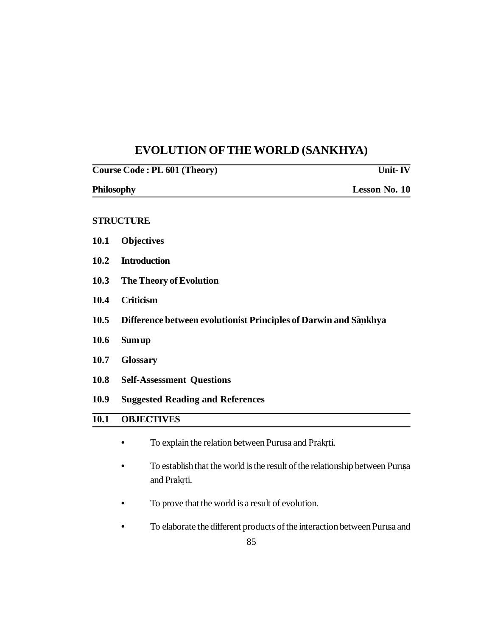# **EVOLUTION OFTHE WORLD (SANKHYA)**

| Course Code: PL 601 (Theory) | Unit- $\overline{\mathbf{I} \mathbf{V}}$                         |  |  |  |  |  |  |
|------------------------------|------------------------------------------------------------------|--|--|--|--|--|--|
|                              | Lesson No. 10<br>Philosophy                                      |  |  |  |  |  |  |
|                              | <b>STRUCTURE</b>                                                 |  |  |  |  |  |  |
| 10.1                         | <b>Objectives</b>                                                |  |  |  |  |  |  |
| 10.2                         | <b>Introduction</b>                                              |  |  |  |  |  |  |
| 10.3                         | The Theory of Evolution                                          |  |  |  |  |  |  |
| 10.4                         | <b>Criticism</b>                                                 |  |  |  |  |  |  |
| 10.5                         | Difference between evolutionist Principles of Darwin and Sankhya |  |  |  |  |  |  |
| 10.6                         | <b>Sum up</b>                                                    |  |  |  |  |  |  |
| 10.7                         | <b>Glossary</b>                                                  |  |  |  |  |  |  |
| 10.8                         | <b>Self-Assessment Questions</b>                                 |  |  |  |  |  |  |
| 10.9                         | <b>Suggested Reading and References</b>                          |  |  |  |  |  |  |
| 10.1                         | <b>OBJECTIVES</b>                                                |  |  |  |  |  |  |
|                              | To explain the relation between Purusa and Prakrti.              |  |  |  |  |  |  |

- **•** To establish that the world is the result of the relationship between Purusa. and Prakrti. **.**
- **•** To prove that the world is a result of evolution.
- **•** To elaborate the different products of the interaction between Purusa and .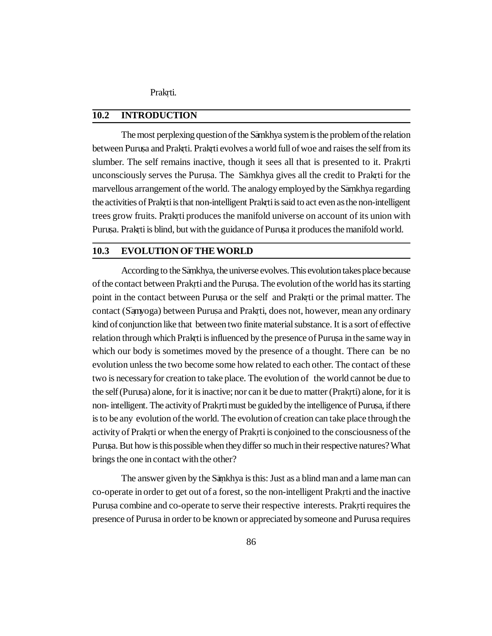Prakrti. **.**

### **10.2 INTRODUCTION**

The most perplexing question of the Samkhya system is the problem of the relation between Purusa and Prak<sub>ti.</sub> Prak<sub>ti</sub> evolves a world full of woe and raises the self from its slumber. The self remains inactive, though it sees all that is presented to it. Prak**.**rti unconsciously serves the Purusa. The Samkhya gives all the credit to Prakrti for the marvellous arrangement of the world. The analogy employed by the Samkhya regarding the activities of Prak<sub>rti</sub> is that non-intelligent Prak<sub>rti</sub> is said to act even as the non-intelligent trees grow fruits. Prakrti produces the manifold universe on account of its union with **.** Purusa. Prak ti is blind, but with the guidance of Purusa it produces the manifold world.

### **10.3 EVOLUTION OF THE WORLD**

According to the Sankhya, the universe evolves. This evolution takes place because of the contact between Prakrti and the Purusa. The evolution of the world has its starting point in the contact between Purusa or the self and Prakrti or the primal matter. The contact (Sanyoga) between Purusa and Prakrti, does not, however, mean any ordinary kind of conjunction like that between two finite material substance. It is a sort of effective relation through which Prakrti is influenced by the presence of Purusa in the same way in which our body is sometimes moved by the presence of a thought. There can be no evolution unless the two become some how related to each other. The contact of these two is necessary for creation to take place. The evolution of the world cannot be due to the self (Purusa) alone, for it is inactive; nor can it be due to matter (Prakrti) alone, for it is non- intelligent. The activity of Prak**.**rti must be guided by the intelligence of Purusa, if there . is to be any evolution of the world. The evolution of creation can take place through the activity of Prakrti or when the energy of Prak **. .**rti is conjoined to the consciousness of the Purusa. But how is this possible when they differ so much in their respective natures? What brings the one in contact with the other?

The answer given by the Sankhya is this: Just as a blind man and a lame man can co-operate in order to get out of a forest, so the non-intelligent Prak**.**rti and the inactive Purusa combine and co-operate to serve their respective interests. Prake requires the presence of Purusa in order to be known or appreciated by someone and Purusa requires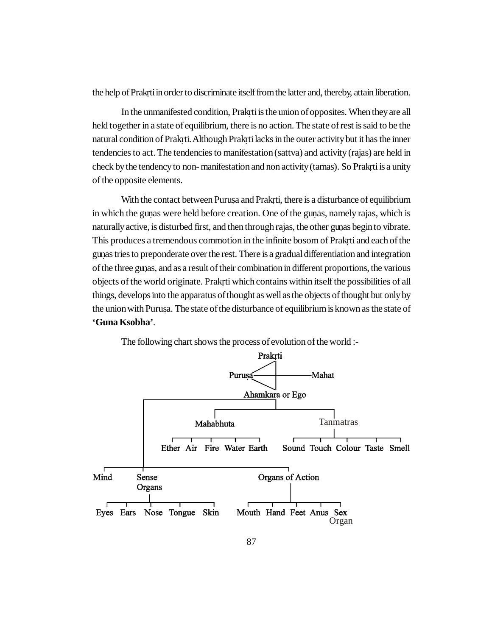the help of Prakrti in order to discriminate itself from the latter and, thereby, attain liberation.

In the unmanifested condition, Prakrti is the union of opposites. When they are all **.** held together in a state of equilibrium, there is no action. The state of rest is said to be the natural condition of Prakrti. Although Prakrti lacks in the outer activity but it has the inner tendencies to act. The tendencies to manifestation (sattva) and activity (rajas) are held in check by the tendency to non- manifestation and non activity (tamas). So Prakrti is a unity **.** of the opposite elements.

With the contact between Purusa and Prakrti, there is a disturbance of equilibrium in which the gunas were held before creation. One of the gunas, namely rajas, which is naturally active, is disturbed first, and then through rajas, the other gunas begin to vibrate. **.** This produces a tremendous commotion in the infinite bosom of Prakrti and each of the **.** gunas tries to preponderate over the rest. There is a gradual differentiation and integration **.** of the three gunas, and as a result of their combination in different proportions, the various **.** objects of the world originate. Prakrti which contains within itself the possibilities of all **.** things, develops into the apparatus of thought as well as the objects of thought but only by the union with Purusa. The state of the disturbance of equilibrium is known as the state of **'Guna Ksobha'**.



The following chart shows the process of evolution of the world :-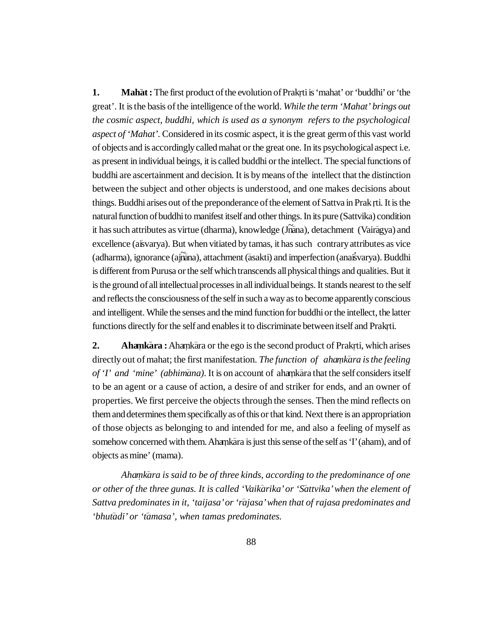**1. Mahat:** The first product of the evolution of Prakrti is 'mahat' or 'buddhi' or 'the great'. It is the basis of the intelligence of the world. *While the term 'Mahat' brings out the cosmic aspect, buddhi, which is used as a synonym refers to the psychological aspect of 'Mahat'.* Considered in its cosmic aspect, it is the great germ of this vast world of objects and is accordingly called mahat or the great one. In its psychological aspect i.e. as present in individual beings, it is called buddhi or the intellect. The special functions of buddhi are ascertainment and decision. It is by means of the intellect that the distinction between the subject and other objects is understood, and one makes decisions about things. Buddhi arises out of the preponderance of the element of Sattva in Prak rti. It is the **.** natural function of buddhi to manifest itself and other things. In its pure (Sattvika) condition it has such attributes as virtue (dharma), knowledge (Jnana), detachment (Vairagya) and excellence (aisvarya). But when vitiated by tamas, it has such contrary attributes as vice (adharma), ignorance (ajñāna), attachment (āsakti) and imperfection (anaisvarya). Buddhi is different from Purusa or the self which transcends all physical things and qualities. But it is the ground of all intellectual processes in all individual beings. It stands nearest to the self and reflects the consciousness of the self in such a way as to become apparently conscious and intelligent. While the senses and the mind function for buddhi or the intellect, the latter functions directly for the self and enables it to discriminate between itself and Prakrti. **.**

2. **Ahamkara:** Ahamkara or the ego is the second product of Prakrti, which arises directly out of mahat; the first manifestation. *The function of ahamkara is the feeling* of '*I' and 'mine' (abhimana)*. It is on account of ahankara that the self considers itself to be an agent or a cause of action, a desire of and striker for ends, and an owner of properties. We first perceive the objects through the senses. Then the mind reflects on them and determines them specifically as of this or that kind. Next there is an appropriation of those objects as belonging to and intended for me, and also a feeling of myself as somehow concerned with them. Ahankara is just this sense of the self as 'I' (aham), and of objects as mine' (mama).

*Aha mk. – ara is said to be of three kinds, according to the predominance of one or other of the three gunas. It is called 'Vaik– arika' or 'S– attvika' when the element of Sattva predominates in it, 'taijasa' or 'r– ajasa' when that of rajasa predominates and* 'bhutadi' or 'tamasa', when tamas predominates.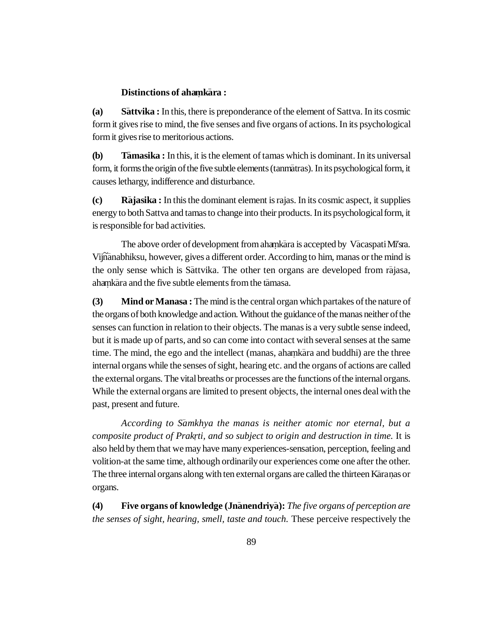# **Distinctions of ahamkāra :**

**(a) – attvika :** In this, there is preponderance of the element of Sattva. In its cosmic form it gives rise to mind, the five senses and five organs of actions. In its psychological form it gives rise to meritorious actions.

**(b) – amasika :** In this, it is the element of tamas which is dominant. In its universal form, it forms the origin of the five subtle elements (tanmatras). In its psychological form, it causes lethargy, indifference and disturbance.

**(c) R – ajasika :** In this the dominant element is rajas. In its cosmic aspect, it supplies energy to both Sattva and tamas to change into their products. In its psychological form, it is responsible for bad activities.

The above order of development from ahamkara is accepted by Vacaspati Mi'sra. Vijñanabhiksu, however, gives a different order. According to him, manas or the mind is the only sense which is Sattvika. The other ten organs are developed from rajasa, ahankara and the five subtle elements from the tamasa.

**(3) Mind or Manasa :** The mind is the central organ which partakes of the nature of the organs of both knowledge and action. Without the guidance of the manas neither of the senses can function in relation to their objects. The manas is a very subtle sense indeed, but it is made up of parts, and so can come into contact with several senses at the same time. The mind, the ego and the intellect (manas, ahamkara and buddhi) are the three internal organs while the senses of sight, hearing etc. and the organs of actions are called the external organs. The vital breaths or processes are the functions of the internal organs. While the external organs are limited to present objects, the internal ones deal with the past, present and future.

*According to S– amkhya the manas is neither atomic nor eternal, but a* composite product of Prakrti, and so subject to origin and destruction in time. It is also held by them that we may have many experiences-sensation, perception, feeling and volition-at the same time, although ordinarily our experiences come one after the other. The three internal organs along with ten external organs are called the thirteen Karanas or organs.

**(4) Five organs of knowledge (Jn– anendriy– a):** *The five organs of perception are the senses of sight, hearing, smell, taste and touch.* These perceive respectively the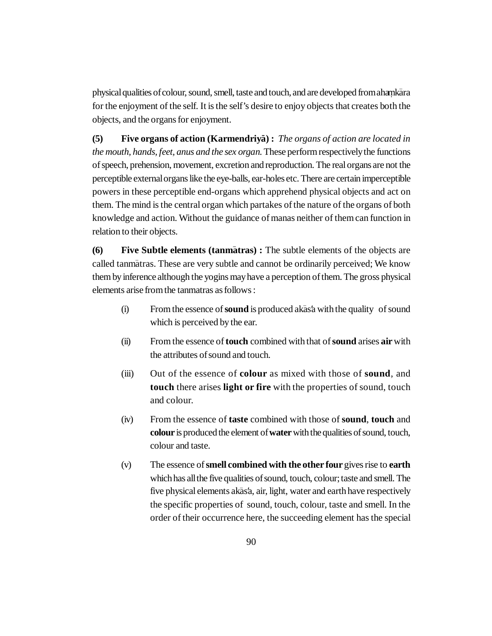physical qualities of colour, sound, smell, taste and touch, and are developed from ahamkara for the enjoyment of the self. It is the self's desire to enjoy objects that creates both the objects, and the organs for enjoyment.

**(5) Five organs of action (Karmendriya) :** *The organs of action are located in the mouth, hands, feet, anus and the sex organ.* These perform respectively the functions of speech, prehension, movement, excretion and reproduction. The real organs are not the perceptible external organs like the eye-balls, ear-holes etc. There are certain imperceptible powers in these perceptible end-organs which apprehend physical objects and act on them. The mind is the central organ which partakes of the nature of the organs of both knowledge and action. Without the guidance of manas neither of them can function in relation to their objects.

**(6) Five Subtle elements (tanmatras) :** The subtle elements of the objects are called tanmatras. These are very subtle and cannot be ordinarily perceived; We know them by inference although the yogins may have a perception of them. The gross physical elements arise from the tanmatras as follows :

- (i) From the essence of **sound** is produced akasa with the quality of sound which is perceived by the ear.
- (ii) From the essence of **touch** combined with that of **sound** arises **air** with the attributes of sound and touch.
- (iii) Out of the essence of **colour** as mixed with those of **sound**, and **touch** there arises **light or fire** with the properties of sound, touch and colour.
- (iv) From the essence of **taste** combined with those of **sound**, **touch** and **colour** is produced the element of **water** with the qualities of sound, touch, colour and taste.
- (v) The essence of **smell combined with the other four** gives rise to **earth** which has all the five qualities of sound, touch, colour; taste and smell. The five physical elements akas'a, air, light, water and earth have respectively the specific properties of sound, touch, colour, taste and smell. In the order of their occurrence here, the succeeding element has the special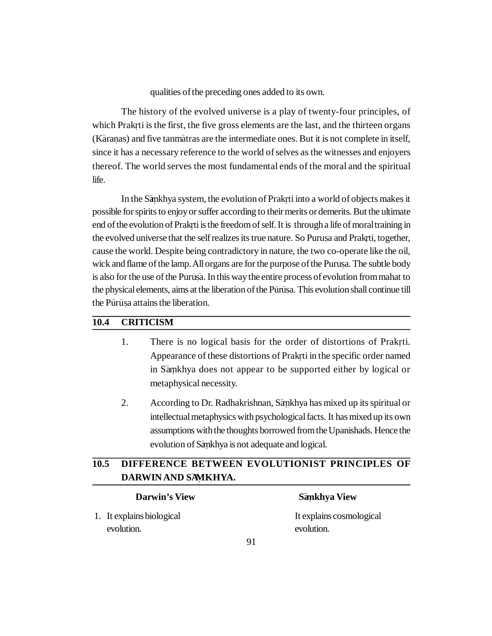qualities of the preceding ones added to its own.

The history of the evolved universe is a play of twenty-four principles, of which Prakrti is the first, the five gross elements are the last, and the thirteen organs **.** (Karanas) and five tanmatras are the intermediate ones. But it is not complete in itself, since it has a necessary reference to the world of selves as the witnesses and enjoyers thereof. The world serves the most fundamental ends of the moral and the spiritual life.

In the Sankhya system, the evolution of Prakrti into a world of objects makes it possible for spirits to enjoy or suffer according to their merits or demerits. But the ultimate end of the evolution of Prakrti is the freedom of self. It is through a life of moral training in **.** the evolved universe that the self realizes its true nature. So Purusa and Prakrti, together, cause the world. Despite being contradictory in nature, the two co-operate like the oil, wick and flame of the lamp. All organs are for the purpose of the Purusa. The subtle body is also for the use of the Purusa. In this way the entire process of evolution from mahat to the physical elements, aims at the liberation of the Pūrūṣa. This evolution shall continue till the Pūrūṣa attains the liberation.

### **10.4 CRITICISM**

- 1. There is no logical basis for the order of distortions of Prakrti. **.** Appearance of these distortions of Prakrti in the specific order named **.** in Samkhya does not appear to be supported either by logical or metaphysical necessity.
- 2. According to Dr. Radhakrishnan, Sankhya has mixed up its spiritual or intellectual metaphysics with psychological facts. It has mixed up its own assumptions with the thoughts borrowed from the Upanishads. Hence the evolution of Sankhya is not adequate and logical.

# **10.5 DIFFERENCE BETWEEN EVOLUTIONIST PRINCIPLES OF DARWIN AND S–AMKHY . A.**

| <b>Darwin's View</b>      | Sankhya View             |
|---------------------------|--------------------------|
| 1. It explains biological | It explains cosmological |
| evolution.                | evolution.               |

### **amkhya View .**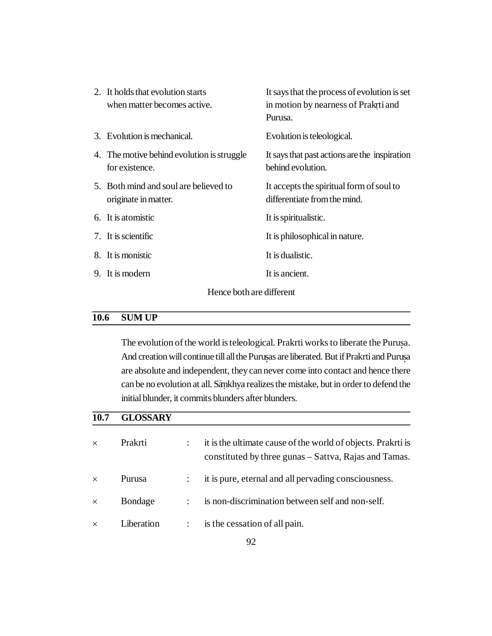| 2. It holds that evolution starts<br>when matter becomes active. | It says that the process of evolution is set<br>in motion by nearness of Prakrti and<br>Purusa. |
|------------------------------------------------------------------|-------------------------------------------------------------------------------------------------|
| 3. Evolution is mechanical.                                      | Evolution is teleological.                                                                      |
| 4. The motive behind evolution is struggle<br>for existence.     | It says that past actions are the inspiration<br>behind evolution.                              |
| 5. Both mind and soul are believed to<br>originate in matter.    | It accepts the spiritual form of soul to<br>differentiate from the mind.                        |
| 6. It is atomistic                                               | It is spiritualistic.                                                                           |
| 7. It is scientific                                              | It is philosophical in nature.                                                                  |
| 8. It is monistic                                                | It is dualistic.                                                                                |
| 9. It is modern                                                  | It is ancient.                                                                                  |
| Hence both are different                                         |                                                                                                 |

### **10.6 SUM UP**

The evolution of the world is teleological. Prakrti works to liberate the Purusa. And creation will continue till all the Purusas are liberated. But if Prakrti and Purusa are absolute and independent, they can never come into contact and hence there can be no evolution at all. Sankhya realizes the mistake, but in order to defend the initial blunder, it commits blunders after blunders.

# **10.7 GLOSSARY**

| $\times$ | Prakrti    |               | it is the ultimate cause of the world of objects. Prakrti is<br>constituted by three gunas – Sattva, Rajas and Tamas. |
|----------|------------|---------------|-----------------------------------------------------------------------------------------------------------------------|
| $\times$ | Purusa     |               | it is pure, eternal and all pervading consciousness.                                                                  |
| $\times$ | Bondage    | $\mathcal{L}$ | is non-discrimination between self and non-self.                                                                      |
| $\times$ | Liberation |               | is the cessation of all pain.                                                                                         |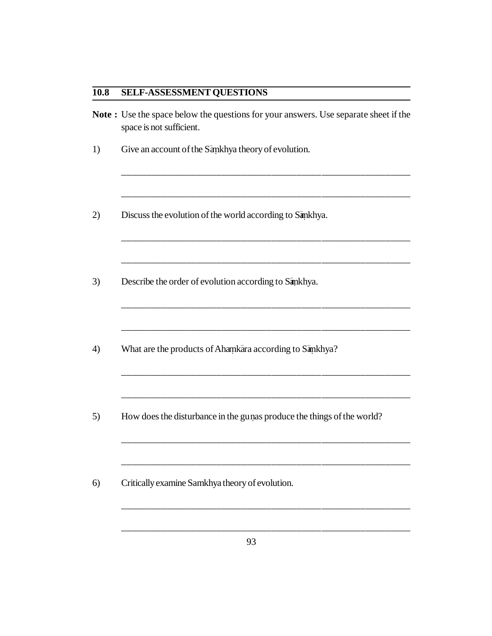## **10.8 SELF-ASSESSMENT QUESTIONS**

|                          | <b>Note:</b> Use the space below the questions for your answers. Use separate sheet if the |  |
|--------------------------|--------------------------------------------------------------------------------------------|--|
| space is not sufficient. |                                                                                            |  |

\_\_\_\_\_\_\_\_\_\_\_\_\_\_\_\_\_\_\_\_\_\_\_\_\_\_\_\_\_\_\_\_\_\_\_\_\_\_\_\_\_\_\_\_\_\_\_\_\_\_\_\_\_\_\_\_\_\_

\_\_\_\_\_\_\_\_\_\_\_\_\_\_\_\_\_\_\_\_\_\_\_\_\_\_\_\_\_\_\_\_\_\_\_\_\_\_\_\_\_\_\_\_\_\_\_\_\_\_\_\_\_\_\_\_\_\_

\_\_\_\_\_\_\_\_\_\_\_\_\_\_\_\_\_\_\_\_\_\_\_\_\_\_\_\_\_\_\_\_\_\_\_\_\_\_\_\_\_\_\_\_\_\_\_\_\_\_\_\_\_\_\_\_\_\_

\_\_\_\_\_\_\_\_\_\_\_\_\_\_\_\_\_\_\_\_\_\_\_\_\_\_\_\_\_\_\_\_\_\_\_\_\_\_\_\_\_\_\_\_\_\_\_\_\_\_\_\_\_\_\_\_\_\_

\_\_\_\_\_\_\_\_\_\_\_\_\_\_\_\_\_\_\_\_\_\_\_\_\_\_\_\_\_\_\_\_\_\_\_\_\_\_\_\_\_\_\_\_\_\_\_\_\_\_\_\_\_\_\_\_\_\_

\_\_\_\_\_\_\_\_\_\_\_\_\_\_\_\_\_\_\_\_\_\_\_\_\_\_\_\_\_\_\_\_\_\_\_\_\_\_\_\_\_\_\_\_\_\_\_\_\_\_\_\_\_\_\_\_\_\_

\_\_\_\_\_\_\_\_\_\_\_\_\_\_\_\_\_\_\_\_\_\_\_\_\_\_\_\_\_\_\_\_\_\_\_\_\_\_\_\_\_\_\_\_\_\_\_\_\_\_\_\_\_\_\_\_\_\_

\_\_\_\_\_\_\_\_\_\_\_\_\_\_\_\_\_\_\_\_\_\_\_\_\_\_\_\_\_\_\_\_\_\_\_\_\_\_\_\_\_\_\_\_\_\_\_\_\_\_\_\_\_\_\_\_\_\_

- 1) Give an account of the Sankhya theory of evolution.
- 2) Discuss the evolution of the world according to Sankhya.
- 3) Describe the order of evolution according to Sankhya.
- 4) What are the products of Ahamkara according to Samkhya?
- 5) How does the disturbance in the gu nas produce the things of the world? **.**
- 6) Critically examine Samkhya theory of evolution.

\_\_\_\_\_\_\_\_\_\_\_\_\_\_\_\_\_\_\_\_\_\_\_\_\_\_\_\_\_\_\_\_\_\_\_\_\_\_\_\_\_\_\_\_\_\_\_\_\_\_\_\_\_\_\_\_\_\_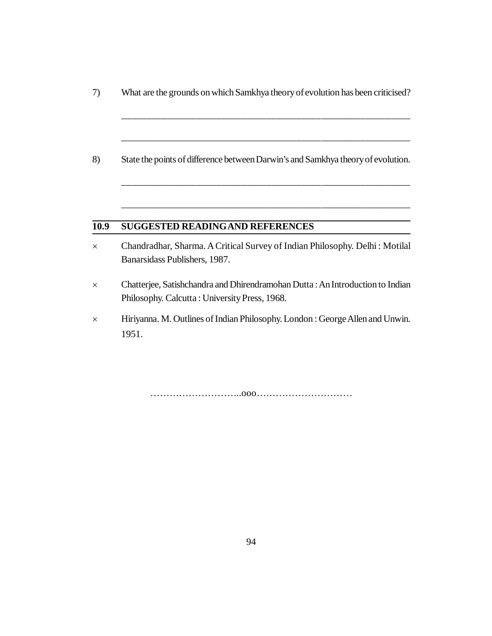7) What are the grounds on which Samkhya theory of evolution has been criticised?

\_\_\_\_\_\_\_\_\_\_\_\_\_\_\_\_\_\_\_\_\_\_\_\_\_\_\_\_\_\_\_\_\_\_\_\_\_\_\_\_\_\_\_\_\_\_\_\_\_\_\_\_\_\_\_\_\_\_

\_\_\_\_\_\_\_\_\_\_\_\_\_\_\_\_\_\_\_\_\_\_\_\_\_\_\_\_\_\_\_\_\_\_\_\_\_\_\_\_\_\_\_\_\_\_\_\_\_\_\_\_\_\_\_\_\_\_

\_\_\_\_\_\_\_\_\_\_\_\_\_\_\_\_\_\_\_\_\_\_\_\_\_\_\_\_\_\_\_\_\_\_\_\_\_\_\_\_\_\_\_\_\_\_\_\_\_\_\_\_\_\_\_\_\_\_

\_\_\_\_\_\_\_\_\_\_\_\_\_\_\_\_\_\_\_\_\_\_\_\_\_\_\_\_\_\_\_\_\_\_\_\_\_\_\_\_\_\_\_\_\_\_\_\_\_\_\_\_\_\_\_\_\_\_

8) State the points of difference between Darwin's and Samkhya theory of evolution.

# **10.9 SUGGESTED READINGAND REFERENCES**

- Chandradhar, Sharma. A Critical Survey of Indian Philosophy. Delhi : Motilal Banarsidass Publishers, 1987.
- Chatterjee, Satishchandra and Dhirendramohan Dutta : An Introduction to Indian Philosophy. Calcutta : University Press, 1968.
- Hiriyanna. M. Outlines of Indian Philosophy. London : George Allen and Unwin. 1951.

………………………..ooo…………………………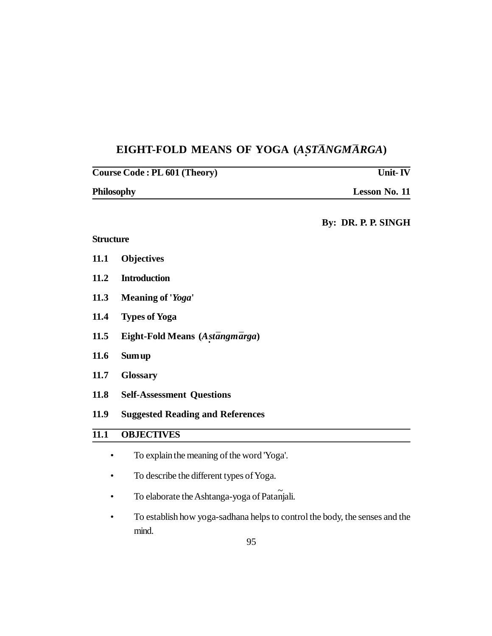# **EIGHT-FOLD MEANS OF YOGA (***A · ST¯ANGM¯ARGA***)**

| <b>Course Code: PL 601 (Theory)</b> |                                            | Unit- $\overline{\text{I}W}$ |  |
|-------------------------------------|--------------------------------------------|------------------------------|--|
| Philosophy                          |                                            | Lesson No. 11                |  |
|                                     |                                            | By: DR. P. P. SINGH          |  |
| <b>Structure</b>                    |                                            |                              |  |
| 11.1                                | <b>Objectives</b>                          |                              |  |
| 11.2                                | <b>Introduction</b>                        |                              |  |
| 11.3                                | Meaning of 'Yoga'                          |                              |  |
| 11.4                                | <b>Types of Yoga</b>                       |                              |  |
| 11.5                                | Eight-Fold Means (Astangmarga)             |                              |  |
| 11.6                                | <b>Sum up</b>                              |                              |  |
| 11.7                                | <b>Glossary</b>                            |                              |  |
| 11.8                                | <b>Self-Assessment Questions</b>           |                              |  |
| 11.9                                | <b>Suggested Reading and References</b>    |                              |  |
| $\overline{11.1}$                   | <b>OBJECTIVES</b>                          |                              |  |
|                                     | To explain the meaning of the word 'Yoga'. |                              |  |
|                                     | To describe the different types of Yoga.   |                              |  |

- To elaborate the Ashtanga-yoga of Patañjali.
- To establish how yoga-sadhana helps to control the body, the senses and the mind.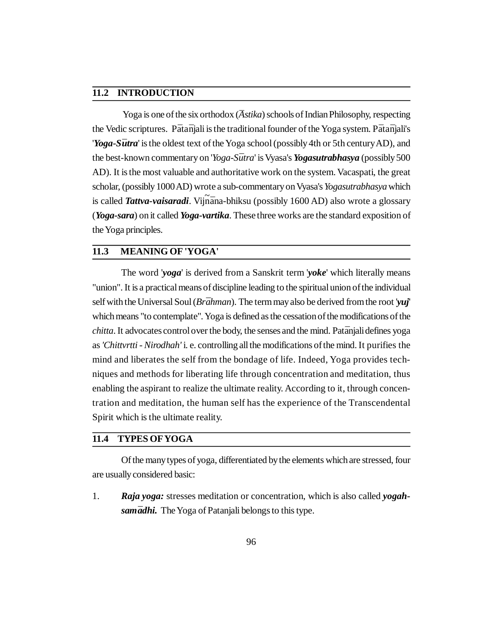### **11.2 INTRODUCTION**

Yoga is one of the six orthodox (*Astika*) schools of Indian Philosophy, respecting the Vedic scriptures. P*¯*ata*¯*njali is the traditional founder of the Yoga system. P*¯*ata*¯*njali's *'<i>Yoga-Sūtra'* is the oldest text of the Yoga school (possibly 4th or 5th century AD), and the best-known commentary on '*Yoga-Sūtra*' is Vyasa's *Yogasutrabhasya* (possibly 500 AD). It is the most valuable and authoritative work on the system. Vacaspati, the great scholar, (possibly 1000 AD) wrote a sub-commentary on Vyasa's *Yogasutrabhasya* which is called **Tattva-vaisaradi**. Vijnāna-bhiksu (possibly 1600 AD) also wrote a glossary (*Yoga-sara*) on it called *Yoga-vartika*. These three works are the standard exposition of the Yoga principles.

### **11.3 MEANING OF 'YOGA'**

The word '*yoga*' is derived from a Sanskrit term '*yoke*' which literally means "union". It is a practical means of discipline leading to the spiritual union of the individual self with the Universal Soul (*Br¯ahman*). The term may also be derived from the root '*yuj*' which means "to contemplate". Yoga is defined as the cessation of the modifications of the *chitta*. It advocates control over the body, the senses and the mind. Patānjali defines yoga as *'Chittvrtti - Nirodhah'* i. e. controlling all the modifications of the mind. It purifies the mind and liberates the self from the bondage of life. Indeed, Yoga provides techniques and methods for liberating life through concentration and meditation, thus enabling the aspirant to realize the ultimate reality. According to it, through concentration and meditation, the human self has the experience of the Transcendental Spirit which is the ultimate reality.

#### **11.4 TYPES OFYOGA**

Of the many types of yoga, differentiated by the elements which are stressed, four are usually considered basic:

1. *Raja yoga:* stresses meditation or concentration, which is also called *yogahsamadhi.* The Yoga of Patanjali belongs to this type.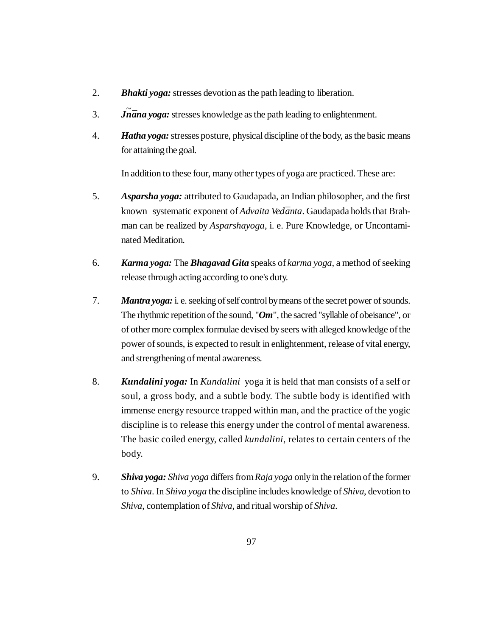- 2. *Bhakti yoga:* stresses devotion as the path leading to liberation.
- 3. *J ~ n¯ana yoga:* stresses knowledge as the path leading to enlightenment.
- 4. *Hatha yoga:* stresses posture, physical discipline of the body, as the basic means for attaining the goal.

In addition to these four, many other types of yoga are practiced. These are:

- 5. *Asparsha yoga:* attributed to Gaudapada, an Indian philosopher, and the first known systematic exponent of *Advaita Vedānta*. Gaudapada holds that Brahman can be realized by *Asparshayoga*, i. e. Pure Knowledge, or Uncontaminated Meditation.
- 6. *Karma yoga:* The *Bhagavad Gita* speaks of *karma yoga*, a method of seeking release through acting according to one's duty.
- 7. *Mantra yoga:* i. e. seeking of self control by means of the secret power of sounds. The rhythmic repetition of the sound, "*Om*", the sacred "syllable of obeisance", or of other more complex formulae devised by seers with alleged knowledge of the power of sounds, is expected to result in enlightenment, release of vital energy, and strengthening of mental awareness.
- 8. *Kundalini yoga:* In *Kundalini* yoga it is held that man consists of a self or soul, a gross body, and a subtle body. The subtle body is identified with immense energy resource trapped within man, and the practice of the yogic discipline is to release this energy under the control of mental awareness. The basic coiled energy, called *kundalini*, relates to certain centers of the body.
- 9. *Shiva yoga: Shiva yoga* differs from *Raja yoga* only in the relation of the former to *Shiva*. In *Shiva yoga* the discipline includes knowledge of *Shiva*, devotion to *Shiva*, contemplation of *Shiva*, and ritual worship of *Shiva*.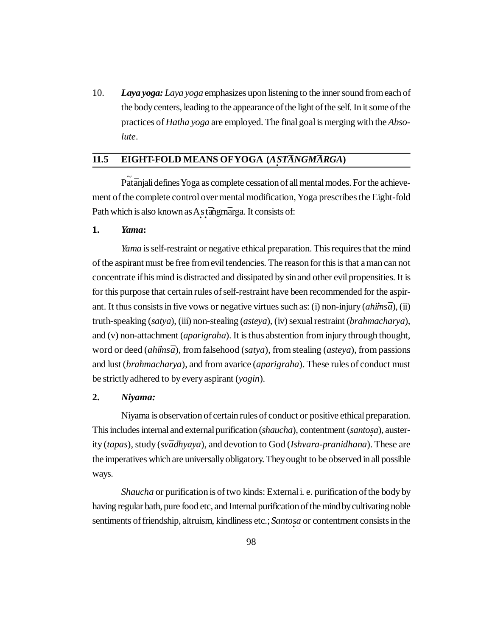10. *Laya yoga: Laya yoga* emphasizes upon listening to the inner sound from each of the body centers, leading to the appearance of the light of the self. In it some of the practices of *Hatha yoga* are employed. The final goal is merging with the *Absolute*.

# **11.5 EIGHT-FOLD MEANS OF YOGA** (*A STANGMARGA*)

<sup>2</sup> Pat<sup>a</sup>njali defines Yoga as complete cessation of all mental modes. For the achievement of the complete control over mental modification, Yoga prescribes the Eight-fold Path which is also known as A<sub>s</sub> tangmarga. It consists of:

### **1.** *Yama***:**

*Yama* is self-restraint or negative ethical preparation. This requires that the mind of the aspirant must be free from evil tendencies. The reason for this is that a man can not concentrate if his mind is distracted and dissipated by sin and other evil propensities. It is for this purpose that certain rules of self-restraint have been recommended for the aspirant. It thus consists in five vows or negative virtues such as: (i) non-injury (*ahimsa*), (ii) truth-speaking (*satya*), (iii) non-stealing (*asteya*), (iv) sexual restraint (*brahmacharya*), and (v) non-attachment (*aparigraha*). It is thus abstention from injury through thought, word or deed (*ahimsa*), from falsehood (*satya*), from stealing (*asteya*), from passions and lust (*brahmacharya*), and from avarice (*aparigraha*). These rules of conduct must be strictly adhered to by every aspirant (*yogin*).

#### **2.** *Niyama:*

Niyama is observation of certain rules of conduct or positive ethical preparation. This includes internal and external purification (*shaucha*), contentment (*santosa*), austerity (*tapas*), study (*sv¯adhyaya*), and devotion to God (*Ishvara-pranidhana*). These are the imperatives which are universally obligatory. They ought to be observed in all possible ways.

*Shaucha* or purification is of two kinds: External i. e. purification of the body by having regular bath, pure food etc, and Internal purification of the mind by cultivating noble sentiments of friendship, altruism, kindliness etc.; *Santo · sa* or contentment consists in the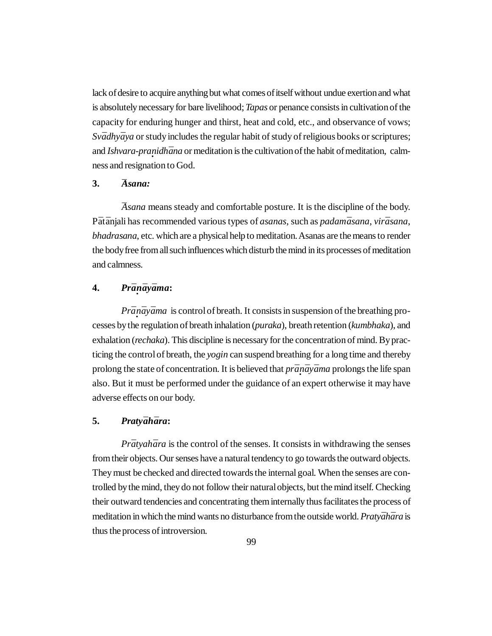lack of desire to acquire anything but what comes of itself without undue exertion and what is absolutely necessary for bare livelihood; *Tapas* or penance consists in cultivation of the capacity for enduring hunger and thirst, heat and cold, etc., and observance of vows; *Svādhyāya* or study includes the regular habit of study of religious books or scriptures; and *Ishvara-pranidhāna* or meditation is the cultivation of the habit of meditation, calmness and resignation to God.

#### **3.** *¯Asana:*

*¯Asana* means steady and comfortable posture. It is the discipline of the body. P*¯*at*¯*anjali has recommended various types of *asanas*, such as *padam¯asana*, *vir¯asana*, *bhadrasana*, etc. which are a physical help to meditation. Asanas are the means to render the body free from all such influences which disturb the mind in its processes of meditation and calmness.

# **4.** *Pr¯a · n¯ay¯ama***:**

*Prānāyāma* is control of breath. It consists in suspension of the breathing processes by the regulation of breath inhalation (*puraka*), breath retention (*kumbhaka*), and exhalation (*rechaka*). This discipline is necessary for the concentration of mind. By practicing the control of breath, the *yogin* can suspend breathing for a long time and thereby prolong the state of concentration. It is believed that *prānāyāma* prolongs the life span also. But it must be performed under the guidance of an expert otherwise it may have adverse effects on our body.

### **5.** *Praty¯ah¯ara***:**

*Prātyahāra* is the control of the senses. It consists in withdrawing the senses from their objects. Our senses have a natural tendency to go towards the outward objects. They must be checked and directed towards the internal goal. When the senses are controlled by the mind, they do not follow their natural objects, but the mind itself. Checking their outward tendencies and concentrating them internally thus facilitates the process of meditation in which the mind wants no disturbance from the outside world. *Pratyāhāra* is thus the process of introversion.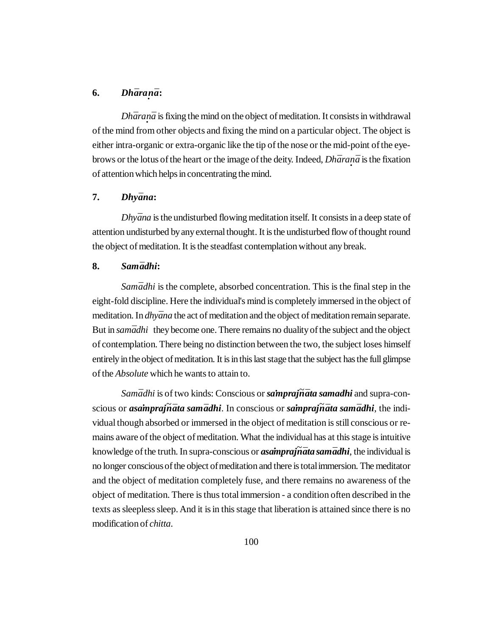# **6.** *Dhāraṇā:*

*Dhāranā* is fixing the mind on the object of meditation. It consists in withdrawal of the mind from other objects and fixing the mind on a particular object. The object is either intra-organic or extra-organic like the tip of the nose or the mid-point of the eyebrows or the lotus of the heart or the image of the deity. Indeed, *Dhāranā* is the fixation of attention which helps in concentrating the mind.

#### **7.** *Dhy¯ana***:**

*Dhyāna* is the undisturbed flowing meditation itself. It consists in a deep state of attention undisturbed by any external thought. It is the undisturbed flow of thought round the object of meditation. It is the steadfast contemplation without any break.

### **8.** *Sam¯adhi***:**

*Samādhi* is the complete, absorbed concentration. This is the final step in the eight-fold discipline. Here the individual's mind is completely immersed in the object of meditation. In *dhyāna* the act of meditation and the object of meditation remain separate. But in *samādhi* they become one. There remains no duality of the subject and the object of contemplation. There being no distinction between the two, the subject loses himself entirely in the object of meditation. It is in this last stage that the subject has the full glimpse of the *Absolute* which he wants to attain to.

*Sam¯adhi* is of two kinds: Conscious or *sa·mpraj~ n¯ata samadhi* and supra-conscious or *asa·mpraj~ n¯ata sam¯adhi*. In conscious or *sa·mpraj~ n¯ata sam¯adhi*, the individual though absorbed or immersed in the object of meditation is still conscious or remains aware of the object of meditation. What the individual has at this stage is intuitive knowledge of the truth. In supra-conscious or *asampraj · ~ n¯ata sam¯adhi*, the individual is no longer conscious of the object of meditation and there is total immersion. The meditator and the object of meditation completely fuse, and there remains no awareness of the object of meditation. There is thus total immersion - a condition often described in the texts as sleepless sleep. And it is in this stage that liberation is attained since there is no modification of *chitta*.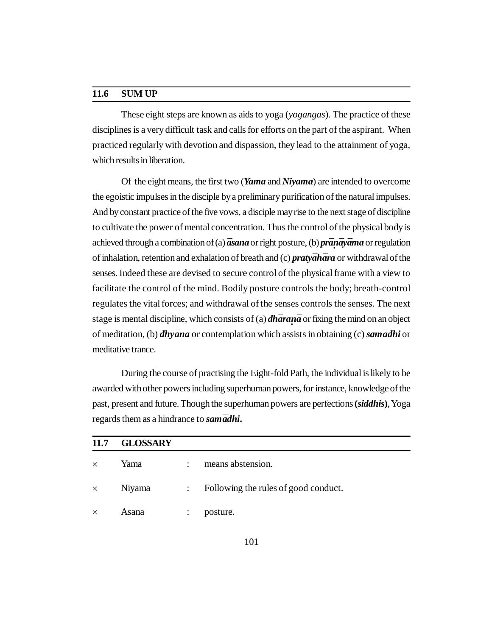#### **11.6 SUM UP**

These eight steps are known as aids to yoga (*yogangas*). The practice of these disciplines is a very difficult task and calls for efforts on the part of the aspirant. When practiced regularly with devotion and dispassion, they lead to the attainment of yoga, which results in liberation.

Of the eight means, the first two (*Yama* and *Niyama*) are intended to overcome the egoistic impulses in the disciple by a preliminary purification of the natural impulses. And by constant practice of the five vows, a disciple may rise to the next stage of discipline to cultivate the power of mental concentration. Thus the control of the physical body is achieved through a combination of (a) *¯asana* or right posture, (b) *pr¯a · n¯ay¯ama* or regulation of inhalation, retention and exhalation of breath and (c) *praty¯ah¯ara* or withdrawal of the senses. Indeed these are devised to secure control of the physical frame with a view to facilitate the control of the mind. Bodily posture controls the body; breath-control regulates the vital forces; and withdrawal of the senses controls the senses. The next stage is mental discipline, which consists of (a) *dh¯ara · n¯a* or fixing the mind on an object of meditation, (b) *dhy¯ana* or contemplation which assists in obtaining (c) *sam¯adhi* or meditative trance.

During the course of practising the Eight-fold Path, the individual is likely to be awarded with other powers including superhuman powers, for instance, knowledge of the past, present and future. Though the superhuman powers are perfections **(***siddhis***)**, Yoga regards them as a hindrance to *sam* $\vec{a}$ *dhi*.

| 11.7     | <b>GLOSSARY</b> |                           |                                      |
|----------|-----------------|---------------------------|--------------------------------------|
| $\times$ | Yama            | $\mathbb{R}^{\mathbb{Z}}$ | means abstension.                    |
| $\times$ | Niyama          | $\mathbb{R}^n$            | Following the rules of good conduct. |
| $\times$ | Asana           | $\ddot{\cdot}$            | posture.                             |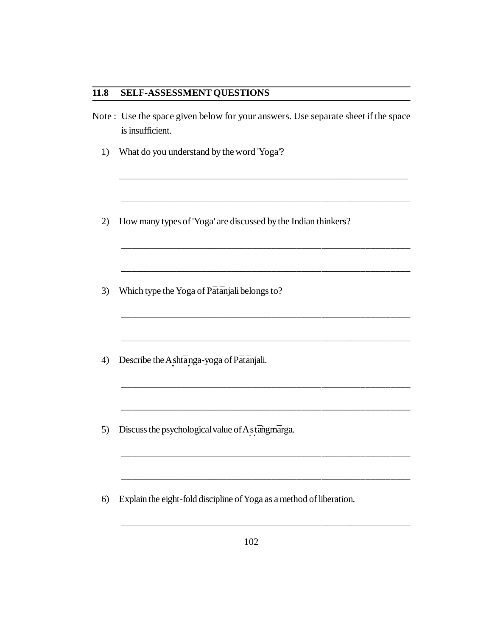## **11.8 SELF-ASSESSMENT QUESTIONS**

Note : Use the space given below for your answers. Use separate sheet if the space is insufficient.

\_\_\_\_\_\_\_\_\_\_\_\_\_\_\_\_\_\_\_\_\_\_\_\_\_\_\_\_\_\_\_\_\_\_\_\_\_\_\_\_\_\_\_\_\_\_\_\_\_\_\_\_\_\_\_\_\_\_

\_\_\_\_\_\_\_\_\_\_\_\_\_\_\_\_\_\_\_\_\_\_\_\_\_\_\_\_\_\_\_\_\_\_\_\_\_\_\_\_\_\_\_\_\_\_\_\_\_\_\_\_\_\_\_\_\_\_

\_\_\_\_\_\_\_\_\_\_\_\_\_\_\_\_\_\_\_\_\_\_\_\_\_\_\_\_\_\_\_\_\_\_\_\_\_\_\_\_\_\_\_\_\_\_\_\_\_\_\_\_\_\_\_\_\_\_

\_\_\_\_\_\_\_\_\_\_\_\_\_\_\_\_\_\_\_\_\_\_\_\_\_\_\_\_\_\_\_\_\_\_\_\_\_\_\_\_\_\_\_\_\_\_\_\_\_\_\_\_\_\_\_\_\_\_

\_\_\_\_\_\_\_\_\_\_\_\_\_\_\_\_\_\_\_\_\_\_\_\_\_\_\_\_\_\_\_\_\_\_\_\_\_\_\_\_\_\_\_\_\_\_\_\_\_\_\_\_\_\_\_\_\_\_

\_\_\_\_\_\_\_\_\_\_\_\_\_\_\_\_\_\_\_\_\_\_\_\_\_\_\_\_\_\_\_\_\_\_\_\_\_\_\_\_\_\_\_\_\_\_\_\_\_\_\_\_\_\_\_\_\_\_

\_\_\_\_\_\_\_\_\_\_\_\_\_\_\_\_\_\_\_\_\_\_\_\_\_\_\_\_\_\_\_\_\_\_\_\_\_\_\_\_\_\_\_\_\_\_\_\_\_\_\_\_\_\_\_\_\_\_

\_\_\_\_\_\_\_\_\_\_\_\_\_\_\_\_\_\_\_\_\_\_\_\_\_\_\_\_\_\_\_\_\_\_\_\_\_\_\_\_\_\_\_\_\_\_\_\_\_\_\_\_\_\_\_\_\_\_

\_\_\_\_\_\_\_\_\_\_\_\_\_\_\_\_\_\_\_\_\_\_\_\_\_\_\_\_\_\_\_\_\_\_\_\_\_\_\_\_\_\_\_\_\_\_\_\_\_\_\_\_\_\_\_\_\_\_

- 1) What do you understand by the word 'Yoga'?
- 2) How many types of 'Yoga' are discussed by the Indian thinkers?
- 3) Which type the Yoga of Pātānjali belongs to?
- 4) Describe the A **·** sht¯a **·** nga-yoga of P*¯*at*¯*anjali.
- 5) Discuss the psychological value of A stangunarga.
- 6) Explain the eight-fold discipline of Yoga as a method of liberation.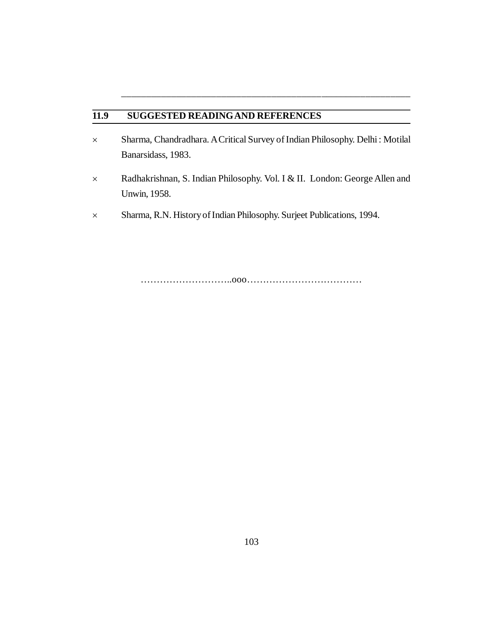## **11.9 SUGGESTED READINGAND REFERENCES**

 Sharma, Chandradhara. A Critical Survey of Indian Philosophy. Delhi : Motilal Banarsidass, 1983.

\_\_\_\_\_\_\_\_\_\_\_\_\_\_\_\_\_\_\_\_\_\_\_\_\_\_\_\_\_\_\_\_\_\_\_\_\_\_\_\_\_\_\_\_\_\_\_\_\_\_\_\_\_\_\_\_\_\_

- Radhakrishnan, S. Indian Philosophy. Vol. I & II. London: George Allen and Unwin, 1958.
- Sharma, R.N. History of Indian Philosophy. Surjeet Publications, 1994.

………………………..ooo………………………………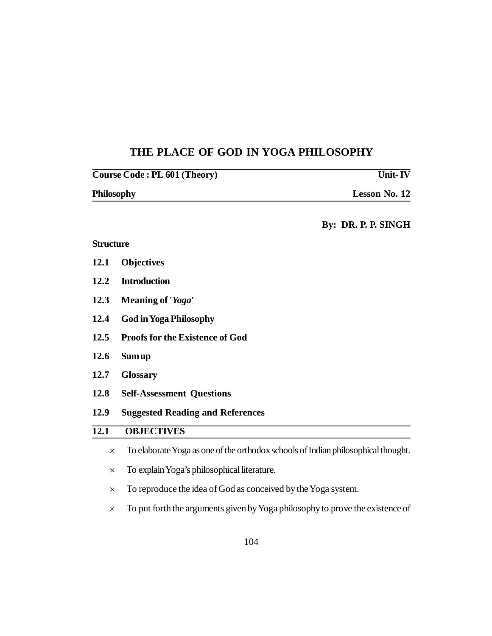# **THE PLACE OF GOD IN YOGA PHILOSOPHY**

| Course Code : PL 601 (Theory) | Unit-IV              |
|-------------------------------|----------------------|
| Philosophy                    | <b>Lesson No. 12</b> |

## **By: DR. P. P. SINGH**

# **Structure**

| 12.1              | <b>Objectives</b>                                                                 |  |  |  |
|-------------------|-----------------------------------------------------------------------------------|--|--|--|
| 12.2              | <b>Introduction</b>                                                               |  |  |  |
| 12.3              | Meaning of ' <i>Yoga</i> '                                                        |  |  |  |
| 12.4              | <b>God in Yoga Philosophy</b>                                                     |  |  |  |
| 12.5              | <b>Proofs for the Existence of God</b>                                            |  |  |  |
| 12.6              | Sum up                                                                            |  |  |  |
| 12.7              | <b>Glossary</b>                                                                   |  |  |  |
| 12.8              | <b>Self-Assessment Questions</b>                                                  |  |  |  |
| 12.9              | <b>Suggested Reading and References</b>                                           |  |  |  |
| $\overline{12.1}$ | <b>OBJECTIVES</b>                                                                 |  |  |  |
| $\times$          | To elaborate Yoga as one of the orthodox schools of Indian philosophical thought. |  |  |  |
| $\times$          | To explain Yoga's philosophical literature.                                       |  |  |  |
| $\times$          | To reproduce the idea of God as conceived by the Yoga system.                     |  |  |  |
| $\times$          | To put forth the arguments given by Yoga philosophy to prove the existence of     |  |  |  |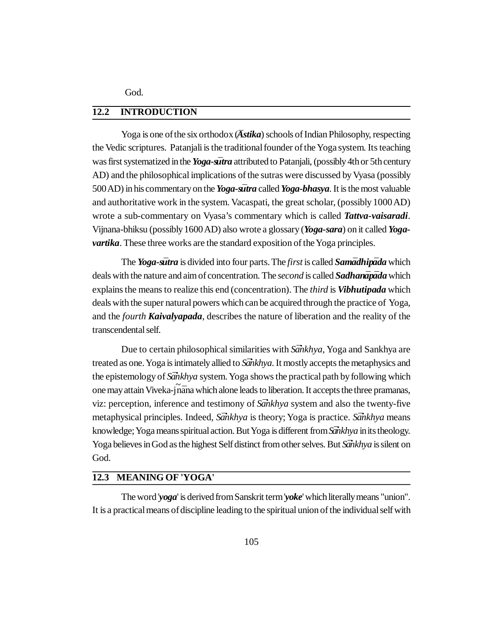God.

### **12.2 INTRODUCTION**

Yoga is one of the six orthodox (*Astika*) schools of Indian Philosophy, respecting the Vedic scriptures. Patanjali is the traditional founder of the Yoga system. Its teaching was first systematized in the *Yoga-sūtra* attributed to Patanjali, (possibly 4th or 5th century AD) and the philosophical implications of the sutras were discussed by Vyasa (possibly 500 AD) in his commentary on the *Yoga-sutra* called *Yoga-bhasya*. It is the most valuable and authoritative work in the system. Vacaspati, the great scholar, (possibly 1000 AD) wrote a sub-commentary on Vyasa's commentary which is called *Tattva-vaisaradi*. Vijnana-bhiksu (possibly 1600 AD) also wrote a glossary (*Yoga-sara*) on it called *Yogavartika*. These three works are the standard exposition of the Yoga principles.

The *Yoga-sūtra* is divided into four parts. The *first* is called *Samūdhipūda* which deals with the nature and aim of concentration. The *second* is called **Sadhanapa**<sub>d</sub> which explains the means to realize this end (concentration). The *third* is *Vibhutipada* which deals with the super natural powers which can be acquired through the practice of Yoga, and the *fourth Kaivalyapada*, describes the nature of liberation and the reality of the transcendental self.

Due to certain philosophical similarities with *Sankhya*, Yoga and Sankhya are treated as one. Yoga is intimately allied to *Sankhya*. It mostly accepts the metaphysics and the epistemology of *Sankhya* system. Yoga shows the practical path by following which one may attain Viveka-jnana which alone leads to liberation. It accepts the three pramanas, viz: perception, inference and testimony of *Sankhya* system and also the twenty-five metaphysical principles. Indeed, *Sa¯ ·nkhya* is theory; Yoga is practice. *Sa¯ ·nkhya* means knowledge; Yoga means spiritual action. But Yoga is different from *Sankhya* in its theology. Yoga believes in God as the highest Self distinct from other selves. But *Sankhya* is silent on God.

## **12.3 MEANING OF 'YOGA'**

The word '*yoga*' is derived from Sanskrit term '*yoke*' which literally means "union". It is a practical means of discipline leading to the spiritual union of the individual self with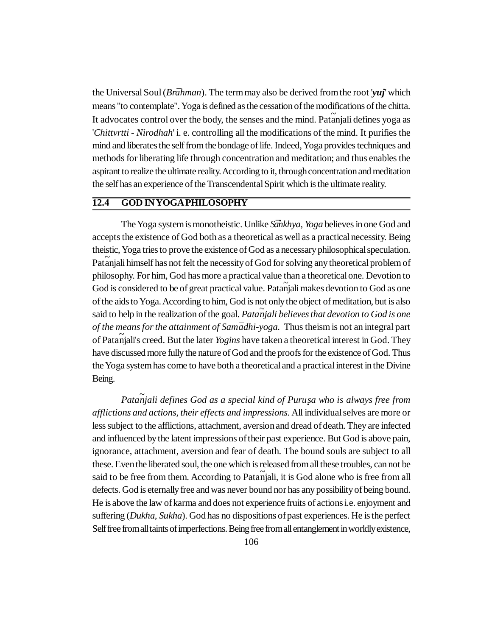the Universal Soul (*Brāhman*). The term may also be derived from the root 'yuj' which means "to contemplate". Yoga is defined as the cessation of the modifications of the chitta. It advocates control over the body, the senses and the mind. Pat $\tilde{a}$ njali defines yoga as '*Chittvrtti - Nirodhah*' i. e. controlling all the modifications of the mind. It purifies the mind and liberates the self from the bondage of life. Indeed, Yoga provides techniques and methods for liberating life through concentration and meditation; and thus enables the aspirant to realize the ultimate reality. According to it, through concentration and meditation the self has an experience of the Transcendental Spirit which is the ultimate reality.

## **12.4 GOD IN YOGA PHILOSOPHY**

The Yoga system is monotheistic. Unlike *Sankhya*, *Yoga* believes in one God and accepts the existence of God both as a theoretical as well as a practical necessity. Being theistic, Yoga tries to prove the existence of God as a necessary philosophical speculation. Patanjali himself has not felt the necessity of God for solving any theoretical problem of philosophy. For him, God has more a practical value than a theoretical one. Devotion to God is considered to be of great practical value. Pata*<sup>~</sup>* njali makes devotion to God as one of the aids to Yoga. According to him, God is not only the object of meditation, but is also said to help in the realization of the goal. *Pata<sup>~</sup> njali believes that devotion to God is one of the means for the attainment of Samādhi-yoga.* Thus theism is not an integral part of Patanjali's creed. But the later *Yogins* have taken a theoretical interest in God. They have discussed more fully the nature of God and the proofs for the existence of God. Thus the Yoga system has come to have both a theoretical and a practical interest in the Divine Being.

*Pata<sup>~</sup> njali defines God as a special kind of Puru · sa who is always free from afflictions and actions, their effects and impressions.* All individual selves are more or less subject to the afflictions, attachment, aversion and dread of death. They are infected and influenced by the latent impressions of their past experience. But God is above pain, ignorance, attachment, aversion and fear of death. The bound souls are subject to all these. Even the liberated soul, the one which is released from all these troubles, can not be said to be free from them. According to Pata<sup>n</sup><sub>i</sub>jali, it is God alone who is free from all defects. God is eternally free and was never bound nor has any possibility of being bound. He is above the law of karma and does not experience fruits of actions i.e. enjoyment and suffering (*Dukha, Sukha*). God has no dispositions of past experiences. He is the perfect Self free from all taints of imperfections. Being free from all entanglement in worldly existence,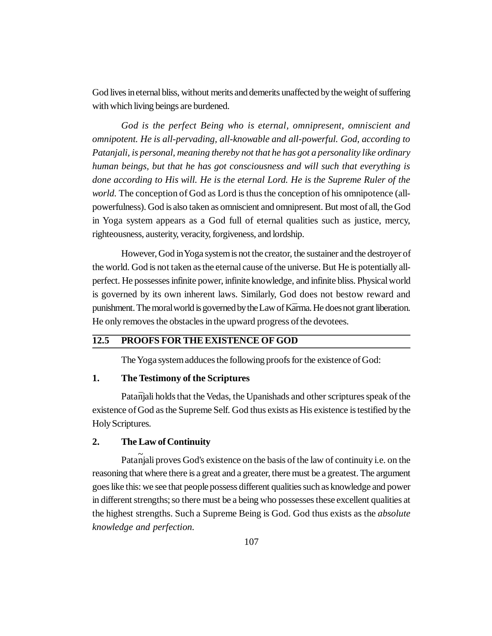God lives in eternal bliss, without merits and demerits unaffected by the weight of suffering with which living beings are burdened.

*God is the perfect Being who is eternal, omnipresent, omniscient and omnipotent. He is all-pervading, all-knowable and all-powerful. God, according to Patanjali, is personal, meaning thereby not that he has got a personality like ordinary human beings, but that he has got consciousness and will such that everything is done according to His will. He is the eternal Lord. He is the Supreme Ruler of the world.* The conception of God as Lord is thus the conception of his omnipotence (allpowerfulness). God is also taken as omniscient and omnipresent. But most of all, the God in Yoga system appears as a God full of eternal qualities such as justice, mercy, righteousness, austerity, veracity, forgiveness, and lordship.

However, God in Yoga system is not the creator, the sustainer and the destroyer of the world. God is not taken as the eternal cause of the universe. But He is potentially allperfect. He possesses infinite power, infinite knowledge, and infinite bliss. Physical world is governed by its own inherent laws. Similarly, God does not bestow reward and punishment. The moral world is governed by the Law of Kārma. He does not grant liberation. He only removes the obstacles in the upward progress of the devotees.

### **12.5 PROOFS FOR THE EXISTENCE OF GOD**

The Yoga system adduces the following proofs for the existence of God:

#### **1. The Testimony of the Scriptures**

Pata $\bar{\eta}$ a indicates that the Vedas, the Upanishads and other scriptures speak of the existence of God as the Supreme Self. God thus exists as His existence is testified by the Holy Scriptures.

### **2. The Law of Continuity**

Pata<sup>njali</sup> proves God's existence on the basis of the law of continuity i.e. on the reasoning that where there is a great and a greater, there must be a greatest. The argument goes like this: we see that people possess different qualities such as knowledge and power in different strengths; so there must be a being who possesses these excellent qualities at the highest strengths. Such a Supreme Being is God. God thus exists as the *absolute knowledge and perfection.*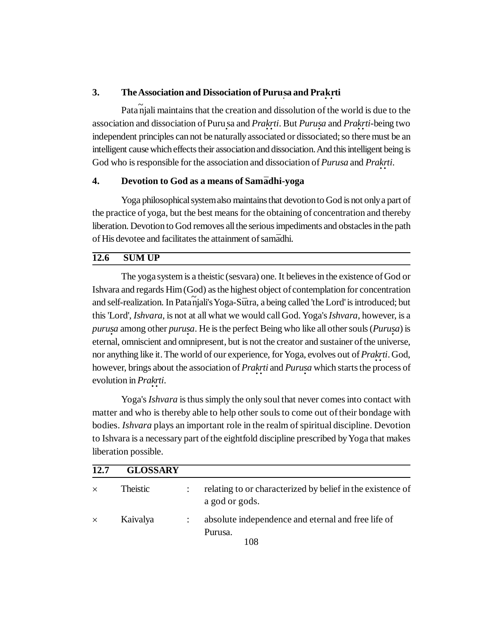# **3.** The Association and Dissociation of Purusa and Prakrti

Pata*<sup>~</sup>* njali maintains that the creation and dissolution of the world is due to the association and dissociation of Puru **·** sa and *Pra · k · rti*. But *Puru · sa* and *Pra · k · rti*-being two independent principles can not be naturally associated or dissociated; so there must be an intelligent cause which effects their association and dissociation. And this intelligent being is God who is responsible for the association and dissociation of *Purusa* and *Pra · k · rti*.

### **4. Devotion to God as a means of Sam***¯***adhi-yoga**

Yoga philosophical system also maintains that devotion to God is not only a part of the practice of yoga, but the best means for the obtaining of concentration and thereby liberation. Devotion to God removes all the serious impediments and obstacles in the path of His devotee and facilitates the attainment of sam*¯*adhi.

## **12.6 SUM UP**

The yoga system is a theistic (sesvara) one. It believes in the existence of God or Ishvara and regards Him (God) as the highest object of contemplation for concentration and self-realization. In Pata<sup>n</sup>jali's Yoga-Sūtra, a being called 'the Lord' is introduced; but this 'Lord', *Ishvara*, is not at all what we would call God. Yoga's *Ishvara*, however, is a *puru sa* among other *puru sa*. He is the perfect Being who like all other souls (*Puru sa*) is *· · ·* eternal, omniscient and omnipresent, but is not the creator and sustainer of the universe, nor anything like it. The world of our experience, for Yoga, evolves out of *Pra · k · rti*. God, however, brings about the association of *Prakrti* and *Purusa* which starts the process of evolution in *Prakrti*.

Yoga's *Ishvara* is thus simply the only soul that never comes into contact with matter and who is thereby able to help other souls to come out of their bondage with bodies. *Ishvara* plays an important role in the realm of spiritual discipline. Devotion to Ishvara is a necessary part of the eightfold discipline prescribed by Yoga that makes liberation possible.

| 12.7     | <b>GLOSSARY</b> |                                                                              |
|----------|-----------------|------------------------------------------------------------------------------|
| $\times$ | Theistic        | relating to or characterized by belief in the existence of<br>a god or gods. |
| $\times$ | Kaivalya        | absolute independence and eternal and free life of<br>Purusa.<br>108         |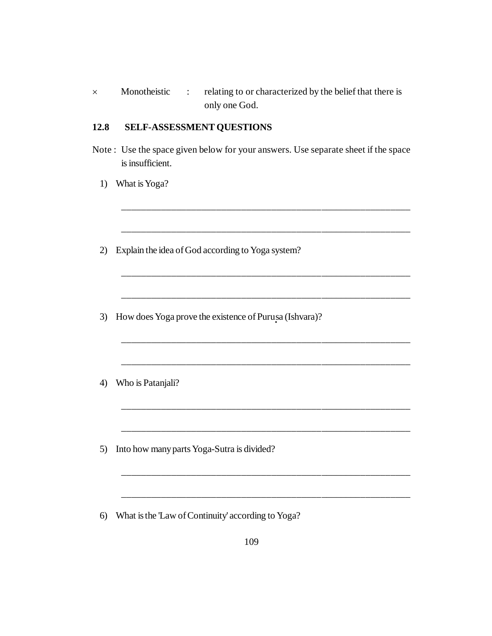| Monotheistic | relating to or characterized by the belief that there is |
|--------------|----------------------------------------------------------|
|              | only one God.                                            |

### **12.8 SELF-ASSESSMENT QUESTIONS**

Note : Use the space given below for your answers. Use separate sheet if the space is insufficient.

\_\_\_\_\_\_\_\_\_\_\_\_\_\_\_\_\_\_\_\_\_\_\_\_\_\_\_\_\_\_\_\_\_\_\_\_\_\_\_\_\_\_\_\_\_\_\_\_\_\_\_\_\_\_\_\_\_\_

\_\_\_\_\_\_\_\_\_\_\_\_\_\_\_\_\_\_\_\_\_\_\_\_\_\_\_\_\_\_\_\_\_\_\_\_\_\_\_\_\_\_\_\_\_\_\_\_\_\_\_\_\_\_\_\_\_\_

\_\_\_\_\_\_\_\_\_\_\_\_\_\_\_\_\_\_\_\_\_\_\_\_\_\_\_\_\_\_\_\_\_\_\_\_\_\_\_\_\_\_\_\_\_\_\_\_\_\_\_\_\_\_\_\_\_\_

\_\_\_\_\_\_\_\_\_\_\_\_\_\_\_\_\_\_\_\_\_\_\_\_\_\_\_\_\_\_\_\_\_\_\_\_\_\_\_\_\_\_\_\_\_\_\_\_\_\_\_\_\_\_\_\_\_\_

\_\_\_\_\_\_\_\_\_\_\_\_\_\_\_\_\_\_\_\_\_\_\_\_\_\_\_\_\_\_\_\_\_\_\_\_\_\_\_\_\_\_\_\_\_\_\_\_\_\_\_\_\_\_\_\_\_\_

\_\_\_\_\_\_\_\_\_\_\_\_\_\_\_\_\_\_\_\_\_\_\_\_\_\_\_\_\_\_\_\_\_\_\_\_\_\_\_\_\_\_\_\_\_\_\_\_\_\_\_\_\_\_\_\_\_\_

\_\_\_\_\_\_\_\_\_\_\_\_\_\_\_\_\_\_\_\_\_\_\_\_\_\_\_\_\_\_\_\_\_\_\_\_\_\_\_\_\_\_\_\_\_\_\_\_\_\_\_\_\_\_\_\_\_\_

\_\_\_\_\_\_\_\_\_\_\_\_\_\_\_\_\_\_\_\_\_\_\_\_\_\_\_\_\_\_\_\_\_\_\_\_\_\_\_\_\_\_\_\_\_\_\_\_\_\_\_\_\_\_\_\_\_\_

\_\_\_\_\_\_\_\_\_\_\_\_\_\_\_\_\_\_\_\_\_\_\_\_\_\_\_\_\_\_\_\_\_\_\_\_\_\_\_\_\_\_\_\_\_\_\_\_\_\_\_\_\_\_\_\_\_\_

- 1) What is Yoga?
- 2) Explain the idea of God according to Yoga system?
- 3) How does Yoga prove the existence of Purusa (Ishvara)?
- 4) Who is Patanjali?
- 5) Into how many parts Yoga-Sutra is divided?
- 6) What is the 'Law of Continuity' according to Yoga?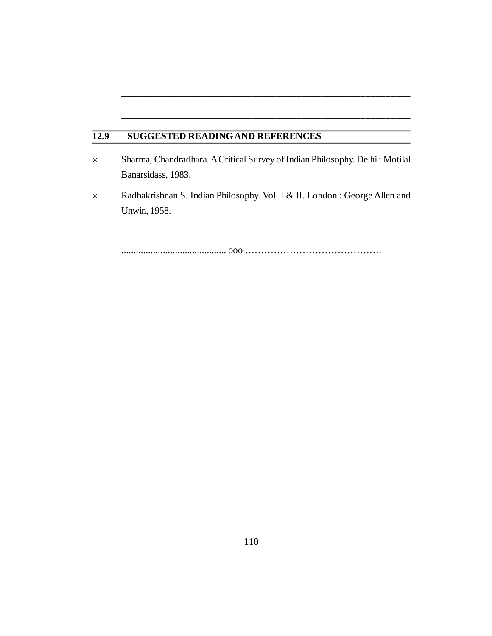# **12.9 SUGGESTED READINGAND REFERENCES**

 Sharma, Chandradhara. A Critical Survey of Indian Philosophy. Delhi : Motilal Banarsidass, 1983.

\_\_\_\_\_\_\_\_\_\_\_\_\_\_\_\_\_\_\_\_\_\_\_\_\_\_\_\_\_\_\_\_\_\_\_\_\_\_\_\_\_\_\_\_\_\_\_\_\_\_\_\_\_\_\_\_\_\_

\_\_\_\_\_\_\_\_\_\_\_\_\_\_\_\_\_\_\_\_\_\_\_\_\_\_\_\_\_\_\_\_\_\_\_\_\_\_\_\_\_\_\_\_\_\_\_\_\_\_\_\_\_\_\_\_\_\_

 Radhakrishnan S. Indian Philosophy. Vol. I & II. London : George Allen and Unwin, 1958.

........................................... ooo …………………………………….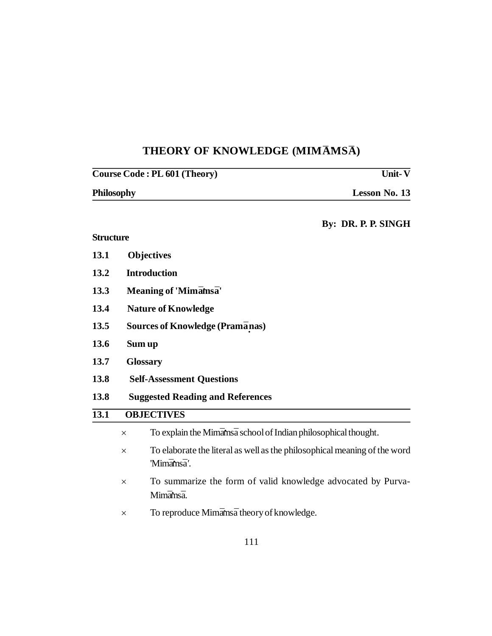# $THEORY$  OF KNOWLEDGE (MIMAMSA)

|                   |          | Unit- $\overline{\mathbf{V}}$<br>Course Code: PL 601 (Theory)                           |
|-------------------|----------|-----------------------------------------------------------------------------------------|
| Philosophy        |          | Lesson No. 13                                                                           |
|                   |          | By: DR. P. P. SINGH                                                                     |
| <b>Structure</b>  |          |                                                                                         |
| 13.1              |          | <b>Objectives</b>                                                                       |
| 13.2              |          | <b>Introduction</b>                                                                     |
| 13.3              |          | Meaning of 'Mimamsa'                                                                    |
| 13.4              |          | <b>Nature of Knowledge</b>                                                              |
| 13.5              |          | <b>Sources of Knowledge (Pramānas)</b>                                                  |
| 13.6              |          | Sum up                                                                                  |
| 13.7              |          | <b>Glossary</b>                                                                         |
| 13.8              |          | <b>Self-Assessment Questions</b>                                                        |
| 13.8              |          | <b>Suggested Reading and References</b>                                                 |
| $\overline{13.1}$ |          | <b>OBJECTIVES</b>                                                                       |
|                   | $\times$ | To explain the Mimamsa school of Indian philosophical thought.                          |
|                   | $\times$ | To elaborate the literal as well as the philosophical meaning of the word<br>'Mimāmsā'. |
|                   | ×        | To summarize the form of valid knowledge advocated by Purva-<br>Mimāmsā.                |
|                   | ×        | To reproduce Mimamsa theory of knowledge.                                               |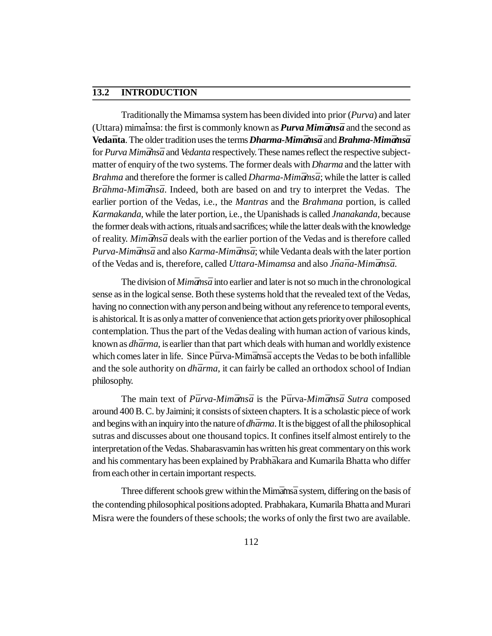# **13.2 INTRODUCTION**

Traditionally the Mimamsa system has been divided into prior (*Purva*) and later (Uttara) mimamsa: the first is commonly known as *Purva Mimāmsā* and the second as **Veda***¯***nta**. The older tradition uses the terms *Dharma-Mim¯ams · ¯a* and *Brahma-Mim¯ams · ¯a* for *Purva Mimānsā* and *Vedanta* respectively. These names reflect the respective subjectmatter of enquiry of the two systems. The former deals with *Dharma* and the latter with *Brahma* and therefore the former is called *Dharma-Mimānsā*; while the latter is called *Brāhma-Mimāmsā*. Indeed, both are based on and try to interpret the Vedas. The earlier portion of the Vedas, i.e., the *Mantras* and the *Brahmana* portion, is called *Karmakanda*, while the later portion, i.e., the Upanishads is called *Jnanakanda*, because the former deals with actions, rituals and sacrifices; while the latter deals with the knowledge of reality. *Mimamsa* deals with the earlier portion of the Vedas and is therefore called *Purva-Mimāmsā* and also *Karma-Mimāmsā*; while Vedanta deals with the later portion of the Vedas and is, therefore, called *Uttara-Mimamsa* and also *Jnana-Mimamsa*.

The division of *Mimāmsā* into earlier and later is not so much in the chronological sense as in the logical sense. Both these systems hold that the revealed text of the Vedas, having no connection with any person and being without any reference to temporal events, is ahistorical. It is as only a matter of convenience that action gets priority over philosophical contemplation. Thus the part of the Vedas dealing with human action of various kinds, known as *dhārma*, is earlier than that part which deals with human and worldly existence which comes later in life. Since Pūrva-Mimāms a accepts the Vedas to be both infallible and the sole authority on *dhārma*, it can fairly be called an orthodox school of Indian philosophy.

The main text of *Pūrva-Mimāmsā* is the Pūrva-*Mimāmsā Sutra* composed around 400 B. C. by Jaimini; it consists of sixteen chapters. It is a scholastic piece of work and begins with an inquiry into the nature of *dhārma*. It is the biggest of all the philosophical sutras and discusses about one thousand topics. It confines itself almost entirely to the interpretation of the Vedas. Shabarasvamin has written his great commentary on this work and his commentary has been explained by Prabha<sup>kara</sup> and Kumarila Bhatta who differ from each other in certain important respects.

Three different schools grew within the Mimams a system, differing on the basis of the contending philosophical positions adopted. Prabhakara, Kumarila Bhatta and Murari Misra were the founders of these schools; the works of only the first two are available.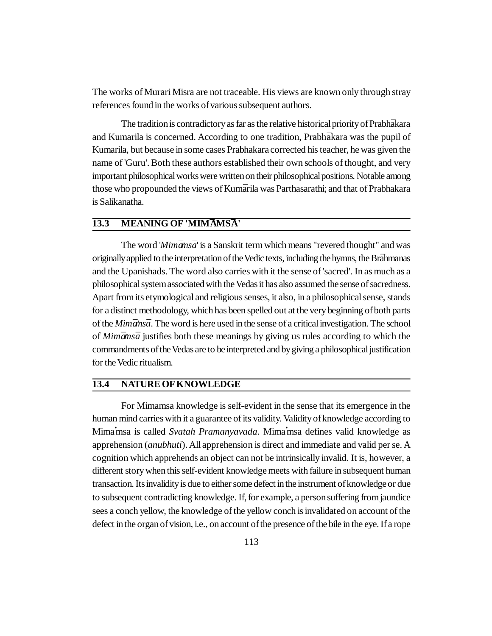The works of Murari Misra are not traceable. His views are known only through stray references found in the works of various subsequent authors.

The tradition is contradictory as far as the relative historical priority of Prabh $\bar{a}$ kara and Kumarila is concerned. According to one tradition, Prabh $\bar{a}$ kara was the pupil of Kumarila, but because in some cases Prabhakara corrected his teacher, he was given the name of 'Guru'. Both these authors established their own schools of thought, and very important philosophical works were written on their philosophical positions. Notable among those who propounded the views of Kuma<sup>n</sup>ila was Parthasarathi; and that of Prabhakara is Salikanatha.

## **13.3 MEANING OF 'MIMAMSA'**

The word '*Mimāmsā*' is a Sanskrit term which means "revered thought" and was originally applied to the interpretation of the Vedic texts, including the hymns, the Brāhmanas and the Upanishads. The word also carries with it the sense of 'sacred'. In as much as a philosophical system associated with the Vedas it has also assumed the sense of sacredness. Apart from its etymological and religious senses, it also, in a philosophical sense, stands for a distinct methodology, which has been spelled out at the very beginning of both parts of the *Mimamsa*. The word is here used in the sense of a critical investigation. The school of *Mimāmsā* justifies both these meanings by giving us rules according to which the commandments of the Vedas are to be interpreted and by giving a philosophical justification for the Vedic ritualism.

# **13.4 NATURE OF KNOWLEDGE**

For Mimamsa knowledge is self-evident in the sense that its emergence in the human mind carries with it a guarantee of its validity. Validity of knowledge according to Mima**·**msa is called *Svatah Pramanyavada*. Mima**·**msa defines valid knowledge as apprehension (*anubhuti*). All apprehension is direct and immediate and valid per se. A cognition which apprehends an object can not be intrinsically invalid. It is, however, a different story when this self-evident knowledge meets with failure in subsequent human transaction. Its invalidity is due to either some defect in the instrument of knowledge or due to subsequent contradicting knowledge. If, for example, a person suffering from jaundice sees a conch yellow, the knowledge of the yellow conch is invalidated on account of the defect in the organ of vision, i.e., on account of the presence of the bile in the eye. If a rope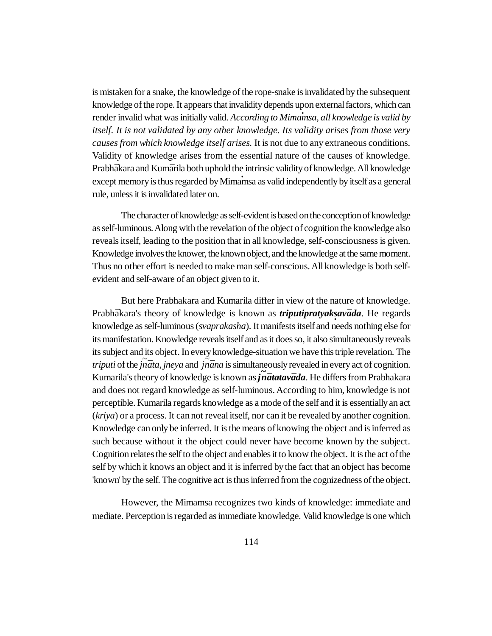is mistaken for a snake, the knowledge of the rope-snake is invalidated by the subsequent knowledge of the rope. It appears that invalidity depends upon external factors, which can render invalid what was initially valid. *According to Mimamsa, all knowledge is valid by itself. It is not validated by any other knowledge. Its validity arises from those very causes from which knowledge itself arises.* It is not due to any extraneous conditions. Validity of knowledge arises from the essential nature of the causes of knowledge. Prabh*¯*akara and Kum*¯*arila both uphold the intrinsic validity of knowledge. All knowledge except memory is thus regarded by Mimamsa as valid independently by itself as a general rule, unless it is invalidated later on.

The character of knowledge as self-evident is based on the conception of knowledge as self-luminous. Along with the revelation of the object of cognition the knowledge also reveals itself, leading to the position that in all knowledge, self-consciousness is given. Knowledge involves the knower, the known object, and the knowledge at the same moment. Thus no other effort is needed to make man self-conscious. All knowledge is both selfevident and self-aware of an object given to it.

But here Prabhakara and Kumarila differ in view of the nature of knowledge. Prabhākara's theory of knowledge is known as *triputipratyaksavāda*. He regards *·* knowledge as self-luminous (*svaprakasha*). It manifests itself and needs nothing else for its manifestation. Knowledge reveals itself and as it does so, it also simultaneously reveals its subject and its object. In every knowledge-situation we have this triple revelation. The *triputi* of the *jnata, jneya* and *jnana* is simultaneously revealed in every act of cognition. Kumarila's theory of knowledge is known as *j ~ n¯atatav¯ada*. He differs from Prabhakara and does not regard knowledge as self-luminous. According to him, knowledge is not perceptible. Kumarila regards knowledge as a mode of the self and it is essentially an act (*kriya*) or a process. It can not reveal itself, nor can it be revealed by another cognition. Knowledge can only be inferred. It is the means of knowing the object and is inferred as such because without it the object could never have become known by the subject. Cognition relates the self to the object and enables it to know the object. It is the act of the self by which it knows an object and it is inferred by the fact that an object has become 'known' by the self. The cognitive act is thus inferred from the cognizedness of the object.

However, the Mimamsa recognizes two kinds of knowledge: immediate and mediate. Perception is regarded as immediate knowledge. Valid knowledge is one which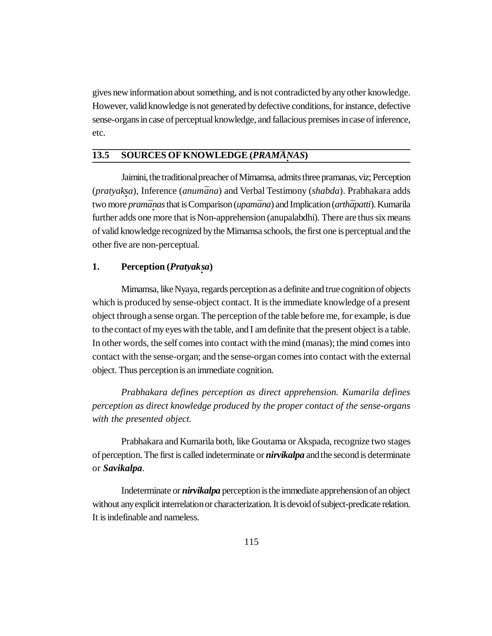gives new information about something, and is not contradicted by any other knowledge. However, valid knowledge is not generated by defective conditions, for instance, defective sense-organs in case of perceptual knowledge, and fallacious premises in case of inference, etc.

# **13.5 SOURCES OF KNOWLEDGE (***PRAMANAS***)**

Jaimini, the traditional preacher of Mimamsa, admits three pramanas, viz; Perception (*pratyak · sa*), Inference (*anum¯ana*) and Verbal Testimony (*shabda*). Prabhakara adds two more *pram¯a · nas* that is Comparison (*upam¯ana*) and Implication (*arth¯apatti*). Kumarila further adds one more that is Non-apprehension (anupalabdhi). There are thus six means of valid knowledge recognized by the Mimamsa schools, the first one is perceptual and the other five are non-perceptual.

# **1. Perception (***Pratyak · sa***)**

Mimamsa, like Nyaya, regards perception as a definite and true cognition of objects which is produced by sense-object contact. It is the immediate knowledge of a present object through a sense organ. The perception of the table before me, for example, is due to the contact of my eyes with the table, and I am definite that the present object is a table. In other words, the self comes into contact with the mind (manas); the mind comes into contact with the sense-organ; and the sense-organ comes into contact with the external object. Thus perception is an immediate cognition.

*Prabhakara defines perception as direct apprehension. Kumarila defines perception as direct knowledge produced by the proper contact of the sense-organs with the presented object.*

Prabhakara and Kumarila both, like Goutama or Akspada, recognize two stages of perception. The first is called indeterminate or *nirvikalpa* and the second is determinate or *Savikalpa*.

Indeterminate or *nirvikalpa* perception is the immediate apprehension of an object without any explicit interrelation or characterization. It is devoid of subject-predicate relation. It is indefinable and nameless.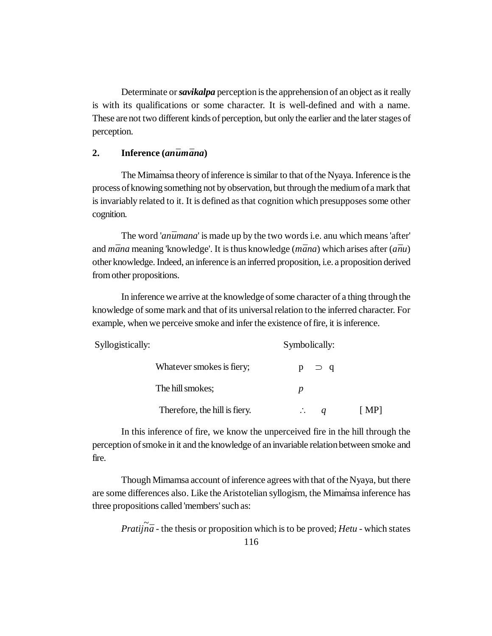Determinate or *savikalpa* perception is the apprehension of an object as it really is with its qualifications or some character. It is well-defined and with a name. These are not two different kinds of perception, but only the earlier and the later stages of perception.

### 2. **Inference** (*anūmana*)

The Mimainsa theory of inference is similar to that of the Nyaya. Inference is the process of knowing something not by observation, but through the medium of a mark that is invariably related to it. It is defined as that cognition which presupposes some other cognition.

The word '*anūmana*' is made up by the two words i.e. anu which means 'after' and *m¯ana* meaning 'knowledge'. It is thus knowledge (*m¯ana*) which arises after (*a¯nu*) other knowledge. Indeed, an inference is an inferred proposition, i.e. a proposition derived from other propositions.

In inference we arrive at the knowledge of some character of a thing through the knowledge of some mark and that of its universal relation to the inferred character. For example, when we perceive smoke and infer the existence of fire, it is inference.

| Syllogistically: |                               | Symbolically:              |      |
|------------------|-------------------------------|----------------------------|------|
|                  | Whatever smokes is fiery;     | $\supset q$                |      |
|                  | The hill smokes;              |                            |      |
|                  | Therefore, the hill is fiery. | $\mathcal{L}_{\mathbf{r}}$ | [MP] |

In this inference of fire, we know the unperceived fire in the hill through the perception of smoke in it and the knowledge of an invariable relation between smoke and fire.

Though Mimamsa account of inference agrees with that of the Nyaya, but there are some differences also. Like the Aristotelian syllogism, the Mimamsa inference has · three propositions called 'members' such as:

*Pratijna* - the thesis or proposition which is to be proved; *Hetu* - which states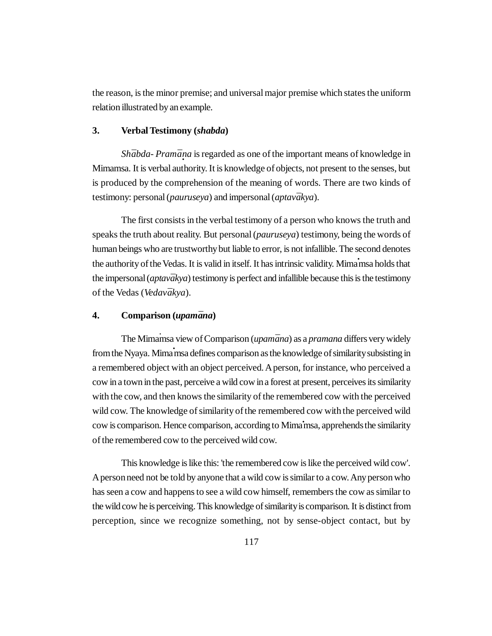the reason, is the minor premise; and universal major premise which states the uniform relation illustrated by an example.

### **3. Verbal Testimony (***shabda***)**

*Shābda- Pramāṇa* is regarded as one of the important means of knowledge in Mimamsa. It is verbal authority. It is knowledge of objects, not present to the senses, but is produced by the comprehension of the meaning of words. There are two kinds of testimony: personal (*pauruseya*) and impersonal (*aptav¯akya*).

The first consists in the verbal testimony of a person who knows the truth and speaks the truth about reality. But personal (*pauruseya*) testimony, being the words of human beings who are trustworthy but liable to error, is not infallible. The second denotes the authority of the Vedas. It is valid in itself. It has intrinsic validity. Mimamsa holds that the impersonal (*aptavākya*) testimony is perfect and infallible because this is the testimony of the Vedas (*Vedavākya*).

## **4. Comparison (***upam¯ana***)**

The Mimamsa view of Comparison (*upamāna*) as a *pramana* differs very widely from the Nyaya. Mima *msa defines comparison as the knowledge of similarity subsisting in* a remembered object with an object perceived. A person, for instance, who perceived a cow in a town in the past, perceive a wild cow in a forest at present, perceives its similarity with the cow, and then knows the similarity of the remembered cow with the perceived wild cow. The knowledge of similarity of the remembered cow with the perceived wild cow is comparison. Hence comparison, according to Mima**·**msa, apprehends the similarity of the remembered cow to the perceived wild cow.

This knowledge is like this: 'the remembered cow is like the perceived wild cow'. A person need not be told by anyone that a wild cow is similar to a cow. Any person who has seen a cow and happens to see a wild cow himself, remembers the cow as similar to the wild cow he is perceiving. This knowledge of similarity is comparison. It is distinct from perception, since we recognize something, not by sense-object contact, but by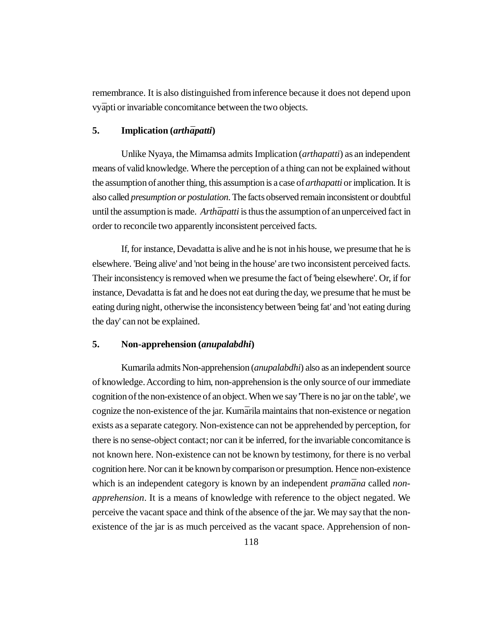remembrance. It is also distinguished from inference because it does not depend upon vy*¯*apti or invariable concomitance between the two objects.

#### 5. **Implication** (*arthapatti*)

Unlike Nyaya, the Mimamsa admits Implication (*arthapatti*) as an independent means of valid knowledge. Where the perception of a thing can not be explained without the assumption of another thing, this assumption is a case of *arthapatti* or implication. It is also called *presumption or postulation*. The facts observed remain inconsistent or doubtful until the assumption is made. *Arthāpatti* is thus the assumption of an unperceived fact in order to reconcile two apparently inconsistent perceived facts.

If, for instance, Devadatta is alive and he is not in his house, we presume that he is elsewhere. 'Being alive' and 'not being in the house' are two inconsistent perceived facts. Their inconsistency is removed when we presume the fact of 'being elsewhere'. Or, if for instance, Devadatta is fat and he does not eat during the day, we presume that he must be eating during night, otherwise the inconsistency between 'being fat' and 'not eating during the day' can not be explained.

### **5. Non-apprehension (***anupalabdhi***)**

Kumarila admits Non-apprehension (*anupalabdhi*) also as an independent source of knowledge. According to him, non-apprehension is the only source of our immediate cognition of the non-existence of an object. When we say 'There is no jar on the table', we cognize the non-existence of the jar. Kumārila maintains that non-existence or negation exists as a separate category. Non-existence can not be apprehended by perception, for there is no sense-object contact; nor can it be inferred, for the invariable concomitance is not known here. Non-existence can not be known by testimony, for there is no verbal cognition here. Nor can it be known by comparison or presumption. Hence non-existence which is an independent category is known by an independent *pramāna* called *nonapprehension*. It is a means of knowledge with reference to the object negated. We perceive the vacant space and think of the absence of the jar. We may say that the nonexistence of the jar is as much perceived as the vacant space. Apprehension of non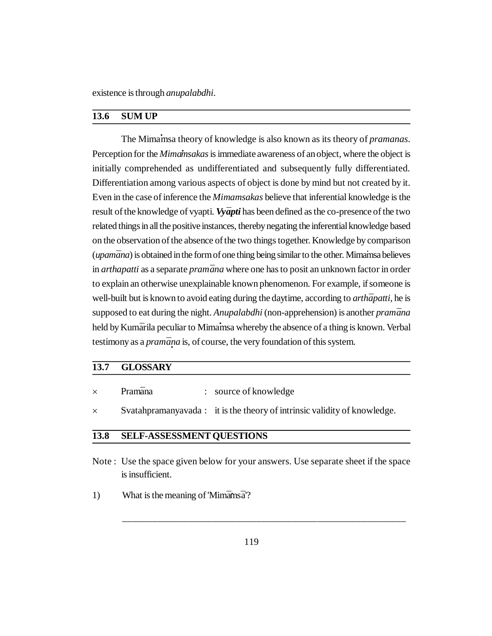existence is through *anupalabdhi*.

# **13.6 SUM UP**

The Mimamsa theory of knowledge is also known as its theory of *pramanas*. Perception for the *Mimamsakas* is immediate awareness of an object, where the object is initially comprehended as undifferentiated and subsequently fully differentiated. Differentiation among various aspects of object is done by mind but not created by it. Even in the case of inference the *Mimamsakas* believe that inferential knowledge is the result of the knowledge of vyapti. *Vyapti* has been defined as the co-presence of the two related things in all the positive instances, thereby negating the inferential knowledge based on the observation of the absence of the two things together. Knowledge by comparison (*upamāna*) is obtained in the form of one thing being similar to the other. Mimainsa believes in *arthapatti* as a separate *pramāna* where one has to posit an unknown factor in order to explain an otherwise unexplainable known phenomenon. For example, if someone is well-built but is known to avoid eating during the daytime, according to *arth* $\bar{a}$ *patti*, he is supposed to eat during the night. *Anupalabdhi* (non-apprehension) is another *pramana* held by Kumārila peculiar to Mimamsa whereby the absence of a thing is known. Verbal testimony as a *pramāna* is, of course, the very foundation of this system.

# **13.7 GLOSSARY**

|  | Pramāna |  | source of knowledge |
|--|---------|--|---------------------|
|--|---------|--|---------------------|

 $\times$  Svatahpramanyavada : it is the theory of intrinsic validity of knowledge.

### **13.8 SELF-ASSESSMENT QUESTIONS**

- Note : Use the space given below for your answers. Use separate sheet if the space is insufficient.
- 1) What is the meaning of 'Mim $\bar{a}$ ms  $\bar{a}'$ ?

\_\_\_\_\_\_\_\_\_\_\_\_\_\_\_\_\_\_\_\_\_\_\_\_\_\_\_\_\_\_\_\_\_\_\_\_\_\_\_\_\_\_\_\_\_\_\_\_\_\_\_\_\_\_\_\_\_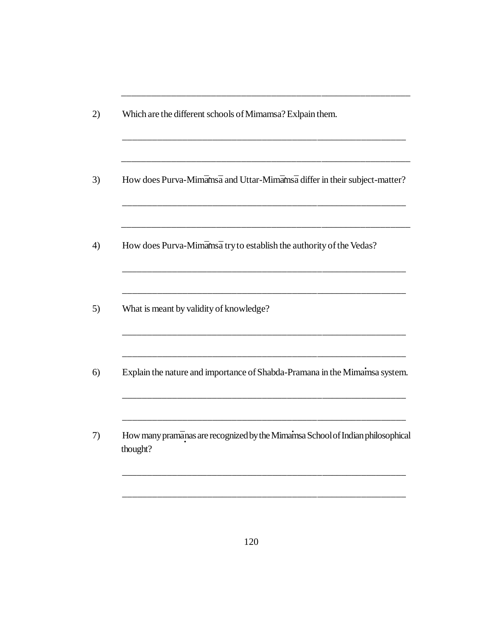| How does Purva-Mimāmsā and Uttar-Mimāmsā differ in their subject-matter?                   |
|--------------------------------------------------------------------------------------------|
| How does Purva-Mimamsa try to establish the authority of the Vedas?                        |
| What is meant by validity of knowledge?                                                    |
| Explain the nature and importance of Shabda-Pramana in the Mimainsa system.                |
| How many pramānas are recognized by the Mimamsa School of Indian philosophical<br>thought? |

\_\_\_\_\_\_\_\_\_\_\_\_\_\_\_\_\_\_\_\_\_\_\_\_\_\_\_\_\_\_\_\_\_\_\_\_\_\_\_\_\_\_\_\_\_\_\_\_\_\_\_\_\_\_\_\_\_\_

\_\_\_\_\_\_\_\_\_\_\_\_\_\_\_\_\_\_\_\_\_\_\_\_\_\_\_\_\_\_\_\_\_\_\_\_\_\_\_\_\_\_\_\_\_\_\_\_\_\_\_\_\_\_\_\_\_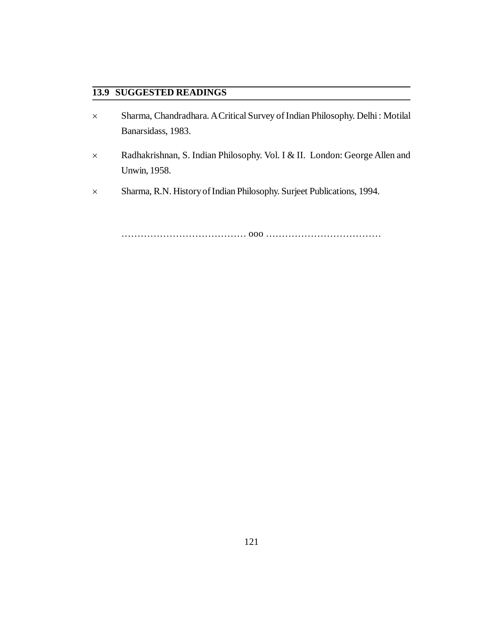# **13.9 SUGGESTED READINGS**

- Sharma, Chandradhara. A Critical Survey of Indian Philosophy. Delhi : Motilal Banarsidass, 1983.
- Radhakrishnan, S. Indian Philosophy. Vol. I & II. London: George Allen and Unwin, 1958.
- Sharma, R.N. History of Indian Philosophy. Surjeet Publications, 1994.

………………………………… ooo ………………………………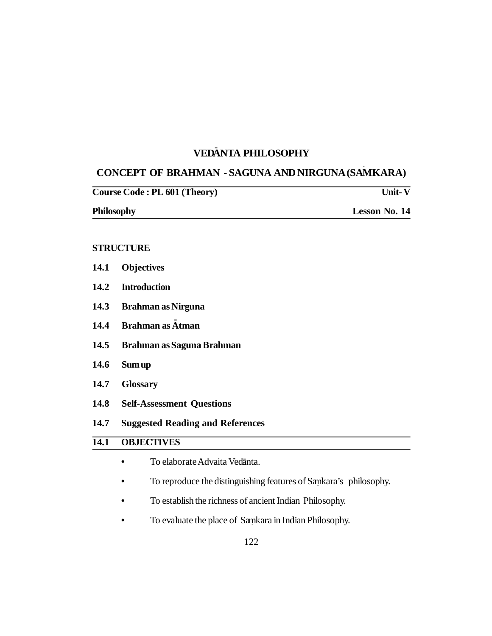# **VED**-**ANTA PHILOSOPHY**

# **CONCEPT OF BRAHMAN - SAGUNA AND NIRGUNA (SAMKARA)**

| Course Code: PL 601 (Theory) | <b>Unit-V</b>        |
|------------------------------|----------------------|
| <b>Philosophy</b>            | <b>Lesson No. 14</b> |

#### **STRUCTURE**

- **14.1 Objectives**
- **14.2 Introduction**
- **14.3 Brahman as Nirguna**
- **14.4 Brahman as - Atman**
- **14.5 Brahman as Saguna Brahman**
- **14.6 Sum up**
- **14.7 Glossary**
- **14.8 Self-Assessment Questions**
- **14.7 Suggested Reading and References**

# **14.1 OBJECTIVES**

- To elaborate Advaita Vedānta.
- **•** To reproduce the distinguishing features of Samkara's philosophy. **.**
- **•** To establish the richness of ancient Indian Philosophy.
- To evaluate the place of Samkara in Indian Philosophy.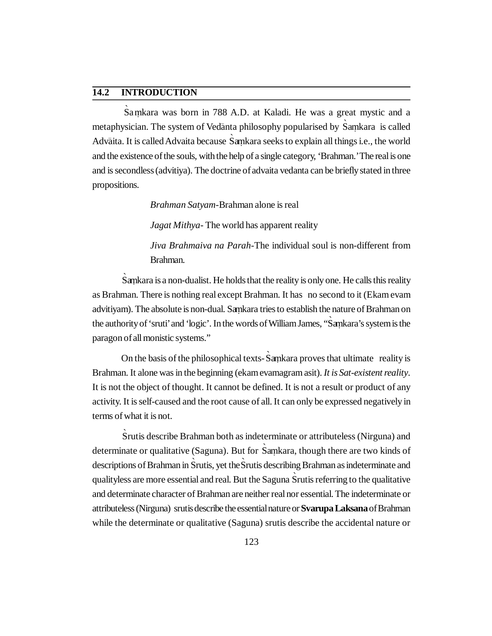# **14.2 INTRODUCTION**

Sa mkara was born in 788 A.D. at Kaladi. He was a great mystic and a metaphysician. The system of Vedānta philosophy popularised by Samkara is called Advāita. It is called Advaita because Saṃkara seeks to explain all things i.e., the world and the existence of the souls, with the help of a single category, 'Brahman.' The real is one and is secondless (advitiya). The doctrine of advaita vedanta can be briefly stated in three propositions.

*Brahman Satyam*-Brahman alone is real

*Jagat Mithya*- The world has apparent reality

*Jiva Brahmaiva na Parah*-The individual soul is non-different from Brahman.

Samkara is a non-dualist. He holds that the reality is only one. He calls this reality as Brahman. There is nothing real except Brahman. It has no second to it (Ekam evam advitiyam). The absolute is non-dual. Samkara tries to establish the nature of Brahman on the authority of 'sruti' and 'logic'. In the words of William James, "Samkara's system is the paragon of all monistic systems."

On the basis of the philosophical texts- Samkara proves that ultimate reality is Brahman. It alone was in the beginning (ekam evamagram asit). *It is Sat-existent reality*. It is not the object of thought. It cannot be defined. It is not a result or product of any activity. It is self-caused and the root cause of all. It can only be expressed negatively in terms of what it is not.

`Srutis describe Brahman both as indeterminate or attributeless (Nirguna) and determinate or qualitative (Saguna). But for Samkara, though there are two kinds of descriptions of Brahman in Srutis, yet the Srutis describing Brahman as indeterminate and qualityless are more essential and real. But the Saguna Srutis referring to the qualitative and determinate character of Brahman are neither real nor essential. The indeterminate or attributeless (Nirguna) srutis describe the essential nature or **Svarupa Laksana** of Brahman while the determinate or qualitative (Saguna) srutis describe the accidental nature or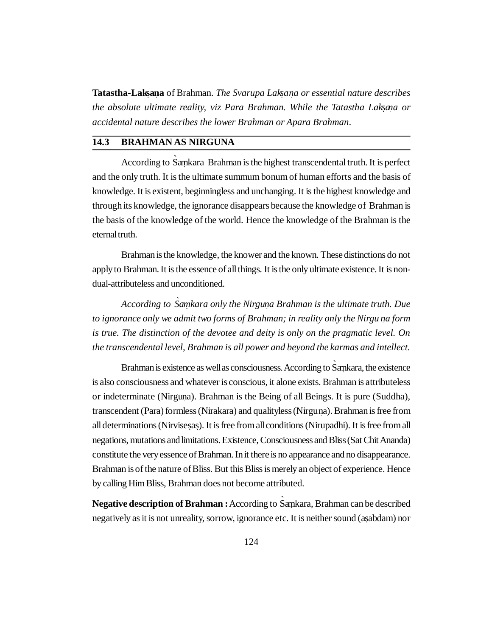**Tatastha-Laksana** of Brahman. *The Svarupa Laksana or essential nature describes the absolute ultimate reality, viz Para Brahman. While the Tatastha Laksaa or accidental nature describes the lower Brahman or Apara Brahman*.

## **14.3 BRAHMAN AS NIRGUNA**

According to Samkara Brahman is the highest transcendental truth. It is perfect and the only truth. It is the ultimate summum bonum of human efforts and the basis of knowledge. It is existent, beginningless and unchanging. It is the highest knowledge and through its knowledge, the ignorance disappears because the knowledge of Brahman is the basis of the knowledge of the world. Hence the knowledge of the Brahman is the eternal truth.

Brahman is the knowledge, the knower and the known. These distinctions do not apply to Brahman. It is the essence of all things. It is the only ultimate existence. It is nondual-attributeless and unconditioned.

According to Samkara only the Nirguna Brahman is the ultimate truth. Due *to ignorance only we admit two forms of Brahman; in reality only the Nirgu na form . is true. The distinction of the devotee and deity is only on the pragmatic level. On the transcendental level, Brahman is all power and beyond the karmas and intellect.*

Brahman is existence as well as consciousness. According to Sankara, the existence is also consciousness and whatever is conscious, it alone exists. Brahman is attributeless or indeterminate (Nirguna). Brahman is the Being of all Beings. It is pure (Suddha), . transcendent (Para) formless (Nirakara) and qualityless (Nirgu na). Brahman is free from . all determinations (Nirvisesas). It is free from all conditions (Nirupadhi). It is free from all negations, mutations and limitations. Existence, Consciousness and Bliss (Sat Chit Ananda) constitute the very essence of Brahman. In it there is no appearance and no disappearance. Brahman is of the nature of Bliss. But this Bliss is merely an object of experience. Hence by calling Him Bliss, Brahman does not become attributed.

Negative description of Brahman : According to Samkara, Brahman can be described negatively as it is not unreality, sorrow, ignorance etc. It is neither sound (asabdam) nor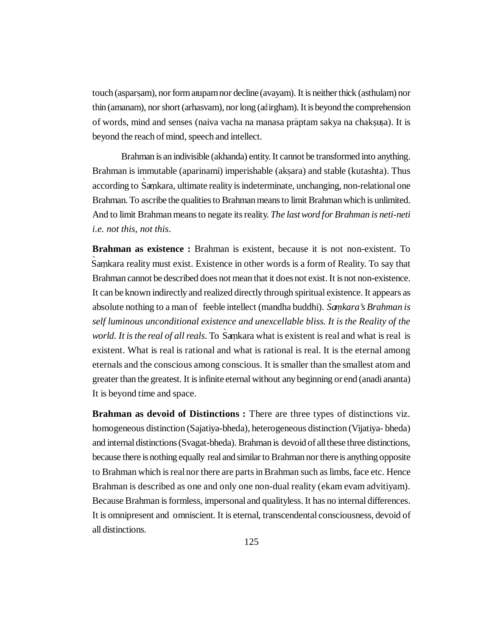touch (asparsam), nor form any am nor decline (avayam). It is neither thick (asthulam) nor thin (amanam), nor short (arhasvam), nor long (ad irgham). It is beyond the comprehension of words, mind and senses (naiva vacha na manasa prāptam sakya na chaksusa). It is beyond the reach of mind, speech and intellect.

Brahman is an indivisible (akhanda) entity. It cannot be transformed into anything. Brahman is immutable (aparinami) imperishable (aksara) and stable (kutashta). Thus according to Samkara, ultimate reality is indeterminate, unchanging, non-relational one Brahman. To ascribe the qualities to Brahman means to limit Brahman which is unlimited. And to limit Brahman means to negate its reality. *The last word for Brahman is neti-neti i.e. not this, not this*.

**Brahman as existence :** Brahman is existent, because it is not non-existent. To Samkara reality must exist. Existence in other words is a form of Reality. To say that Brahman cannot be described does not mean that it does not exist. It is not non-existence. It can be known indirectly and realized directly through spiritual existence. It appears as absolute nothing to a man of feeble intellect (mandha buddhi). Samkara's Brahman is *self luminous unconditional existence and unexcellable bliss. It is the Reality of the world. It is the real of all reals*. To Samkara what is existent is real and what is real is existent. What is real is rational and what is rational is real. It is the eternal among eternals and the conscious among conscious. It is smaller than the smallest atom and greater than the greatest. It is infinite eternal without any beginning or end (anadi ananta) It is beyond time and space.

**Brahman as devoid of Distinctions :** There are three types of distinctions viz. homogeneous distinction (Sajatiya-bheda), heterogeneous distinction (Vijatiya- bheda) and internal distinctions (Svagat-bheda). Brahman is devoid of all these three distinctions, because there is nothing equally real and similar to Brahman nor there is anything opposite to Brahman which is real nor there are parts in Brahman such as limbs, face etc. Hence Brahman is described as one and only one non-dual reality (ekam evam advitiyam). Because Brahman is formless, impersonal and qualityless. It has no internal differences. It is omnipresent and omniscient. It is eternal, transcendental consciousness, devoid of all distinctions.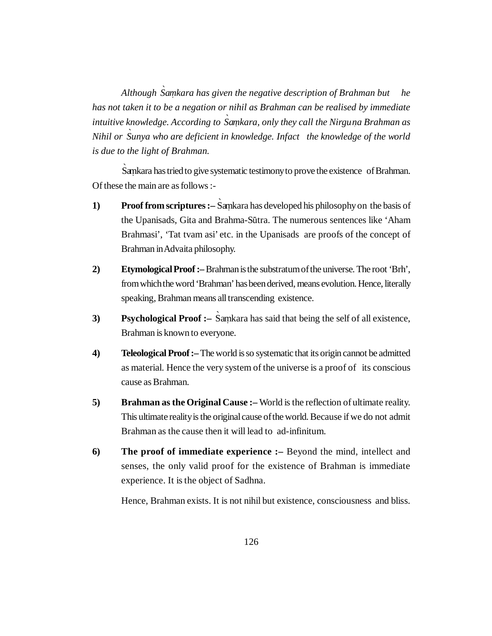Although Samkara has given the negative description of Brahman but *has not taken it to be a negation or nihil as Brahman can be realised by immediate intuitive knowledge. According to Samkara, only they call the Nirguna Brahman as Nihil or `Sunya who are deficient in knowledge. Infact the knowledge of the world is due to the light of Brahman.*

Samkara has tried to give systematic testimony to prove the existence of Brahman. Of these the main are as follows :-

- **1) Proof from scriptures :** Samkara has developed his philosophy on the basis of the Upanisads, Gita and Brahma-Sūtra. The numerous sentences like 'Aham Brahmasi', 'Tat tvam asi' etc. in the Upanisads are proofs of the concept of Brahman in Advaita philosophy.
- **2) Etymological Proof :–** Brahman is the substratum of the universe. The root 'Brh', from which the word 'Brahman' has been derived, means evolution. Hence, literally speaking, Brahman means all transcending existence.
- **3) Psychological Proof :**  $\overline{\phantom{a}}$  Samkara has said that being the self of all existence, Brahman is known to everyone.
- **4) Teleological Proof :–** The world is so systematic that its origin cannot be admitted as material. Hence the very system of the universe is a proof of its conscious cause as Brahman.
- **5) Brahman as the Original Cause :–** World is the reflection of ultimate reality. This ultimate reality is the original cause of the world. Because if we do not admit Brahman as the cause then it will lead to ad-infinitum.
- **6) The proof of immediate experience :–** Beyond the mind, intellect and senses, the only valid proof for the existence of Brahman is immediate experience. It is the object of Sadhna.

Hence, Brahman exists. It is not nihil but existence, consciousness and bliss.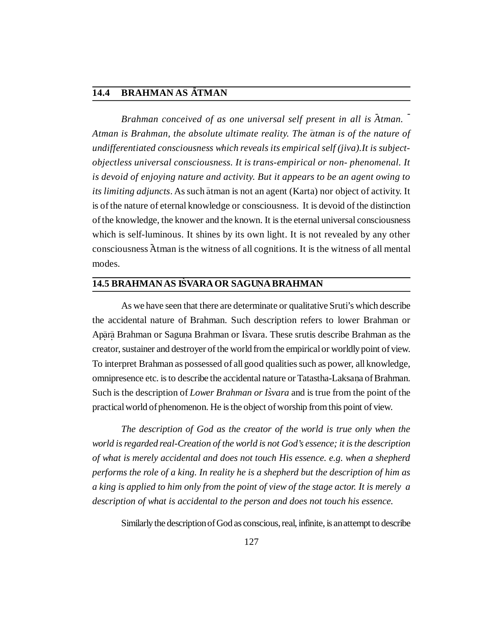# **14.4 BRAHMAN AS - ATMAN**

Brahman conceived of as one universal self present in all is  $\overline{A}$ tman. *Atman is Brahman, the absolute ultimate reality. The – atman is of the nature of undifferentiated consciousness which reveals its empirical self (jiva).It is subjectobjectless universal consciousness. It is trans-empirical or non- phenomenal. It is devoid of enjoying nature and activity. But it appears to be an agent owing to its limiting adjuncts*. As such atman is not an agent (Karta) nor object of activity. It is of the nature of eternal knowledge or consciousness. It is devoid of the distinction of the knowledge, the knower and the known. It is the eternal universal consciousness which is self-luminous. It shines by its own light. It is not revealed by any other consciousness Atman is the witness of all cognitions. It is the witness of all mental modes.

# $\overline{14.5}$  BRAHMAN AS IS̀VARA OR SAGUNA BRAHMAN

As we have seen that there are determinate or qualitative Sruti's which describe the accidental nature of Brahman. Such description refers to lower Brahman or Apārā Brahman or Saguna Brahman or Isvara. These srutis describe Brahman as the creator, sustainer and destroyer of the world from the empirical or worldly point of view. To interpret Brahman as possessed of all good qualities such as power, all knowledge, omnipresence etc. is to describe the accidental nature or Tatastha-Laksana of Brahman. Such is the description of *Lower Brahman or I`svara* and is true from the point of the practical world of phenomenon. He is the object of worship from this point of view.

*The description of God as the creator of the world is true only when the world is regarded real-Creation of the world is not God's essence; it is the description of what is merely accidental and does not touch His essence. e.g. when a shepherd performs the role of a king. In reality he is a shepherd but the description of him as a king is applied to him only from the point of view of the stage actor. It is merely a description of what is accidental to the person and does not touch his essence.*

Similarly the description of God as conscious, real, infinite, is an attempt to describe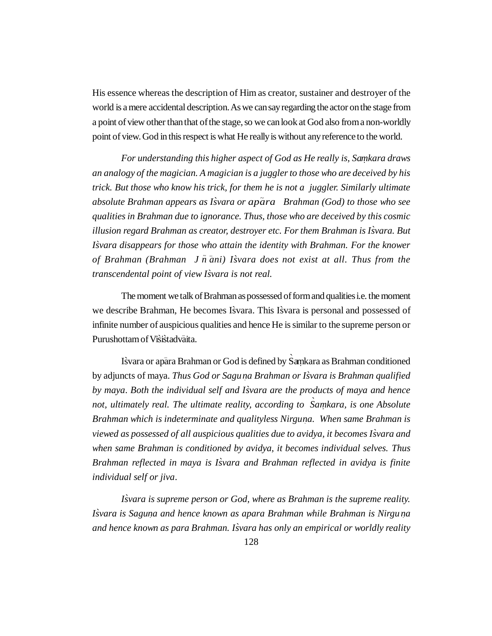His essence whereas the description of Him as creator, sustainer and destroyer of the world is a mere accidental description. As we can say regarding the actor on the stage from a point of view other than that of the stage, so we can look at God also from a non-worldly point of view. God in this respect is what He really is without any reference to the world.

For understanding this higher aspect of God as He really is, Samkara draws *an analogy of the magician. A magician is a juggler to those who are deceived by his trick. But those who know his trick, for them he is not a juggler. Similarly ultimate absolute Brahman appears as I`svara or ap ~ ara Brahman (God) to those who see qualities in Brahman due to ignorance. Thus, those who are deceived by this cosmic illusion regard Brahman as creator, destroyer etc. For them Brahman is I`svara. But I`svara disappears for those who attain the identity with Brahman. For the knower of Brahman (Brahman J <sup>~</sup> n – ani) I`svara does not exist at all. Thus from the transcendental point of view I`svara is not real.*

The moment we talk of Brahman as possessed of form and qualities i.e. the moment we describe Brahman, He becomes Isvara. This Isvara is personal and possessed of infinite number of auspicious qualities and hence He is similar to the supreme person or Purushottam of Visistadvaita.

Isvara or apāra Brahman or God is defined by Saṃkara as Brahman conditioned by adjuncts of maya. *Thus God or Sagu na Brahman or I . `svara is Brahman qualified by maya*. *Both the individual self and I`svara are the products of maya and hence not, ultimately real. The ultimate reality, according to Samkara, is one Absolute Brahman which is indeterminate and qualityless Nirguna. When same Brahman is . viewed as possessed of all auspicious qualities due to avidya, it becomes I`svara and when same Brahman is conditioned by avidya, it becomes individual selves. Thus Brahman reflected in maya is I`svara and Brahman reflected in avidya is finite individual self or jiva*.

*I`svara is supreme person or God, where as Brahman is the supreme reality. I*svara is Saguna and hence known as apara Brahman while Brahman is Nirgu na *and hence known as para Brahman. I`svara has only an empirical or worldly reality*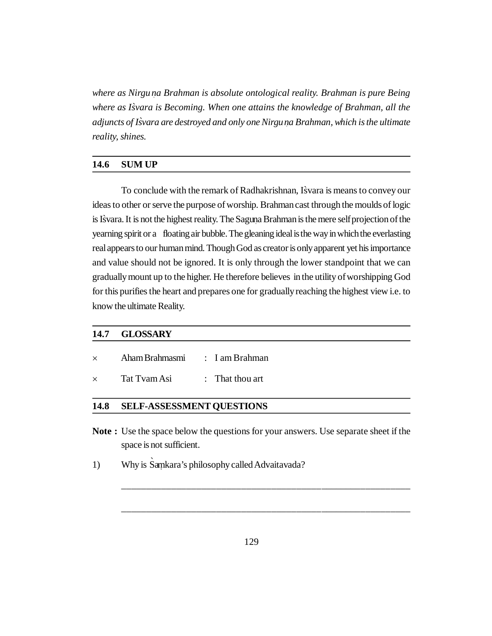*where as Nirgu na Brahman is absolute ontological reality. Brahman is pure Being . where as I`svara is Becoming. When one attains the knowledge of Brahman, all the adjuncts of Isvara are destroyed and only one Nirgu ` na Brahman, which is the ultimate . reality, shines.*

### **14.6 SUM UP**

To conclude with the remark of Radhakrishnan, Isvara is means to convey our ideas to other or serve the purpose of worship. Brahman cast through the moulds of logic is Isvara. It is not the highest reality. The Saguna Brahman is the mere self projection of the yearning spirit or a floating air bubble. The gleaning ideal is the way in which the everlasting real appears to our human mind. Though God as creator is only apparent yet his importance and value should not be ignored. It is only through the lower standpoint that we can gradually mount up to the higher. He therefore believes in the utility of worshipping God for this purifies the heart and prepares one for gradually reaching the highest view i.e. to know the ultimate Reality.

## **14.7 GLOSSARY**

|  | Aham Brahmasmi | I am Brahman |
|--|----------------|--------------|
|  |                |              |

x Tat Tvam Asi : That thou art

#### **14.8 SELF-ASSESSMENT QUESTIONS**

**Note :** Use the space below the questions for your answers. Use separate sheet if the space is not sufficient.

\_\_\_\_\_\_\_\_\_\_\_\_\_\_\_\_\_\_\_\_\_\_\_\_\_\_\_\_\_\_\_\_\_\_\_\_\_\_\_\_\_\_\_\_\_\_\_\_\_\_\_\_\_\_\_\_\_\_

\_\_\_\_\_\_\_\_\_\_\_\_\_\_\_\_\_\_\_\_\_\_\_\_\_\_\_\_\_\_\_\_\_\_\_\_\_\_\_\_\_\_\_\_\_\_\_\_\_\_\_\_\_\_\_\_\_\_

1) Why is Samkara's philosophy called Advaitavada?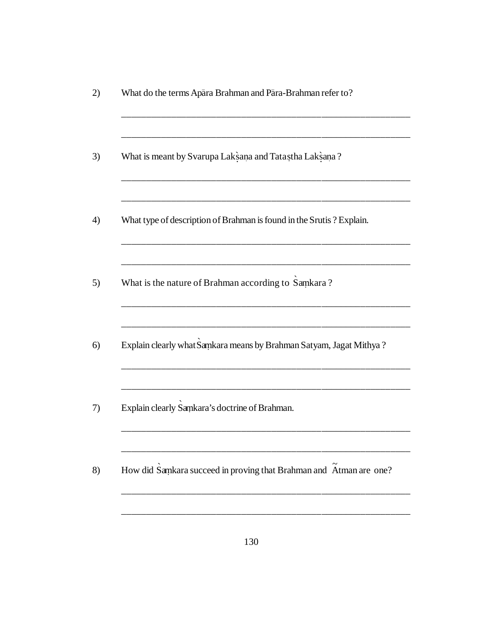| What do the terms Apara Brahman and Para-Brahman refer to?           |
|----------------------------------------------------------------------|
| What is meant by Svarupa Laksana and Tatastha Laksana?               |
| What type of description of Brahman is found in the Srutis? Explain. |
| What is the nature of Brahman according to Samkara?                  |
| Explain clearly what Samkara means by Brahman Satyam, Jagat Mithya?  |
| Explain clearly Samkara's doctrine of Brahman.                       |
| How did Samkara succeed in proving that Brahman and Atman are one?   |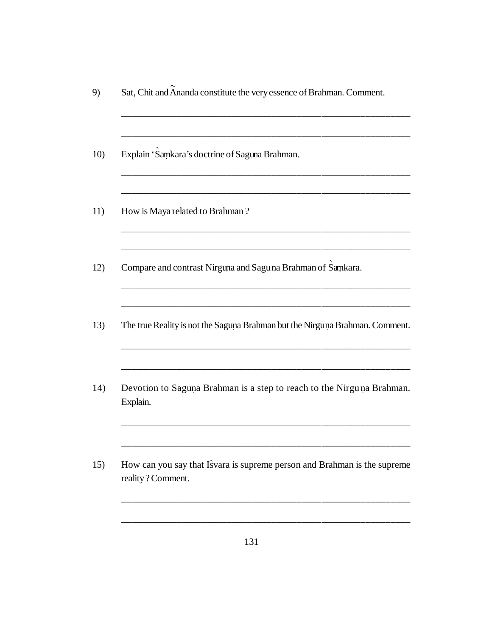| Sat, Chit and Ananda constitute the very essence of Brahman. Comment.                         |
|-----------------------------------------------------------------------------------------------|
| Explain 'Samkara's doctrine of Saguna Brahman.                                                |
| How is Maya related to Brahman?                                                               |
| Compare and contrast Nirguna and Sagu na Brahman of Sankara.                                  |
| The true Reality is not the Saguna Brahman but the Nirguna Brahman. Comment.                  |
| Devotion to Saguna Brahman is a step to reach to the Nirguna Brahman.<br>Explain.             |
| How can you say that Isvara is supreme person and Brahman is the supreme<br>reality? Comment. |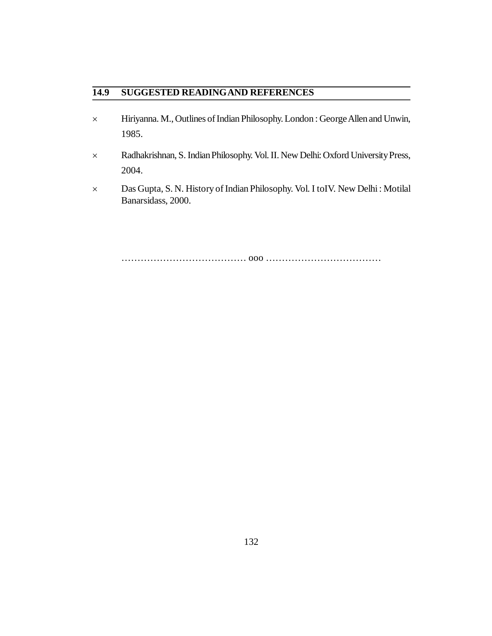# **14.9 SUGGESTED READINGAND REFERENCES**

- Hiriyanna. M., Outlines of Indian Philosophy. London : George Allen and Unwin, 1985.
- Radhakrishnan, S. Indian Philosophy. Vol. II. New Delhi: Oxford University Press, 2004.
- Das Gupta, S. N. History of Indian Philosophy. Vol. I toIV. New Delhi : Motilal Banarsidass, 2000.

………………………………… ooo ………………………………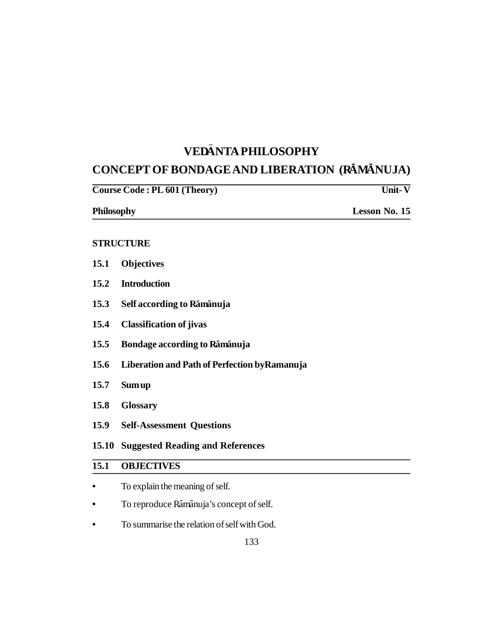# **VED ~ ANTA PHILOSOPHY**

# **CONCEPT OF BONDAGE AND LIBERATION (RĀMĀNUJA)**

|                   | Course Code: PL 601 (Theory)                  | <b>Unit-V</b> |
|-------------------|-----------------------------------------------|---------------|
| <b>Philosophy</b> |                                               | Lesson No. 15 |
|                   | <b>STRUCTURE</b>                              |               |
| 15.1              | <b>Objectives</b>                             |               |
| 15.2              | <b>Introduction</b>                           |               |
| 15.3              | Self according to Ramanuja                    |               |
| 15.4              | <b>Classification of jivas</b>                |               |
| 15.5              | Bondage according to Ramanuja                 |               |
| 15.6              | Liberation and Path of Perfection by Ramanuja |               |
| 15.7              | <b>Sum up</b>                                 |               |
| 15.8              | <b>Glossary</b>                               |               |
| 15.9              | <b>Self-Assessment Questions</b>              |               |
| 15.10             | <b>Suggested Reading and References</b>       |               |
| 15.1              | <b>OBJECTIVES</b>                             |               |
|                   | To explain the meaning of self.               |               |
|                   | To reproduce Rāmānuja's concept of self.      |               |
|                   | To summarise the relation of self with God.   |               |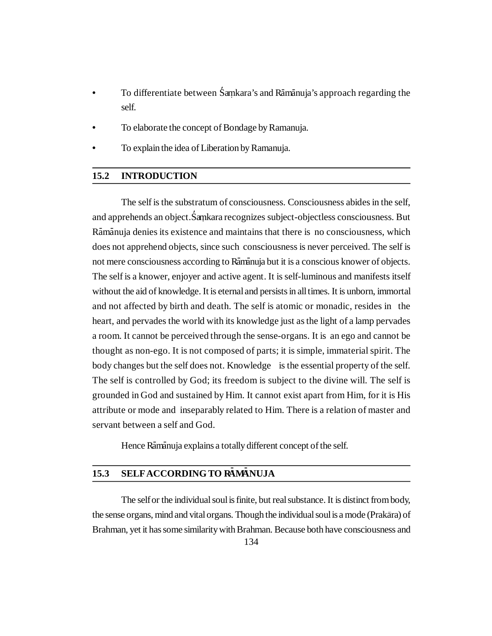- To differentiate between Samkara's and Ramanuja's approach regarding the self.
- **•** To elaborate the concept of Bondage by Ramanuja.
- **•** To explain the idea of Liberation by Ramanuja.

### **15.2 INTRODUCTION**

The self is the substratum of consciousness. Consciousness abides in the self, and apprehends an object. Samkara recognizes subject-objectless consciousness. But Rāmānuja denies its existence and maintains that there is no consciousness, which does not apprehend objects, since such consciousness is never perceived. The self is not mere consciousness according to Ramanuja but it is a conscious knower of objects. The self is a knower, enjoyer and active agent. It is self-luminous and manifests itself without the aid of knowledge. It is eternal and persists in all times. It is unborn, immortal and not affected by birth and death. The self is atomic or monadic, resides in the heart, and pervades the world with its knowledge just as the light of a lamp pervades a room. It cannot be perceived through the sense-organs. It is an ego and cannot be thought as non-ego. It is not composed of parts; it is simple, immaterial spirit. The body changes but the self does not. Knowledge is the essential property of the self. The self is controlled by God; its freedom is subject to the divine will. The self is grounded in God and sustained by Him. It cannot exist apart from Him, for it is His attribute or mode and inseparably related to Him. There is a relation of master and servant between a self and God.

Hence Rāmānuja explains a totally different concept of the self.

# **15.3 SELFACCORDING TO RAMANUJA**

The self or the individual soul is finite, but real substance. It is distinct from body, the sense organs, mind and vital organs. Though the individual soul is a mode (Prakāra) of Brahman, yet it has some similarity with Brahman. Because both have consciousness and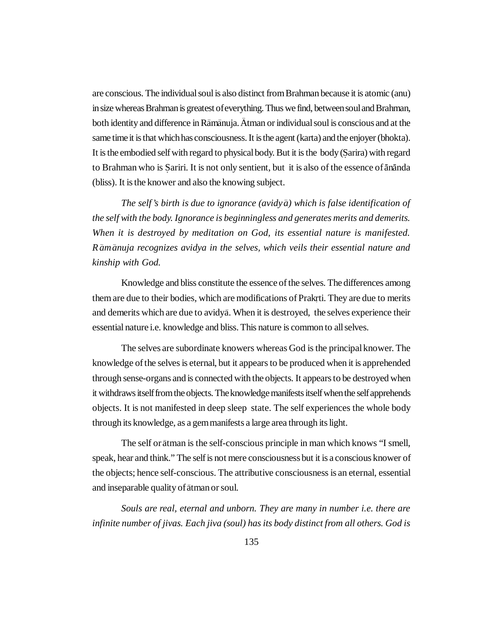are conscious. The individual soul is also distinct from Brahman because it is atomic (anu) in size whereas Brahman is greatest of everything. Thus we find, between soul and Brahman, both identity and difference in Rāmānuja. Ātman or individual soul is conscious and at the same time it is that which has consciousness. It is the agent (karta) and the enjoyer (bhokta). It is the embodied self with regard to physical body. But it is the body (S**.** arira) with regard to Brahman who is Şariri. It is not only sentient, but it is also of the essence of <del>ananda</del> (bliss). It is the knower and also the knowing subject.

*The self's birth is due to ignorance (avidy – a) which is false identification of the self with the body. Ignorance is beginningless and generates merits and demerits. When it is destroyed by meditation on God, its essential nature is manifested.* Rāmānuja recognizes avidya in the selves, which veils their essential nature and *kinship with God.*

Knowledge and bliss constitute the essence of the selves. The differences among them are due to their bodies, which are modifications of Prakrti. They are due to merits . and demerits which are due to avidyā. When it is destroyed, the selves experience their essential nature i.e. knowledge and bliss. This nature is common to all selves.

The selves are subordinate knowers whereas God is the principal knower. The knowledge of the selves is eternal, but it appears to be produced when it is apprehended through sense-organs and is connected with the objects. It appears to be destroyed when it withdraws itself from the objects. The knowledge manifests itself when the self apprehends objects. It is not manifested in deep sleep state. The self experiences the whole body through its knowledge, as a gem manifests a large area through its light.

The self or ātman is the self-conscious principle in man which knows "I smell, speak, hear and think." The self is not mere consciousness but it is a conscious knower of the objects; hence self-conscious. The attributive consciousness is an eternal, essential and inseparable quality of atman or soul.

*Souls are real, eternal and unborn. They are many in number i.e. there are infinite number of jivas. Each jiva (soul) has its body distinct from all others. God is*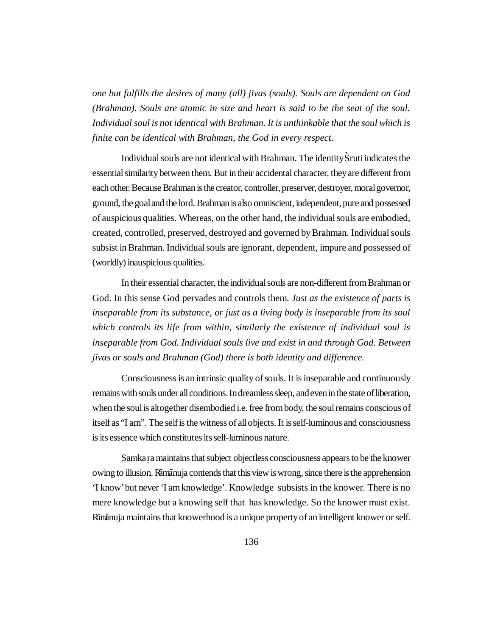*one but fulfills the desires of many (all) jivas (souls). Souls are dependent on God (Brahman). Souls are atomic in size and heart is said to be the seat of the soul. Individual soul is not identical with Brahman. It is unthinkable that the soul which is finite can be identical with Brahman, the God in every respect.*

Individual souls are not identical with Brahman. The identity S**`**ruti indicates the essential similarity between them. But in their accidental character, they are different from each other. Because Brahman is the creator, controller, preserver, destroyer, moral governor, ground, the goal and the lord. Brahman is also omniscient, independent, pure and possessed of auspicious qualities. Whereas, on the other hand, the individual souls are embodied, created, controlled, preserved, destroyed and governed by Brahman. Individual souls subsist in Brahman. Individual souls are ignorant, dependent, impure and possessed of (worldly) inauspicious qualities.

In their essential character, the individual souls are non-different from Brahman or God. In this sense God pervades and controls them. *Just as the existence of parts is inseparable from its substance, or just as a living body is inseparable from its soul which controls its life from within, similarly the existence of individual soul is inseparable from God. Individual souls live and exist in and through God. Between jivas or souls and Brahman (God) there is both identity and difference.*

Consciousness is an intrinsic quality of souls. It is inseparable and continuously remains with souls under all conditions. In dreamless sleep, and even in the state of liberation, when the soul is altogether disembodied i.e. free from body, the soul remains conscious of itself as "I am". The self is the witness of all objects. It is self-luminous and consciousness is its essence which constitutes its self-luminous nature.

Samka ra maintains that subject objectless consciousness appears to be the knower **.** owing to illusion. Ramanuja contends that this view is wrong, since there is the apprehension 'I know' but never 'I am knowledge'. Knowledge subsists in the knower. There is no mere knowledge but a knowing self that has knowledge. So the knower must exist. Riminuja maintains that knowerhood is a unique property of an intelligent knower or self.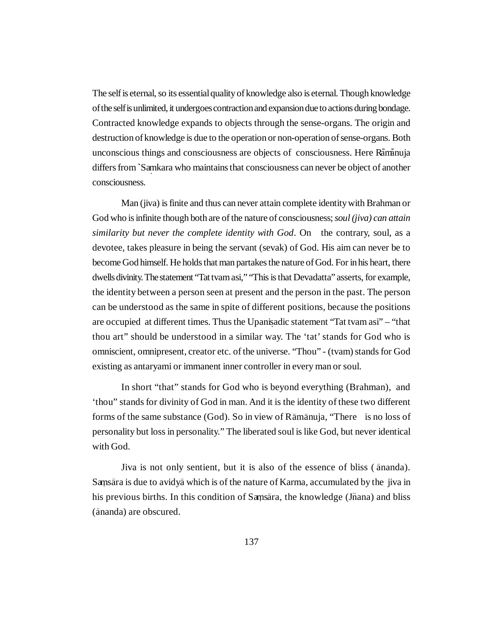The self is eternal, so its essential quality of knowledge also is eternal. Though knowledge of the self is unlimited, it undergoes contraction and expansion due to actions during bondage. Contracted knowledge expands to objects through the sense-organs. The origin and destruction of knowledge is due to the operation or non-operation of sense-organs. Both unconscious things and consciousness are objects of consciousness. Here Rāmānuja differs from **`**Samkara **.** who maintains that consciousness can never be object of another consciousness.

Man (jiva) is finite and thus can never attain complete identity with Brahman or God who is infinite though both are of the nature of consciousness; *soul (jiva) can attain similarity but never the complete identity with God*. On the contrary, soul, as a devotee, takes pleasure in being the servant (sevak) of God. His aim can never be to become God himself. He holds that man partakes the nature of God. For in his heart, there dwells divinity. The statement "Tat tvam asi," "This is that Devadatta" asserts, for example, the identity between a person seen at present and the person in the past. The person can be understood as the same in spite of different positions, because the positions are occupied at different times. Thus the Upanisadic statement "Tat tvam asi" – "that thou art" should be understood in a similar way. The 'tat' stands for God who is omniscient, omnipresent, creator etc. of the universe. "Thou" - (tvam) stands for God existing as antaryami or immanent inner controller in every man or soul.

In short "that" stands for God who is beyond everything (Brahman), and 'thou" stands for divinity of God in man. And it is the identity of these two different forms of the same substance (God). So in view of Rāmānuja, "There is no loss of personality but loss in personality." The liberated soul is like God, but never identical with God.

Jiva is not only sentient, but it is also of the essence of bliss (ānanda). Sansara is due to avidya which is of the nature of Karma, accumulated by the jiva in his previous births. In this condition of Samsara, the knowledge (Jñana) and bliss ( – ananda) are obscured.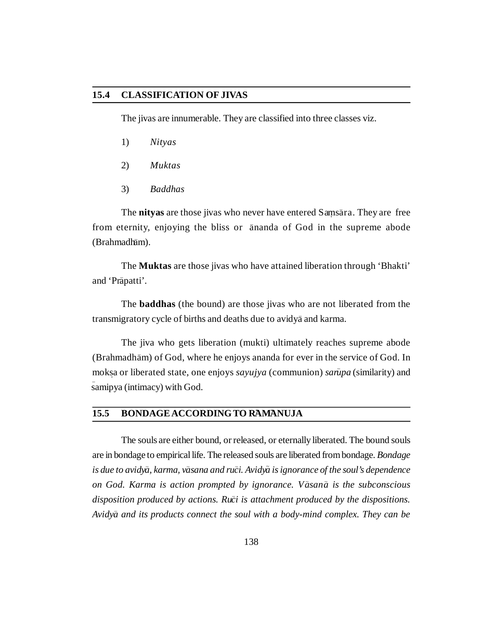#### **15.4 CLASSIFICATION OF JIVAS**

The jivas are innumerable. They are classified into three classes viz.

- 1) *Nityas*
- 2) *Muktas*
- 3) *Baddhas*

The nityas are those jivas who never have entered Samsara. They are free from eternity, enjoying the bliss or ananda of God in the supreme abode (Brahmadham).

The **Muktas** are those jivas who have attained liberation through 'Bhakti' and 'Prapatti'.

The **baddhas** (the bound) are those jivas who are not liberated from the transmigratory cycle of births and deaths due to avidyā and karma.

The jiva who gets liberation (mukti) ultimately reaches supreme abode (Brahmadhām) of God, where he enjoys ananda for ever in the service of God. In mok **.** sa or liberated state, one enjoys *sayujya* (communion) *sar – upa* (similarity) and – samipya (intimacy) with God.

### 15.5 **BONDAGE ACCORDING TO RAMANUJA**

The souls are either bound, or released, or eternally liberated. The bound souls are in bondage to empirical life. The released souls are liberated from bondage. *Bondage is due to avidy– a, karma, v– asana and ru– ci. Avidy<sup>~</sup> a is ignorance of the soul's dependence on God. Karma is action prompted by ignorance. V – asan – a is the subconscious* disposition produced by actions. Ru<sup>ci</sup> is attachment produced by the dispositions. Avidy*ā and its products connect the soul with a body-mind complex. They can be*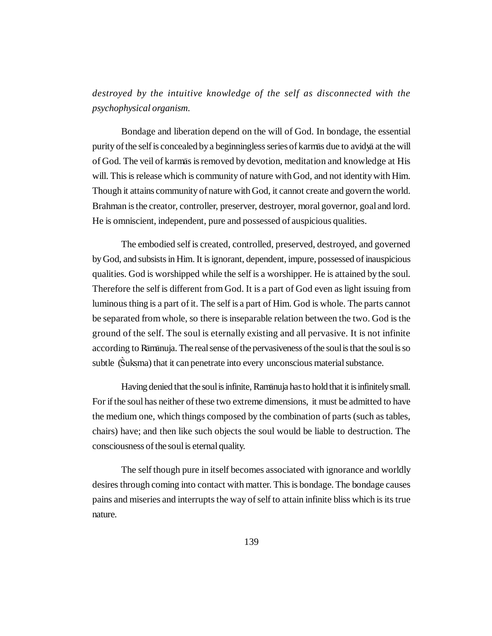*destroyed by the intuitive knowledge of the self as disconnected with the psychophysical organism.*

Bondage and liberation depend on the will of God. In bondage, the essential purity of the self is concealed by a beginningless series of karmas due to avidya at the will of God. The veil of karmas is removed by devotion, meditation and knowledge at His will. This is release which is community of nature with God, and not identity with Him. Though it attains community of nature with God, it cannot create and govern the world. Brahman is the creator, controller, preserver, destroyer, moral governor, goal and lord. He is omniscient, independent, pure and possessed of auspicious qualities.

The embodied self is created, controlled, preserved, destroyed, and governed by God, and subsists in Him. It is ignorant, dependent, impure, possessed of inauspicious qualities. God is worshipped while the self is a worshipper. He is attained by the soul. Therefore the self is different from God. It is a part of God even as light issuing from luminous thing is a part of it. The self is a part of Him. God is whole. The parts cannot be separated from whole, so there is inseparable relation between the two. God is the ground of the self. The soul is eternally existing and all pervasive. It is not infinite according to Rāmānuja. The real sense of the pervasiveness of the soul is that the soul is so subtle (Suksma) that it can penetrate into every unconscious material substance.

Having denied that the soul is infinite, Ramanuja has to hold that it is infinitely small. For if the soul has neither of these two extreme dimensions, it must be admitted to have the medium one, which things composed by the combination of parts (such as tables, chairs) have; and then like such objects the soul would be liable to destruction. The consciousness of the soul is eternal quality.

The self though pure in itself becomes associated with ignorance and worldly desires through coming into contact with matter. This is bondage. The bondage causes pains and miseries and interrupts the way of self to attain infinite bliss which is its true nature.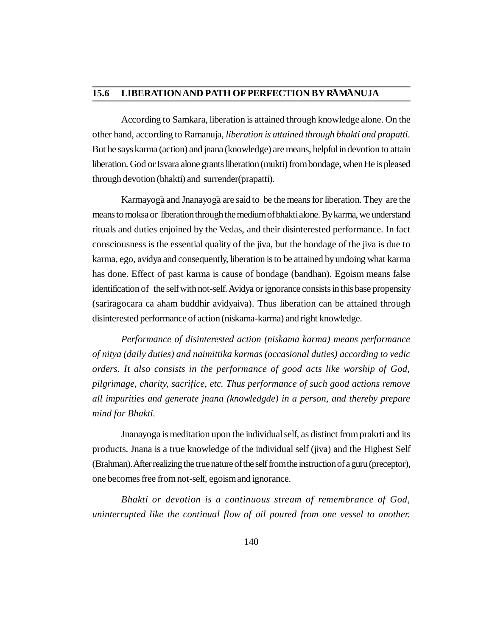## 15.6 LIBERATION AND PATH OF PERFECTION BY RAMANUJA

According to Samkara, liberation is attained through knowledge alone. On the other hand, according to Ramanuja, *liberation is attained through bhakti and prapatti.* But he says karma (action) and jnana (knowledge) are means, helpful in devotion to attain liberation. God or Isvara alone grants liberation (mukti) from bondage, when He is pleased through devotion (bhakti) and surrender(prapatti).

Karmayogā and Jnanayogā are said to be the means for liberation. They are the means to moksa or liberation through the medium of bhakti alone. By karma, we understand rituals and duties enjoined by the Vedas, and their disinterested performance. In fact consciousness is the essential quality of the jiva, but the bondage of the jiva is due to karma, ego, avidya and consequently, liberation is to be attained by undoing what karma has done. Effect of past karma is cause of bondage (bandhan). Egoism means false identification of the self with not-self. Avidya or ignorance consists in this base propensity (sariragocara ca aham buddhir avidyaiva). Thus liberation can be attained through disinterested performance of action (niskama-karma) and right knowledge.

*Performance of disinterested action (niskama karma) means performance of nitya (daily duties) and naimittika karmas (occasional duties) according to vedic orders. It also consists in the performance of good acts like worship of God, pilgrimage, charity, sacrifice, etc. Thus performance of such good actions remove all impurities and generate jnana (knowledgde) in a person, and thereby prepare mind for Bhakti.*

Jnanayoga is meditation upon the individual self, as distinct from prakrti and its products. Jnana is a true knowledge of the individual self (jiva) and the Highest Self (Brahman). After realizing the true nature of the self from the instruction of a guru (preceptor), one becomes free from not-self, egoism and ignorance.

*Bhakti or devotion is a continuous stream of remembrance of God, uninterrupted like the continual flow of oil poured from one vessel to another.*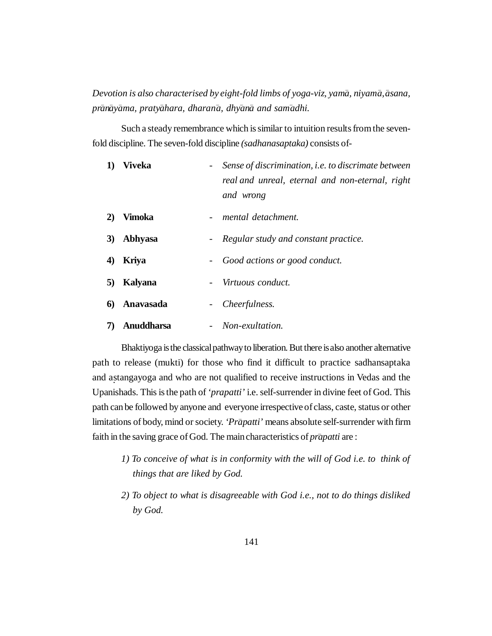*Devotion is also characterised by eight-fold limbs of yoga-viz, yam – a, niyam – a, – asana, pr – an – ay – ama, praty – ahara, dharan – a, dhy– an – a and sam– adhi.*

Such a steady remembrance which is similar to intuition results from the sevenfold discipline. The seven-fold discipline *(sadhanasaptaka)* consists of-

| 1) | <b>Viveka</b>     | Sense of discrimination, i.e. to discrimate between<br>real and unreal, eternal and non-eternal, right<br>and wrong |
|----|-------------------|---------------------------------------------------------------------------------------------------------------------|
| 2) | Vimoka            | mental detachment.                                                                                                  |
| 3) | Abhyasa           | Regular study and constant practice.<br>$\sim$ $-$                                                                  |
| 4) | <b>Kriya</b>      | Good actions or good conduct.                                                                                       |
| 5) | Kalyana           | Virtuous conduct.                                                                                                   |
| 6) | Anavasada         | Cheerfulness.                                                                                                       |
|    | <b>Anuddharsa</b> | Non-exultation.                                                                                                     |

Bhaktiyoga is the classical pathway to liberation. But there is also another alternative path to release (mukti) for those who find it difficult to practice sadhansaptaka and astangayoga and who are not qualified to receive instructions in Vedas and the Upanishads. This is the path of *'prapatti'* i.e. self-surrender in divine feet of God. This path can be followed by anyone and everyone irrespective of class, caste, status or other limitations of body, mind or society. 'Prapatti' means absolute self-surrender with firm faith in the saving grace of God. The main characteristics of *prapatti* are:

- *1) To conceive of what is in conformity with the will of God i.e. to think of things that are liked by God.*
- *2) To object to what is disagreeable with God i.e., not to do things disliked by God.*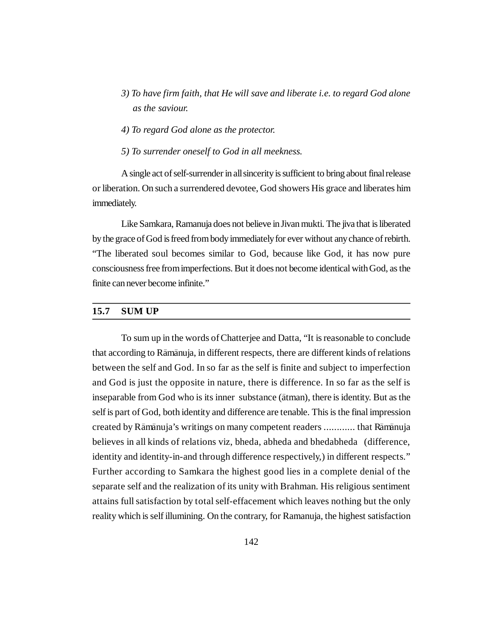- *3) To have firm faith, that He will save and liberate i.e. to regard God alone as the saviour.*
- *4) To regard God alone as the protector.*
- *5) To surrender oneself to God in all meekness.*

A single act of self-surrender in all sincerity is sufficient to bring about final release or liberation. On such a surrendered devotee, God showers His grace and liberates him immediately.

Like Samkara, Ramanuja does not believe in Jivan mukti. The jiva that is liberated by the grace of God is freed from body immediately for ever without any chance of rebirth. "The liberated soul becomes similar to God, because like God, it has now pure consciousness free from imperfections. But it does not become identical with God, as the finite can never become infinite."

### **15.7 SUM UP**

To sum up in the words of Chatterjee and Datta, "It is reasonable to conclude that according to Rāmānuja, in different respects, there are different kinds of relations between the self and God. In so far as the self is finite and subject to imperfection and God is just the opposite in nature, there is difference. In so far as the self is inseparable from God who is its inner substance (ātman), there is identity. But as the self is part of God, both identity and difference are tenable. This is the final impression created by Rāmānuja's writings on many competent readers ............ that Rāmānuja believes in all kinds of relations viz, bheda, abheda and bhedabheda (difference, identity and identity-in-and through difference respectively,) in different respects." Further according to Samkara the highest good lies in a complete denial of the separate self and the realization of its unity with Brahman. His religious sentiment attains full satisfaction by total self-effacement which leaves nothing but the only reality which is self illumining. On the contrary, for Ramanuja, the highest satisfaction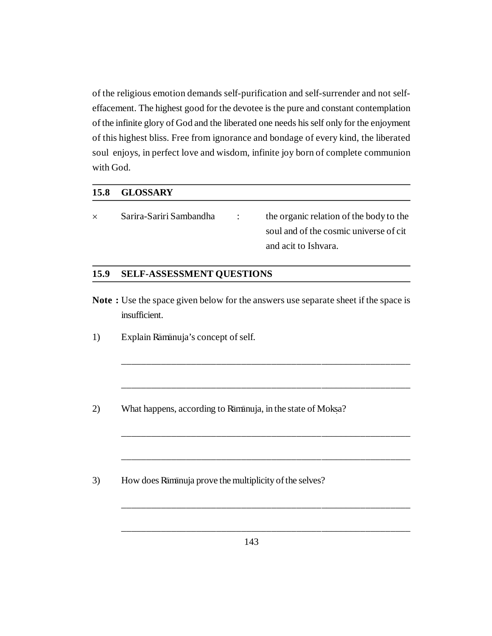of the religious emotion demands self-purification and self-surrender and not selfeffacement. The highest good for the devotee is the pure and constant contemplation of the infinite glory of God and the liberated one needs his self only for the enjoyment of this highest bliss. Free from ignorance and bondage of every kind, the liberated soul enjoys, in perfect love and wisdom, infinite joy born of complete communion with God.

## **15.8 GLOSSARY**

 $\times$  Sarira-Sariri Sambandha : the organic relation of the body to the soul and of the cosmic universe of cit and acit to Ishvara.

# **15.9 SELF-ASSESSMENT QUESTIONS**

**Note :** Use the space given below for the answers use separate sheet if the space is insufficient.

\_\_\_\_\_\_\_\_\_\_\_\_\_\_\_\_\_\_\_\_\_\_\_\_\_\_\_\_\_\_\_\_\_\_\_\_\_\_\_\_\_\_\_\_\_\_\_\_\_\_\_\_\_\_\_\_\_\_

\_\_\_\_\_\_\_\_\_\_\_\_\_\_\_\_\_\_\_\_\_\_\_\_\_\_\_\_\_\_\_\_\_\_\_\_\_\_\_\_\_\_\_\_\_\_\_\_\_\_\_\_\_\_\_\_\_\_

\_\_\_\_\_\_\_\_\_\_\_\_\_\_\_\_\_\_\_\_\_\_\_\_\_\_\_\_\_\_\_\_\_\_\_\_\_\_\_\_\_\_\_\_\_\_\_\_\_\_\_\_\_\_\_\_\_\_

\_\_\_\_\_\_\_\_\_\_\_\_\_\_\_\_\_\_\_\_\_\_\_\_\_\_\_\_\_\_\_\_\_\_\_\_\_\_\_\_\_\_\_\_\_\_\_\_\_\_\_\_\_\_\_\_\_\_

\_\_\_\_\_\_\_\_\_\_\_\_\_\_\_\_\_\_\_\_\_\_\_\_\_\_\_\_\_\_\_\_\_\_\_\_\_\_\_\_\_\_\_\_\_\_\_\_\_\_\_\_\_\_\_\_\_\_

\_\_\_\_\_\_\_\_\_\_\_\_\_\_\_\_\_\_\_\_\_\_\_\_\_\_\_\_\_\_\_\_\_\_\_\_\_\_\_\_\_\_\_\_\_\_\_\_\_\_\_\_\_\_\_\_\_\_

- 1) Explain Rāmānuja's concept of self.
- 2) What happens, according to Ramanuja, in the state of Moksa?
- 3) How does Rāmānuja prove the multiplicity of the selves?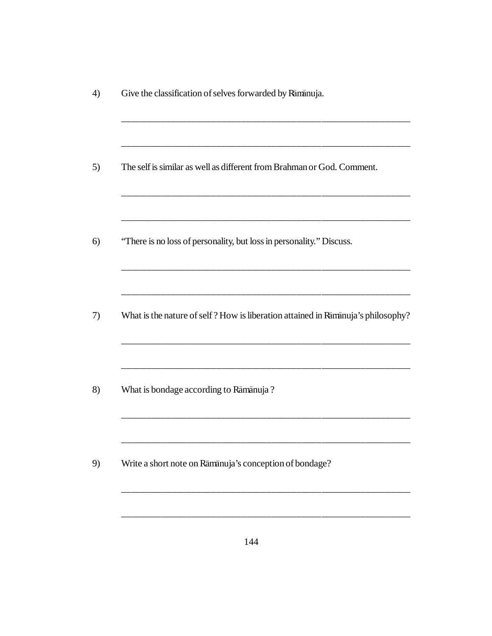| Give the classification of selves forwarded by Ramanuja.                         |
|----------------------------------------------------------------------------------|
| The self is similar as well as different from Brahman or God. Comment.           |
| "There is no loss of personality, but loss in personality." Discuss.             |
| What is the nature of self? How is liberation attained in Ramanuja's philosophy? |
| What is bondage according to Rāmānuja?                                           |
| Write a short note on Rāmānuja's conception of bondage?                          |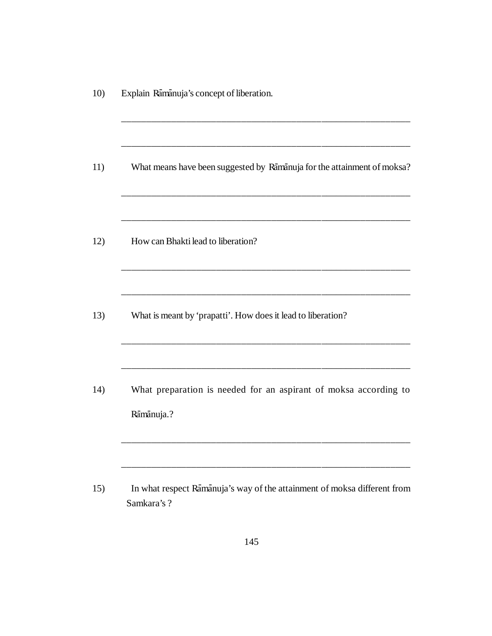| Explain Rāmānuja's concept of liberation.                                               |
|-----------------------------------------------------------------------------------------|
| What means have been suggested by Ramanuja for the attainment of moksa?                 |
| How can Bhakti lead to liberation?                                                      |
| What is meant by 'prapatti'. How does it lead to liberation?                            |
| What preparation is needed for an aspirant of moksa according to<br>Rāmānuja.?          |
| In what respect Rāmānuja's way of the attainment of moksa different from<br>Samkara's ? |